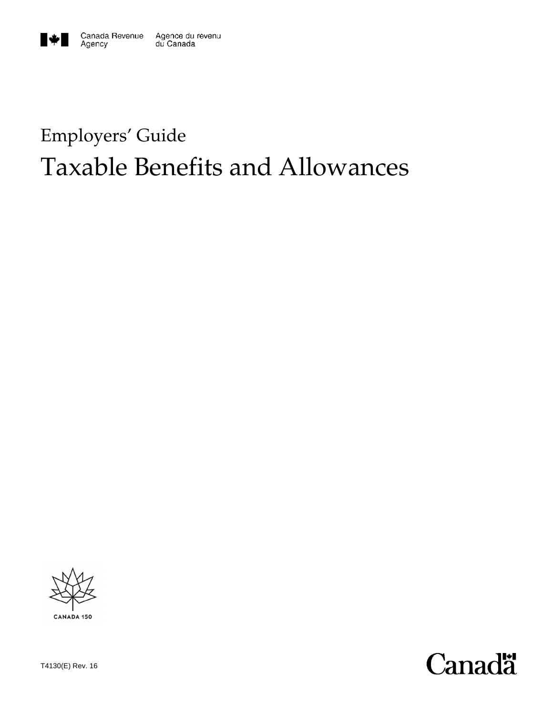

# Employers' Guide Taxable Benefits and Allowances



CANADA 150

T4130(E) Rev. 16

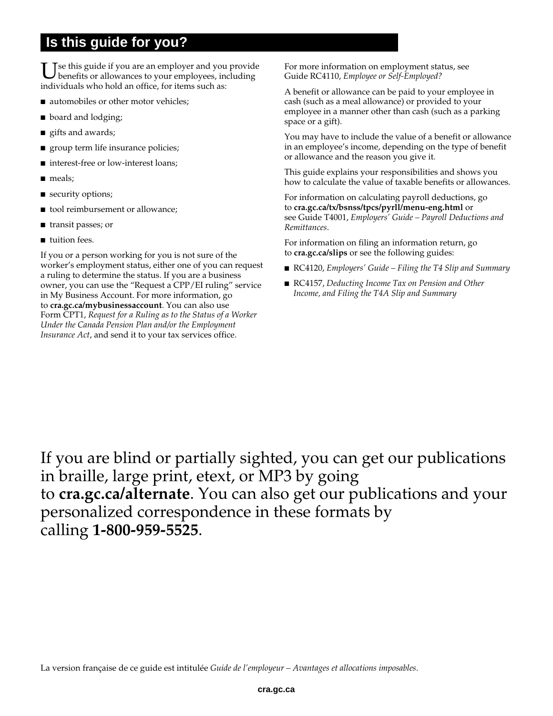## **Is this guide for you?**

se this guide if you are an employer and you provide benefits or allowances to your employees, including **U** benefits or allowances to your employees, incondividuals who hold an office, for items such as:

- automobiles or other motor vehicles:
- board and lodging;
- gifts and awards;
- group term life insurance policies;
- interest-free or low-interest loans;
- meals;
- security options;
- tool reimbursement or allowance;
- transit passes; or
- tuition fees.

If you or a person working for you is not sure of the worker's employment status, either one of you can request a ruling to determine the status. If you are a business owner, you can use the "Request a CPP/EI ruling" service in My Business Account. For more information, go to **cra.gc.ca/mybusinessaccount**. You can also use Form CPT1, *Request for a Ruling as to the Status of a Worker Under the Canada Pension Plan and/or the Employment Insurance Act*, and send it to your tax services office.

For more information on employment status, see Guide RC4110, *Employee or Self-Employed?*

A benefit or allowance can be paid to your employee in cash (such as a meal allowance) or provided to your employee in a manner other than cash (such as a parking space or a gift).

You may have to include the value of a benefit or allowance in an employee's income, depending on the type of benefit or allowance and the reason you give it.

This guide explains your responsibilities and shows you how to calculate the value of taxable benefits or allowances.

For information on calculating payroll deductions, go to **cra.gc.ca/tx/bsnss/tpcs/pyrll/menu-eng.html** or see Guide T4001, *Employers' Guide – Payroll Deductions and Remittances*.

For information on filing an information return, go to **cra.gc.ca/slips** or see the following guides:

- RC4120, *Employers'* Guide Filing the T4 Slip and Summary
- RC4157, *Deducting Income Tax on Pension and Other Income, and Filing the T4A Slip and Summary*

If you are blind or partially sighted, you can get our publications in braille, large print, etext, or MP3 by going to **cra.gc.ca/alternate**. You can also get our publications and your personalized correspondence in these formats by calling **1-800-959-5525**.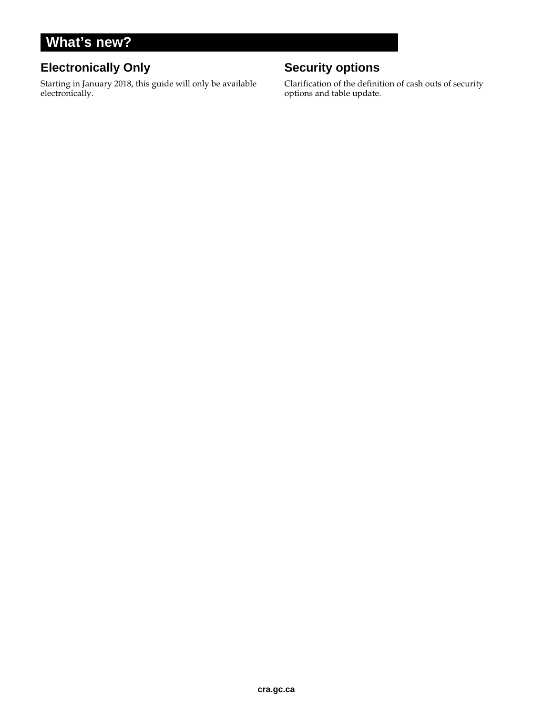## **What's new?**

## **Electronically Only**

Starting in January 2018, this guide will only be available electronically.

## **Security options**

Clarification of the definition of cash outs of security options and table update.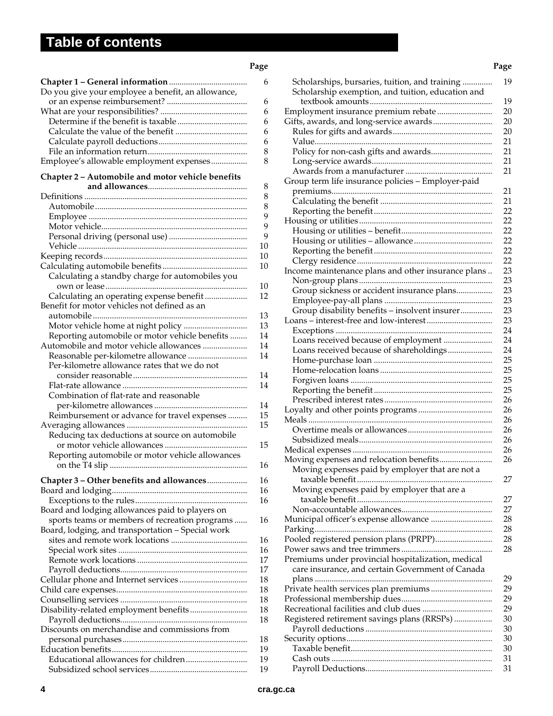## **Table of contents**

#### **Page Page 2012 Page 2013 Page 2013 Page 2013 Page 2013**

|                                                    | 6 |
|----------------------------------------------------|---|
| Do you give your employee a benefit, an allowance, |   |
|                                                    | 6 |
|                                                    | 6 |
|                                                    | 6 |
|                                                    | 6 |
|                                                    | 6 |
|                                                    |   |
| Employee's allowable employment expenses           | 8 |

## **Chapter 2 – Automobile and motor vehicle benefits and allowances** ............................................... 8

| uu allowalic                                      | v  |
|---------------------------------------------------|----|
|                                                   | 8  |
|                                                   | 8  |
|                                                   | 9  |
|                                                   | 9  |
|                                                   | 9  |
|                                                   | 10 |
|                                                   | 10 |
|                                                   | 10 |
| Calculating a standby charge for automobiles you  |    |
|                                                   | 10 |
| Calculating an operating expense benefit          | 12 |
| Benefit for motor vehicles not defined as an      |    |
|                                                   | 13 |
|                                                   | 13 |
| Reporting automobile or motor vehicle benefits    | 14 |
| Automobile and motor vehicle allowances           | 14 |
|                                                   | 14 |
| Per-kilometre allowance rates that we do not      |    |
|                                                   | 14 |
|                                                   | 14 |
|                                                   |    |
| Combination of flat-rate and reasonable           |    |
|                                                   | 14 |
| Reimbursement or advance for travel expenses      | 15 |
|                                                   | 15 |
| Reducing tax deductions at source on automobile   |    |
|                                                   | 15 |
| Reporting automobile or motor vehicle allowances  |    |
|                                                   | 16 |
| Chapter 3 - Other benefits and allowances         | 16 |
|                                                   | 16 |
|                                                   | 16 |
| Board and lodging allowances paid to players on   |    |
| sports teams or members of recreation programs    | 16 |
| Board, lodging, and transportation - Special work |    |
|                                                   | 16 |
|                                                   | 16 |
|                                                   | 17 |
|                                                   | 17 |
|                                                   | 18 |
|                                                   | 18 |
|                                                   | 18 |
|                                                   | 18 |
| Disability-related employment benefits            | 18 |
| Discounts on merchandise and commissions from     |    |
|                                                   |    |
|                                                   | 18 |
|                                                   | 19 |
|                                                   | 19 |
|                                                   | 19 |

| Scholarships, bursaries, tuition, and training     |
|----------------------------------------------------|
| Scholarship exemption, and tuition, education and  |
|                                                    |
| Employment insurance premium rebate                |
|                                                    |
|                                                    |
|                                                    |
| Policy for non-cash gifts and awards               |
|                                                    |
|                                                    |
| Group term life insurance policies - Employer-paid |
|                                                    |
|                                                    |
|                                                    |
|                                                    |
|                                                    |
|                                                    |
|                                                    |
|                                                    |
| Income maintenance plans and other insurance plans |
|                                                    |
| Group sickness or accident insurance plans         |
|                                                    |
| Group disability benefits - insolvent insurer      |
|                                                    |
|                                                    |
| Loans received because of employment               |
| Loans received because of shareholdings            |
|                                                    |
|                                                    |
|                                                    |
|                                                    |
|                                                    |
|                                                    |
|                                                    |
|                                                    |
|                                                    |
|                                                    |
| Moving expenses and relocation benefits            |
| Moving expenses paid by employer that are not a    |
|                                                    |
| Moving expenses paid by employer that are a        |
|                                                    |
|                                                    |
|                                                    |
|                                                    |
| Pooled registered pension plans (PRPP)             |
|                                                    |
| Premiums under provincial hospitalization, medical |
| care insurance, and certain Government of Canada   |
|                                                    |
|                                                    |
|                                                    |
|                                                    |
| Registered retirement savings plans (RRSPs)        |
|                                                    |
|                                                    |
|                                                    |
|                                                    |
|                                                    |

Cash outs ............................................................................ 31 Payroll Deductions............................................................ 31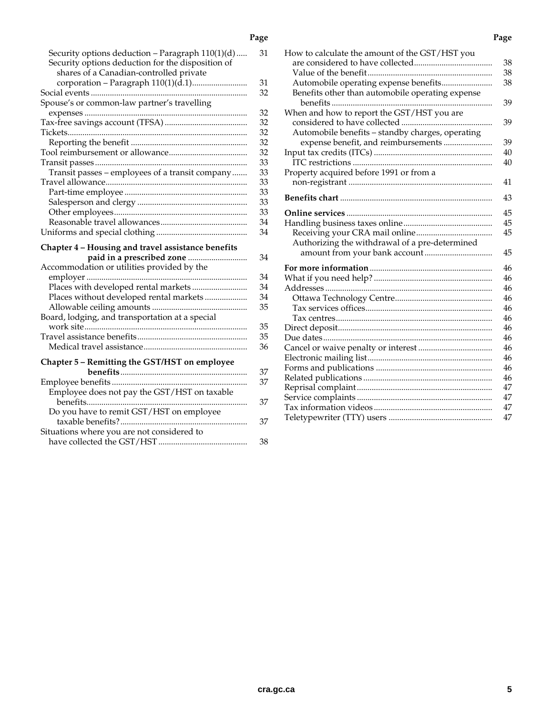|                                                                                                                                                  | Page |
|--------------------------------------------------------------------------------------------------------------------------------------------------|------|
| Security options deduction - Paragraph 110(1)(d)<br>Security options deduction for the disposition of<br>shares of a Canadian-controlled private | 31   |
| corporation - Paragraph 110(1)(d.1)                                                                                                              | 31   |
|                                                                                                                                                  | 32   |
| Spouse's or common-law partner's travelling                                                                                                      |      |
|                                                                                                                                                  | 32   |
|                                                                                                                                                  | 32   |
|                                                                                                                                                  | 32   |
|                                                                                                                                                  | 32   |
|                                                                                                                                                  | 32   |
|                                                                                                                                                  | 33   |
| Transit passes - employees of a transit company                                                                                                  | 33   |
|                                                                                                                                                  | 33   |
|                                                                                                                                                  | 33   |
|                                                                                                                                                  | 33   |
|                                                                                                                                                  | 33   |
|                                                                                                                                                  | 34   |
|                                                                                                                                                  | 34   |
| Chapter 4 - Housing and travel assistance benefits                                                                                               | 34   |
| Accommodation or utilities provided by the                                                                                                       |      |
|                                                                                                                                                  | 34   |
|                                                                                                                                                  | 34   |
| Places without developed rental markets                                                                                                          | 34   |
|                                                                                                                                                  | 35   |
| Board, lodging, and transportation at a special                                                                                                  | 35   |
|                                                                                                                                                  | 35   |
|                                                                                                                                                  | 36   |
| Chapter 5 - Remitting the GST/HST on employee                                                                                                    |      |
|                                                                                                                                                  | 37   |
| Employee does not pay the GST/HST on taxable                                                                                                     | 37   |
|                                                                                                                                                  | 37   |
| Do you have to remit GST/HST on employee                                                                                                         | 37   |
| Situations where you are not considered to                                                                                                       |      |
|                                                                                                                                                  | 38   |

## **Page**

| How to calculate the amount of the GST/HST you   |          |
|--------------------------------------------------|----------|
|                                                  | 38       |
|                                                  | 38       |
| Automobile operating expense benefits            | 38       |
| Benefits other than automobile operating expense |          |
|                                                  | 39       |
| When and how to report the GST/HST you are       |          |
|                                                  | 39       |
| Automobile benefits - standby charges, operating |          |
|                                                  | 39       |
|                                                  | 40       |
|                                                  | 40       |
| Property acquired before 1991 or from a          |          |
|                                                  | 41       |
|                                                  | 43       |
|                                                  | 45       |
|                                                  | 45       |
|                                                  | 45       |
| Authorizing the withdrawal of a pre-determined   |          |
|                                                  | 45       |
|                                                  |          |
|                                                  | 46       |
|                                                  | 46       |
|                                                  | 46       |
|                                                  | 46       |
|                                                  | 46       |
|                                                  | 46       |
|                                                  | 46       |
|                                                  | 46       |
|                                                  | 46       |
|                                                  | 46       |
|                                                  | 46       |
|                                                  | 46<br>47 |
|                                                  | 47       |
|                                                  | 47       |
|                                                  |          |
|                                                  | 47       |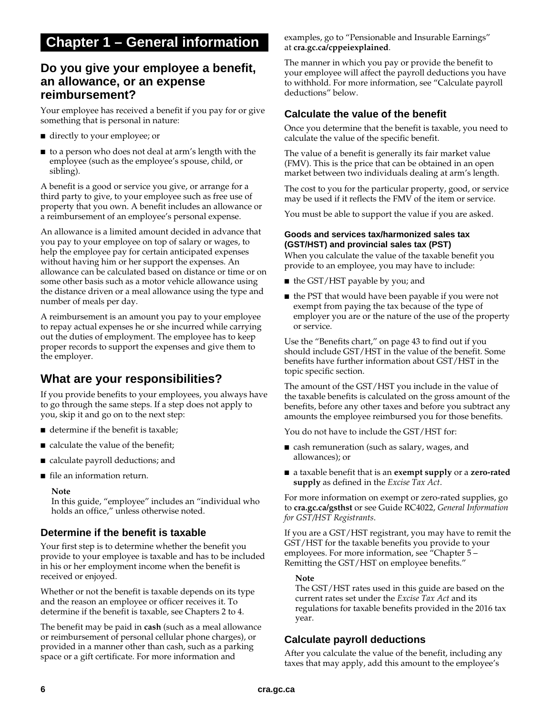## **Chapter 1 – General information**

## **Do you give your employee a benefit, an allowance, or an expense reimbursement?**

Your employee has received a benefit if you pay for or give something that is personal in nature:

- directly to your employee; or
- to a person who does not deal at arm's length with the employee (such as the employee's spouse, child, or sibling).

A benefit is a good or service you give, or arrange for a third party to give, to your employee such as free use of property that you own. A benefit includes an allowance or a reimbursement of an employee's personal expense.

An allowance is a limited amount decided in advance that you pay to your employee on top of salary or wages, to help the employee pay for certain anticipated expenses without having him or her support the expenses. An allowance can be calculated based on distance or time or on some other basis such as a motor vehicle allowance using the distance driven or a meal allowance using the type and number of meals per day.

A reimbursement is an amount you pay to your employee to repay actual expenses he or she incurred while carrying out the duties of employment. The employee has to keep proper records to support the expenses and give them to the employer.

## **What are your responsibilities?**

If you provide benefits to your employees, you always have to go through the same steps. If a step does not apply to you, skip it and go on to the next step:

- determine if the benefit is taxable;
- calculate the value of the benefit;
- calculate payroll deductions; and
- file an information return.

#### **Note**

In this guide, "employee" includes an "individual who holds an office," unless otherwise noted.

### **Determine if the benefit is taxable**

Your first step is to determine whether the benefit you provide to your employee is taxable and has to be included in his or her employment income when the benefit is received or enjoyed.

Whether or not the benefit is taxable depends on its type and the reason an employee or officer receives it. To determine if the benefit is taxable, see Chapters 2 to 4.

The benefit may be paid in **cash** (such as a meal allowance or reimbursement of personal cellular phone charges), or provided in a manner other than cash, such as a parking space or a gift certificate. For more information and

examples, go to "Pensionable and Insurable Earnings" at **cra.gc.ca/cppeiexplained**.

The manner in which you pay or provide the benefit to your employee will affect the payroll deductions you have to withhold. For more information, see "Calculate payroll deductions" below.

### **Calculate the value of the benefit**

Once you determine that the benefit is taxable, you need to calculate the value of the specific benefit.

The value of a benefit is generally its fair market value (FMV). This is the price that can be obtained in an open market between two individuals dealing at arm's length.

The cost to you for the particular property, good, or service may be used if it reflects the FMV of the item or service.

You must be able to support the value if you are asked.

#### **Goods and services tax/harmonized sales tax (GST/HST) and provincial sales tax (PST)**

When you calculate the value of the taxable benefit you provide to an employee, you may have to include:

- the GST/HST payable by you; and
- the PST that would have been payable if you were not exempt from paying the tax because of the type of employer you are or the nature of the use of the property or service.

Use the "Benefits chart," on page 43 to find out if you should include GST/HST in the value of the benefit. Some benefits have further information about GST/HST in the topic specific section.

The amount of the GST/HST you include in the value of the taxable benefits is calculated on the gross amount of the benefits, before any other taxes and before you subtract any amounts the employee reimbursed you for those benefits.

You do not have to include the GST/HST for:

- cash remuneration (such as salary, wages, and allowances); or
- a taxable benefit that is an **exempt supply** or a **zero-rated supply** as defined in the *Excise Tax Act*.

For more information on exempt or zero-rated supplies, go to **cra.gc.ca/gsthst** or see Guide RC4022, *General Information for GST/HST Registrants*.

If you are a GST/HST registrant, you may have to remit the GST/HST for the taxable benefits you provide to your employees. For more information, see "Chapter 5 – Remitting the GST/HST on employee benefits."

#### **Note**

The GST/HST rates used in this guide are based on the current rates set under the *Excise Tax Act* and its regulations for taxable benefits provided in the 2016 tax year.

### **Calculate payroll deductions**

After you calculate the value of the benefit, including any taxes that may apply, add this amount to the employee's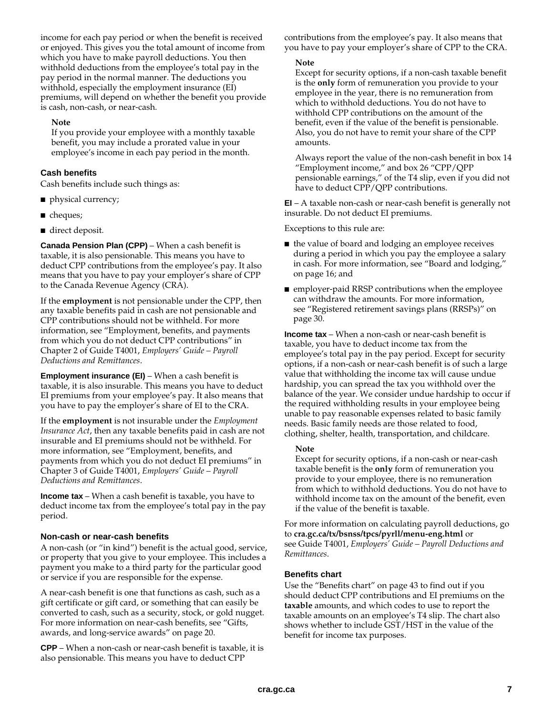income for each pay period or when the benefit is received or enjoyed. This gives you the total amount of income from which you have to make payroll deductions. You then withhold deductions from the employee's total pay in the pay period in the normal manner. The deductions you withhold, especially the employment insurance (EI) premiums, will depend on whether the benefit you provide is cash, non-cash, or near-cash.

#### **Note**

If you provide your employee with a monthly taxable benefit, you may include a prorated value in your employee's income in each pay period in the month.

### **Cash benefits**

Cash benefits include such things as:

- physical currency;
- cheques;
- direct deposit.

**Canada Pension Plan (CPP)** – When a cash benefit is taxable, it is also pensionable. This means you have to deduct CPP contributions from the employee's pay. It also means that you have to pay your employer's share of CPP to the Canada Revenue Agency (CRA).

If the **employment** is not pensionable under the CPP, then any taxable benefits paid in cash are not pensionable and CPP contributions should not be withheld. For more information, see "Employment, benefits, and payments from which you do not deduct CPP contributions" in Chapter 2 of Guide T4001, *Employers' Guide – Payroll Deductions and Remittances*.

**Employment insurance (EI)** – When a cash benefit is taxable, it is also insurable. This means you have to deduct EI premiums from your employee's pay. It also means that you have to pay the employer's share of EI to the CRA.

If the **employment** is not insurable under the *Employment Insurance Act*, then any taxable benefits paid in cash are not insurable and EI premiums should not be withheld. For more information, see "Employment, benefits, and payments from which you do not deduct EI premiums" in Chapter 3 of Guide T4001, *Employers' Guide – Payroll Deductions and Remittances*.

**Income tax** – When a cash benefit is taxable, you have to deduct income tax from the employee's total pay in the pay period.

### **Non-cash or near-cash benefits**

A non-cash (or "in kind") benefit is the actual good, service, or property that you give to your employee. This includes a payment you make to a third party for the particular good or service if you are responsible for the expense.

A near-cash benefit is one that functions as cash, such as a gift certificate or gift card, or something that can easily be converted to cash, such as a security, stock, or gold nugget. For more information on near-cash benefits, see "Gifts, awards, and long-service awards" on page 20.

**CPP** – When a non-cash or near-cash benefit is taxable, it is also pensionable. This means you have to deduct CPP

contributions from the employee's pay. It also means that you have to pay your employer's share of CPP to the CRA.

#### **Note**

Except for security options, if a non-cash taxable benefit is the **only** form of remuneration you provide to your employee in the year, there is no remuneration from which to withhold deductions. You do not have to withhold CPP contributions on the amount of the benefit, even if the value of the benefit is pensionable. Also, you do not have to remit your share of the CPP amounts.

Always report the value of the non-cash benefit in box 14 "Employment income," and box 26 "CPP/QPP pensionable earnings," of the T4 slip, even if you did not have to deduct CPP/QPP contributions.

**EI** – A taxable non-cash or near-cash benefit is generally not insurable. Do not deduct EI premiums.

Exceptions to this rule are:

- the value of board and lodging an employee receives during a period in which you pay the employee a salary in cash. For more information, see "Board and lodging," on page 16; and
- employer-paid RRSP contributions when the employee can withdraw the amounts. For more information, see "Registered retirement savings plans (RRSPs)" on page 30.

**Income tax** – When a non-cash or near-cash benefit is taxable, you have to deduct income tax from the employee's total pay in the pay period. Except for security options, if a non-cash or near-cash benefit is of such a large value that withholding the income tax will cause undue hardship, you can spread the tax you withhold over the balance of the year. We consider undue hardship to occur if the required withholding results in your employee being unable to pay reasonable expenses related to basic family needs. Basic family needs are those related to food, clothing, shelter, health, transportation, and childcare.

#### **Note**

Except for security options, if a non-cash or near-cash taxable benefit is the **only** form of remuneration you provide to your employee, there is no remuneration from which to withhold deductions. You do not have to withhold income tax on the amount of the benefit, even if the value of the benefit is taxable.

For more information on calculating payroll deductions, go to **cra.gc.ca/tx/bsnss/tpcs/pyrll/menu-eng.html** or see Guide T4001, *Employers' Guide – Payroll Deductions and Remittances*.

### **Benefits chart**

Use the "Benefits chart" on page 43 to find out if you should deduct CPP contributions and EI premiums on the **taxable** amounts, and which codes to use to report the taxable amounts on an employee's T4 slip. The chart also shows whether to include GST/HST in the value of the benefit for income tax purposes.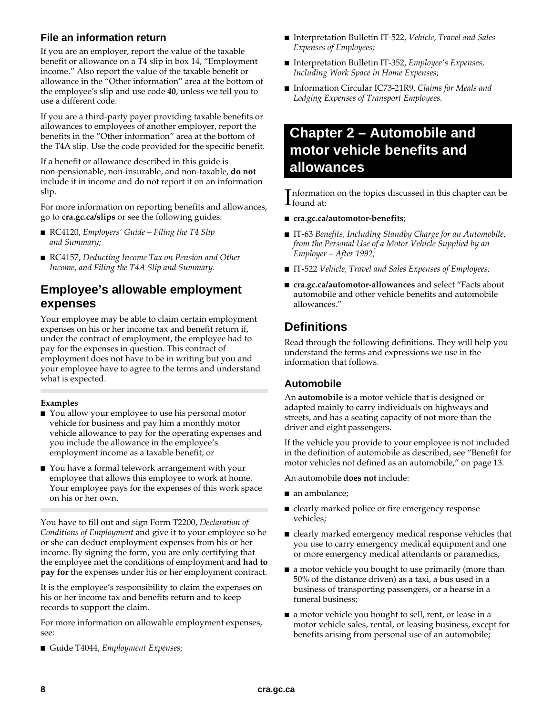### **File an information return**

If you are an employer, report the value of the taxable benefit or allowance on a T4 slip in box 14, "Employment income." Also report the value of the taxable benefit or allowance in the "Other information" area at the bottom of the employee's slip and use code **40**, unless we tell you to use a different code.

If you are a third-party payer providing taxable benefits or allowances to employees of another employer, report the benefits in the "Other information" area at the bottom of the T4A slip. Use the code provided for the specific benefit.

If a benefit or allowance described in this guide is non-pensionable, non-insurable, and non-taxable, **do not** include it in income and do not report it on an information slip.

For more information on reporting benefits and allowances, go to **cra.gc.ca/slips** or see the following guides:

- RC4120, *Employers'* Guide Filing the T4 Slip *and Summary;*
- RC4157, *Deducting Income Tax on Pension and Other Income, and Filing the T4A Slip and Summary.*

## **Employee's allowable employment expenses**

Your employee may be able to claim certain employment expenses on his or her income tax and benefit return if, under the contract of employment, the employee had to pay for the expenses in question. This contract of employment does not have to be in writing but you and your employee have to agree to the terms and understand what is expected.

### **Examples**

- You allow your employee to use his personal motor vehicle for business and pay him a monthly motor vehicle allowance to pay for the operating expenses and you include the allowance in the employee's employment income as a taxable benefit; or
- You have a formal telework arrangement with your employee that allows this employee to work at home. Your employee pays for the expenses of this work space on his or her own.

You have to fill out and sign Form T2200, *Declaration of Conditions of Employment* and give it to your employee so he or she can deduct employment expenses from his or her income. By signing the form, you are only certifying that the employee met the conditions of employment and **had to pay for** the expenses under his or her employment contract.

It is the employee's responsibility to claim the expenses on his or her income tax and benefits return and to keep records to support the claim.

For more information on allowable employment expenses, see:

■ Guide T4044, *Employment Expenses;*

- Interpretation Bulletin IT-522, Vehicle, Travel and Sales *Expenses of Employees;*
- Interpretation Bulletin IT-352, *Employee's Expenses, Including Work Space in Home Expenses*;
- Information Circular IC73-21R9, *Claims for Meals and Lodging Expenses of Transport Employees.*

## **Chapter 2 – Automobile and motor vehicle benefits and allowances**

nformation on the topics discussed in this chapter can be Informatic<br>**I**found at:

- **cra.gc.ca/automotor-benefits**;
- IT-63 *Benefits, Including Standby Charge for an Automobile, from the Personal Use of a Motor Vehicle Supplied by an Employer – After 1992;*
- IT-522 *Vehicle, Travel and Sales Expenses of Employees*;
- **cra.gc.ca/automotor-allowances** and select "Facts about automobile and other vehicle benefits and automobile allowances."

## **Definitions**

Read through the following definitions. They will help you understand the terms and expressions we use in the information that follows.

### **Automobile**

An **automobile** is a motor vehicle that is designed or adapted mainly to carry individuals on highways and streets, and has a seating capacity of not more than the driver and eight passengers.

If the vehicle you provide to your employee is not included in the definition of automobile as described, see "Benefit for motor vehicles not defined as an automobile," on page 13.

An automobile **does not** include:

- an ambulance;
- clearly marked police or fire emergency response vehicles;
- clearly marked emergency medical response vehicles that you use to carry emergency medical equipment and one or more emergency medical attendants or paramedics;
- a motor vehicle you bought to use primarily (more than 50% of the distance driven) as a taxi, a bus used in a business of transporting passengers, or a hearse in a funeral business;
- a motor vehicle you bought to sell, rent, or lease in a motor vehicle sales, rental, or leasing business, except for benefits arising from personal use of an automobile;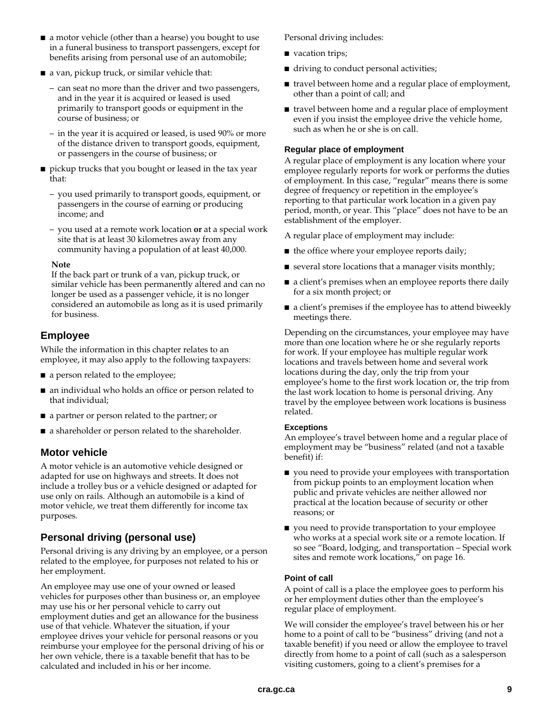- a motor vehicle (other than a hearse) you bought to use in a funeral business to transport passengers, except for benefits arising from personal use of an automobile;
- a van, pickup truck, or similar vehicle that:
	- can seat no more than the driver and two passengers, and in the year it is acquired or leased is used primarily to transport goods or equipment in the course of business; or
	- in the year it is acquired or leased, is used 90% or more of the distance driven to transport goods, equipment, or passengers in the course of business; or
- pickup trucks that you bought or leased in the tax year that:
	- you used primarily to transport goods, equipment, or passengers in the course of earning or producing income; and
	- you used at a remote work location **or** at a special work site that is at least 30 kilometres away from any community having a population of at least 40,000.

### **Note**

If the back part or trunk of a van, pickup truck, or similar vehicle has been permanently altered and can no longer be used as a passenger vehicle, it is no longer considered an automobile as long as it is used primarily for business.

### **Employee**

While the information in this chapter relates to an employee, it may also apply to the following taxpayers:

- a person related to the employee;
- an individual who holds an office or person related to that individual;
- a partner or person related to the partner; or
- a shareholder or person related to the shareholder.

### **Motor vehicle**

A motor vehicle is an automotive vehicle designed or adapted for use on highways and streets. It does not include a trolley bus or a vehicle designed or adapted for use only on rails. Although an automobile is a kind of motor vehicle, we treat them differently for income tax purposes.

### **Personal driving (personal use)**

Personal driving is any driving by an employee, or a person related to the employee, for purposes not related to his or her employment.

An employee may use one of your owned or leased vehicles for purposes other than business or, an employee may use his or her personal vehicle to carry out employment duties and get an allowance for the business use of that vehicle. Whatever the situation, if your employee drives your vehicle for personal reasons or you reimburse your employee for the personal driving of his or her own vehicle, there is a taxable benefit that has to be calculated and included in his or her income.

Personal driving includes:

- vacation trips;
- driving to conduct personal activities;
- travel between home and a regular place of employment, other than a point of call; and
- travel between home and a regular place of employment even if you insist the employee drive the vehicle home, such as when he or she is on call.

### **Regular place of employment**

A regular place of employment is any location where your employee regularly reports for work or performs the duties of employment. In this case, "regular" means there is some degree of frequency or repetition in the employee's reporting to that particular work location in a given pay period, month, or year. This "place" does not have to be an establishment of the employer.

A regular place of employment may include:

- the office where your employee reports daily;
- $\blacksquare$  several store locations that a manager visits monthly;
- a client's premises when an employee reports there daily for a six month project; or
- a client's premises if the employee has to attend biweekly meetings there.

Depending on the circumstances, your employee may have more than one location where he or she regularly reports for work. If your employee has multiple regular work locations and travels between home and several work locations during the day, only the trip from your employee's home to the first work location or, the trip from the last work location to home is personal driving. Any travel by the employee between work locations is business related.

### **Exceptions**

An employee's travel between home and a regular place of employment may be "business" related (and not a taxable benefit) if:

- you need to provide your employees with transportation from pickup points to an employment location when public and private vehicles are neither allowed nor practical at the location because of security or other reasons; or
- you need to provide transportation to your employee who works at a special work site or a remote location. If so see "Board, lodging, and transportation – Special work sites and remote work locations," on page 16.

### **Point of call**

A point of call is a place the employee goes to perform his or her employment duties other than the employee's regular place of employment.

We will consider the employee's travel between his or her home to a point of call to be "business" driving (and not a taxable benefit) if you need or allow the employee to travel directly from home to a point of call (such as a salesperson visiting customers, going to a client's premises for a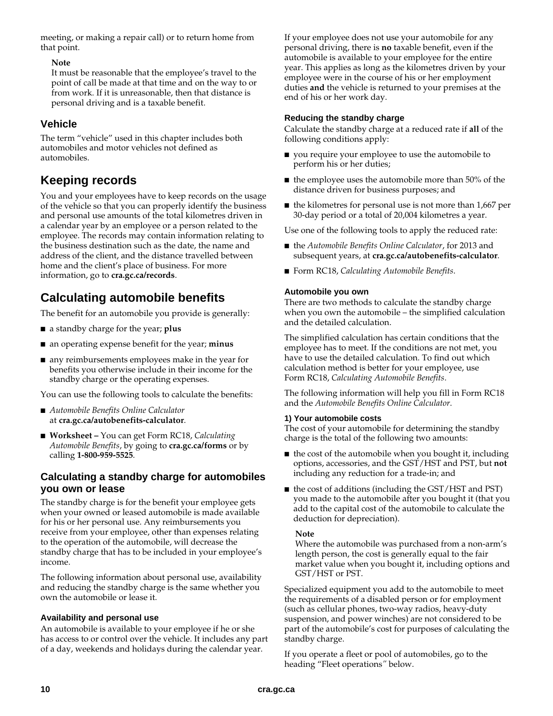meeting, or making a repair call) or to return home from that point.

### **Note**

It must be reasonable that the employee's travel to the point of call be made at that time and on the way to or from work. If it is unreasonable, then that distance is personal driving and is a taxable benefit.

### **Vehicle**

The term "vehicle" used in this chapter includes both automobiles and motor vehicles not defined as automobiles.

## **Keeping records**

You and your employees have to keep records on the usage of the vehicle so that you can properly identify the business and personal use amounts of the total kilometres driven in a calendar year by an employee or a person related to the employee. The records may contain information relating to the business destination such as the date, the name and address of the client, and the distance travelled between home and the client's place of business. For more information, go to **cra.gc.ca/records**.

## **Calculating automobile benefits**

The benefit for an automobile you provide is generally:

- a standby charge for the year; **plus**
- an operating expense benefit for the year; **minus**
- any reimbursements employees make in the year for benefits you otherwise include in their income for the standby charge or the operating expenses.

You can use the following tools to calculate the benefits:

- *Automobile Benefits Online Calculator* at **cra.gc.ca/autobenefits-calculator**.
- **Worksheet** You can get Form RC18, *Calculating Automobile Benefits*, by going to **cra.gc.ca/forms** or by calling **1-800-959-5525**.

### **Calculating a standby charge for automobiles you own or lease**

The standby charge is for the benefit your employee gets when your owned or leased automobile is made available for his or her personal use. Any reimbursements you receive from your employee, other than expenses relating to the operation of the automobile, will decrease the standby charge that has to be included in your employee's income.

The following information about personal use, availability and reducing the standby charge is the same whether you own the automobile or lease it.

### **Availability and personal use**

An automobile is available to your employee if he or she has access to or control over the vehicle. It includes any part of a day, weekends and holidays during the calendar year.

If your employee does not use your automobile for any personal driving, there is **no** taxable benefit, even if the automobile is available to your employee for the entire year. This applies as long as the kilometres driven by your employee were in the course of his or her employment duties **and** the vehicle is returned to your premises at the end of his or her work day.

### **Reducing the standby charge**

Calculate the standby charge at a reduced rate if **all** of the following conditions apply:

- you require your employee to use the automobile to perform his or her duties;
- the employee uses the automobile more than 50% of the distance driven for business purposes; and
- $\blacksquare$  the kilometres for personal use is not more than 1,667 per 30-day period or a total of 20,004 kilometres a year.

Use one of the following tools to apply the reduced rate:

- the *Automobile Benefits Online Calculator*, for 2013 and subsequent years, at **cra.gc.ca/autobenefits-calculator**.
- Form RC18, *Calculating Automobile Benefits*.

### **Automobile you own**

There are two methods to calculate the standby charge when you own the automobile – the simplified calculation and the detailed calculation.

The simplified calculation has certain conditions that the employee has to meet. If the conditions are not met, you have to use the detailed calculation. To find out which calculation method is better for your employee, use Form RC18, *Calculating Automobile Benefits*.

The following information will help you fill in Form RC18 and the *Automobile Benefits Online Calculator*.

### **1) Your automobile costs**

The cost of your automobile for determining the standby charge is the total of the following two amounts:

- the cost of the automobile when you bought it, including options, accessories, and the GST/HST and PST, but **not** including any reduction for a trade-in; and
- the cost of additions (including the GST/HST and PST) you made to the automobile after you bought it (that you add to the capital cost of the automobile to calculate the deduction for depreciation).

### **Note**

Where the automobile was purchased from a non-arm's length person, the cost is generally equal to the fair market value when you bought it, including options and GST/HST or PST.

Specialized equipment you add to the automobile to meet the requirements of a disabled person or for employment (such as cellular phones, two-way radios, heavy-duty suspension, and power winches) are not considered to be part of the automobile's cost for purposes of calculating the standby charge.

If you operate a fleet or pool of automobiles, go to the heading "Fleet operations*"* below.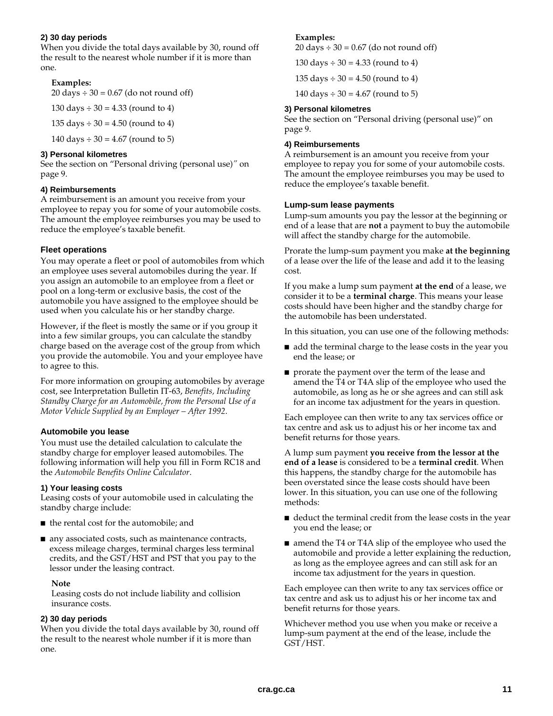### **2) 30 day periods**

When you divide the total days available by 30, round off the result to the nearest whole number if it is more than one.

#### **Examples:**

 $20 \text{ days} \div 30 = 0.67 \text{ (do not round off)}$ 

130 days  $\div$  30 = 4.33 (round to 4)

135 days  $\div$  30 = 4.50 (round to 4)

140 days  $\div$  30 = 4.67 (round to 5)

#### **3) Personal kilometres**

See the section on "Personal driving (personal use)*"* on page 9.

#### **4) Reimbursements**

A reimbursement is an amount you receive from your employee to repay you for some of your automobile costs. The amount the employee reimburses you may be used to reduce the employee's taxable benefit.

#### **Fleet operations**

You may operate a fleet or pool of automobiles from which an employee uses several automobiles during the year. If you assign an automobile to an employee from a fleet or pool on a long-term or exclusive basis, the cost of the automobile you have assigned to the employee should be used when you calculate his or her standby charge.

However, if the fleet is mostly the same or if you group it into a few similar groups, you can calculate the standby charge based on the average cost of the group from which you provide the automobile. You and your employee have to agree to this.

For more information on grouping automobiles by average cost, see Interpretation Bulletin IT-63, *Benefits, Including Standby Charge for an Automobile, from the Personal Use of a Motor Vehicle Supplied by an Employer – After 1992*.

### **Automobile you lease**

You must use the detailed calculation to calculate the standby charge for employer leased automobiles. The following information will help you fill in Form RC18 and the *Automobile Benefits Online Calculator*.

#### **1) Your leasing costs**

Leasing costs of your automobile used in calculating the standby charge include:

- the rental cost for the automobile; and
- any associated costs, such as maintenance contracts, excess mileage charges, terminal charges less terminal credits, and the GST/HST and PST that you pay to the lessor under the leasing contract.

#### **Note**

Leasing costs do not include liability and collision insurance costs.

### **2) 30 day periods**

When you divide the total days available by 30, round off the result to the nearest whole number if it is more than one.

#### **Examples:**

 $20 \text{ days} \div 30 = 0.67 \text{ (do not round off)}$ 

130 days  $\div$  30 = 4.33 (round to 4) 135 days  $\div$  30 = 4.50 (round to 4)

140 days  $\div$  30 = 4.67 (round to 5)

#### **3) Personal kilometres**

See the section on "Personal driving (personal use)" on page 9.

#### **4) Reimbursements**

A reimbursement is an amount you receive from your employee to repay you for some of your automobile costs. The amount the employee reimburses you may be used to reduce the employee's taxable benefit.

#### **Lump-sum lease payments**

Lump-sum amounts you pay the lessor at the beginning or end of a lease that are **not** a payment to buy the automobile will affect the standby charge for the automobile.

Prorate the lump-sum payment you make **at the beginning** of a lease over the life of the lease and add it to the leasing cost.

If you make a lump sum payment **at the end** of a lease, we consider it to be a **terminal charge**. This means your lease costs should have been higher and the standby charge for the automobile has been understated.

In this situation, you can use one of the following methods:

- add the terminal charge to the lease costs in the year you end the lease; or
- prorate the payment over the term of the lease and amend the T4 or T4A slip of the employee who used the automobile, as long as he or she agrees and can still ask for an income tax adjustment for the years in question.

Each employee can then write to any tax services office or tax centre and ask us to adjust his or her income tax and benefit returns for those years.

A lump sum payment **you receive from the lessor at the end of a lease** is considered to be a **terminal credit**. When this happens, the standby charge for the automobile has been overstated since the lease costs should have been lower. In this situation, you can use one of the following methods:

- deduct the terminal credit from the lease costs in the year you end the lease; or
- amend the T4 or T4A slip of the employee who used the automobile and provide a letter explaining the reduction, as long as the employee agrees and can still ask for an income tax adjustment for the years in question.

Each employee can then write to any tax services office or tax centre and ask us to adjust his or her income tax and benefit returns for those years.

Whichever method you use when you make or receive a lump-sum payment at the end of the lease, include the GST/HST.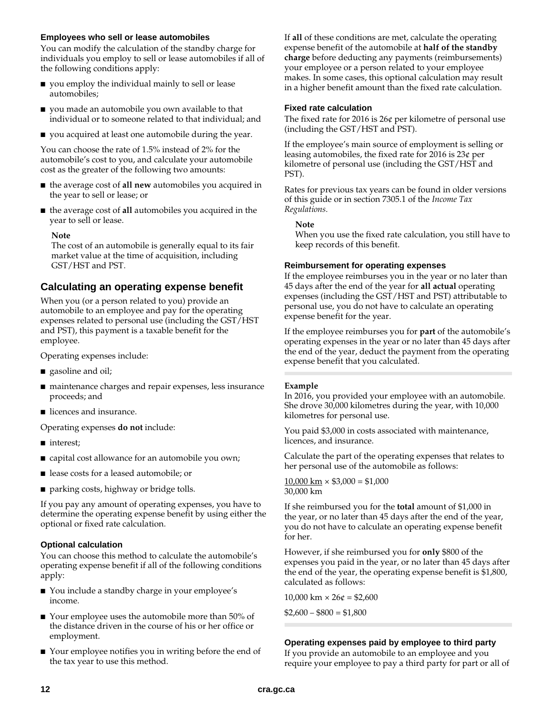#### **Employees who sell or lease automobiles**

You can modify the calculation of the standby charge for individuals you employ to sell or lease automobiles if all of the following conditions apply:

- you employ the individual mainly to sell or lease automobiles;
- you made an automobile you own available to that individual or to someone related to that individual; and
- you acquired at least one automobile during the year.

You can choose the rate of 1.5% instead of 2% for the automobile's cost to you, and calculate your automobile cost as the greater of the following two amounts:

- the average cost of **all new** automobiles you acquired in the year to sell or lease; or
- the average cost of **all** automobiles you acquired in the year to sell or lease.

**Note** 

The cost of an automobile is generally equal to its fair market value at the time of acquisition, including GST/HST and PST.

### **Calculating an operating expense benefit**

When you (or a person related to you) provide an automobile to an employee and pay for the operating expenses related to personal use (including the GST/HST and PST), this payment is a taxable benefit for the employee.

Operating expenses include:

- gasoline and oil;
- maintenance charges and repair expenses, less insurance proceeds; and
- licences and insurance.

Operating expenses **do not** include:

- interest;
- capital cost allowance for an automobile you own;
- lease costs for a leased automobile; or
- parking costs, highway or bridge tolls.

If you pay any amount of operating expenses, you have to determine the operating expense benefit by using either the optional or fixed rate calculation.

### **Optional calculation**

You can choose this method to calculate the automobile's operating expense benefit if all of the following conditions apply:

- You include a standby charge in your employee's income.
- Your employee uses the automobile more than 50% of the distance driven in the course of his or her office or employment.
- Your employee notifies you in writing before the end of the tax year to use this method.

If **all** of these conditions are met, calculate the operating expense benefit of the automobile at **half of the standby charge** before deducting any payments (reimbursements) your employee or a person related to your employee makes. In some cases, this optional calculation may result in a higher benefit amount than the fixed rate calculation.

#### **Fixed rate calculation**

The fixed rate for 2016 is 26¢ per kilometre of personal use (including the GST/HST and PST).

If the employee's main source of employment is selling or leasing automobiles, the fixed rate for 2016 is 23¢ per kilometre of personal use (including the GST/HST and PST).

Rates for previous tax years can be found in older versions of this guide or in section 7305.1 of the *Income Tax Regulations.*

#### **Note**

When you use the fixed rate calculation, you still have to keep records of this benefit.

#### **Reimbursement for operating expenses**

If the employee reimburses you in the year or no later than 45 days after the end of the year for **all actual** operating expenses (including the GST/HST and PST) attributable to personal use, you do not have to calculate an operating expense benefit for the year.

If the employee reimburses you for **part** of the automobile's operating expenses in the year or no later than 45 days after the end of the year, deduct the payment from the operating expense benefit that you calculated.

#### **Example**

In 2016, you provided your employee with an automobile. She drove 30,000 kilometres during the year, with 10,000 kilometres for personal use.

You paid \$3,000 in costs associated with maintenance, licences, and insurance.

Calculate the part of the operating expenses that relates to her personal use of the automobile as follows:

 $10,000 \text{ km} \times $3,000 = $1,000$ 30,000 km

If she reimbursed you for the **total** amount of \$1,000 in the year, or no later than 45 days after the end of the year, you do not have to calculate an operating expense benefit for her.

However, if she reimbursed you for **only** \$800 of the expenses you paid in the year, or no later than 45 days after the end of the year, the operating expense benefit is \$1,800, calculated as follows:

 $10,000$  km  $\times 26$ ¢ = \$2,600

 $$2,600 - $800 = $1,800$ 

### **Operating expenses paid by employee to third party**

If you provide an automobile to an employee and you require your employee to pay a third party for part or all of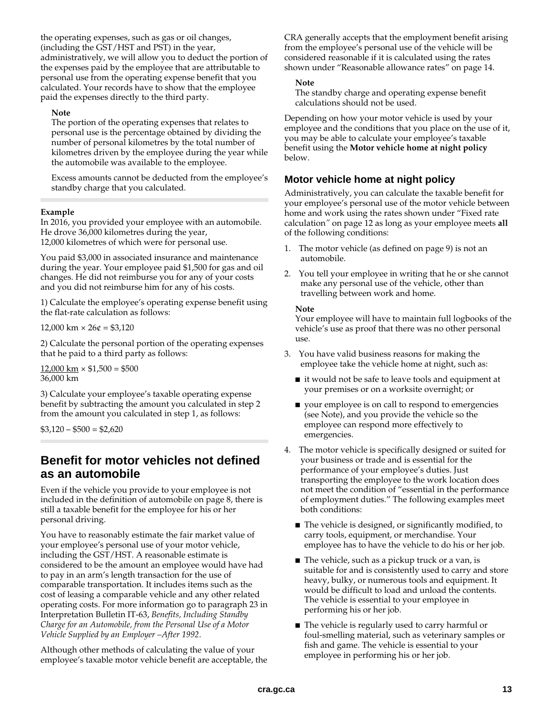the operating expenses, such as gas or oil changes, (including the GST/HST and PST) in the year, administratively, we will allow you to deduct the portion of the expenses paid by the employee that are attributable to personal use from the operating expense benefit that you calculated. Your records have to show that the employee paid the expenses directly to the third party.

#### **Note**

The portion of the operating expenses that relates to personal use is the percentage obtained by dividing the number of personal kilometres by the total number of kilometres driven by the employee during the year while the automobile was available to the employee.

Excess amounts cannot be deducted from the employee's standby charge that you calculated.

### **Example**

In 2016, you provided your employee with an automobile. He drove 36,000 kilometres during the year, 12,000 kilometres of which were for personal use.

You paid \$3,000 in associated insurance and maintenance during the year. Your employee paid \$1,500 for gas and oil changes. He did not reimburse you for any of your costs and you did not reimburse him for any of his costs.

1) Calculate the employee's operating expense benefit using the flat-rate calculation as follows:

 $12,000 \text{ km} \times 26 \ell = $3,120$ 

2) Calculate the personal portion of the operating expenses that he paid to a third party as follows:

 $12,000 \text{ km} \times \$1,500 = \$500$ 36,000 km

3) Calculate your employee's taxable operating expense benefit by subtracting the amount you calculated in step 2 from the amount you calculated in step 1, as follows:

 $$3,120 - $500 = $2,620$ 

## **Benefit for motor vehicles not defined as an automobile**

Even if the vehicle you provide to your employee is not included in the definition of automobile on page 8, there is still a taxable benefit for the employee for his or her personal driving.

You have to reasonably estimate the fair market value of your employee's personal use of your motor vehicle, including the GST/HST. A reasonable estimate is considered to be the amount an employee would have had to pay in an arm's length transaction for the use of comparable transportation. It includes items such as the cost of leasing a comparable vehicle and any other related operating costs. For more information go to paragraph 23 in Interpretation Bulletin IT-63, *Benefits, Including Standby Charge for an Automobile, from the Personal Use of a Motor Vehicle Supplied by an Employer –After 1992*.

Although other methods of calculating the value of your employee's taxable motor vehicle benefit are acceptable, the CRA generally accepts that the employment benefit arising from the employee's personal use of the vehicle will be considered reasonable if it is calculated using the rates shown under "Reasonable allowance rates" on page 14.

#### **Note**

The standby charge and operating expense benefit calculations should not be used.

Depending on how your motor vehicle is used by your employee and the conditions that you place on the use of it, you may be able to calculate your employee's taxable benefit using the **Motor vehicle home at night policy** below.

### **Motor vehicle home at night policy**

Administratively, you can calculate the taxable benefit for your employee's personal use of the motor vehicle between home and work using the rates shown under "Fixed rate calculation*"* on page 12 as long as your employee meets **all** of the following conditions:

- 1. The motor vehicle (as defined on page 9) is not an automobile.
- 2. You tell your employee in writing that he or she cannot make any personal use of the vehicle, other than travelling between work and home.

### **Note**

Your employee will have to maintain full logbooks of the vehicle's use as proof that there was no other personal use.

- 3. You have valid business reasons for making the employee take the vehicle home at night, such as:
	- it would not be safe to leave tools and equipment at your premises or on a worksite overnight; or
	- your employee is on call to respond to emergencies (see Note), and you provide the vehicle so the employee can respond more effectively to emergencies.
- 4. The motor vehicle is specifically designed or suited for your business or trade and is essential for the performance of your employee's duties. Just transporting the employee to the work location does not meet the condition of "essential in the performance of employment duties." The following examples meet both conditions:
	- The vehicle is designed, or significantly modified, to carry tools, equipment, or merchandise. Your employee has to have the vehicle to do his or her job.
	- $\blacksquare$  The vehicle, such as a pickup truck or a van, is suitable for and is consistently used to carry and store heavy, bulky, or numerous tools and equipment. It would be difficult to load and unload the contents. The vehicle is essential to your employee in performing his or her job.
	- The vehicle is regularly used to carry harmful or foul-smelling material, such as veterinary samples or fish and game. The vehicle is essential to your employee in performing his or her job.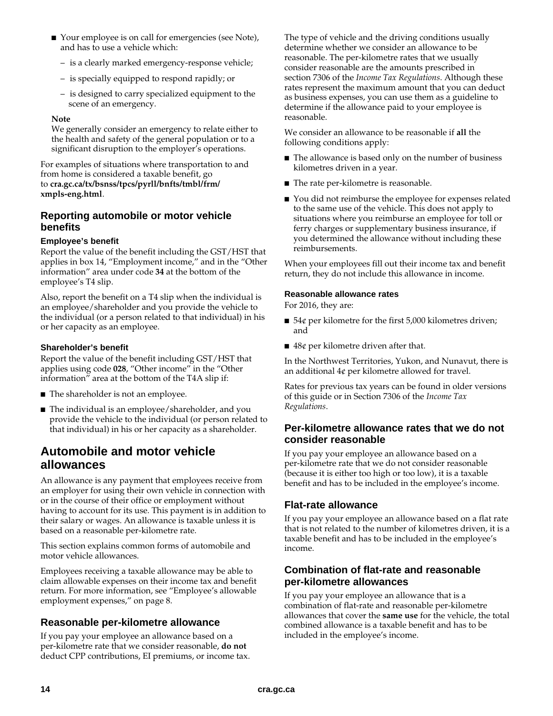- Your employee is on call for emergencies (see Note), and has to use a vehicle which:
	- is a clearly marked emergency-response vehicle;
	- is specially equipped to respond rapidly; or
	- is designed to carry specialized equipment to the scene of an emergency.

### **Note**

We generally consider an emergency to relate either to the health and safety of the general population or to a significant disruption to the employer's operations.

For examples of situations where transportation to and from home is considered a taxable benefit, go to **cra.gc.ca/tx/bsnss/tpcs/pyrll/bnfts/tmbl/frm/ xmpls-eng.html**.

### **Reporting automobile or motor vehicle benefits**

### **Employee's benefit**

Report the value of the benefit including the GST/HST that applies in box 14, "Employment income," and in the "Other information" area under code **34** at the bottom of the employee's T4 slip.

Also, report the benefit on a T4 slip when the individual is an employee/shareholder and you provide the vehicle to the individual (or a person related to that individual) in his or her capacity as an employee.

### **Shareholder's benefit**

Report the value of the benefit including GST/HST that applies using code **028**, "Other income" in the "Other information" area at the bottom of the T4A slip if:

- The shareholder is not an employee.
- The individual is an employee/shareholder, and you provide the vehicle to the individual (or person related to that individual) in his or her capacity as a shareholder.

## **Automobile and motor vehicle allowances**

An allowance is any payment that employees receive from an employer for using their own vehicle in connection with or in the course of their office or employment without having to account for its use. This payment is in addition to their salary or wages. An allowance is taxable unless it is based on a reasonable per-kilometre rate.

This section explains common forms of automobile and motor vehicle allowances.

Employees receiving a taxable allowance may be able to claim allowable expenses on their income tax and benefit return. For more information, see "Employee's allowable employment expenses," on page 8.

### **Reasonable per-kilometre allowance**

If you pay your employee an allowance based on a per-kilometre rate that we consider reasonable, **do not** deduct CPP contributions, EI premiums, or income tax. The type of vehicle and the driving conditions usually determine whether we consider an allowance to be reasonable. The per-kilometre rates that we usually consider reasonable are the amounts prescribed in section 7306 of the *Income Tax Regulations*. Although these rates represent the maximum amount that you can deduct as business expenses, you can use them as a guideline to determine if the allowance paid to your employee is reasonable.

We consider an allowance to be reasonable if **all** the following conditions apply:

- The allowance is based only on the number of business kilometres driven in a year.
- The rate per-kilometre is reasonable.
- You did not reimburse the employee for expenses related to the same use of the vehicle. This does not apply to situations where you reimburse an employee for toll or ferry charges or supplementary business insurance, if you determined the allowance without including these reimbursements.

When your employees fill out their income tax and benefit return, they do not include this allowance in income.

### **Reasonable allowance rates**

For 2016, they are:

- $54¢$  per kilometre for the first 5,000 kilometres driven; and
- $\blacksquare$  48¢ per kilometre driven after that.

In the Northwest Territories, Yukon, and Nunavut, there is an additional  $4¢$  per kilometre allowed for travel.

Rates for previous tax years can be found in older versions of this guide or in Section 7306 of the *Income Tax Regulations*.

### **Per-kilometre allowance rates that we do not consider reasonable**

If you pay your employee an allowance based on a per-kilometre rate that we do not consider reasonable (because it is either too high or too low), it is a taxable benefit and has to be included in the employee's income.

### **Flat-rate allowance**

If you pay your employee an allowance based on a flat rate that is not related to the number of kilometres driven, it is a taxable benefit and has to be included in the employee's income.

### **Combination of flat-rate and reasonable per-kilometre allowances**

If you pay your employee an allowance that is a combination of flat-rate and reasonable per-kilometre allowances that cover the **same use** for the vehicle, the total combined allowance is a taxable benefit and has to be included in the employee's income.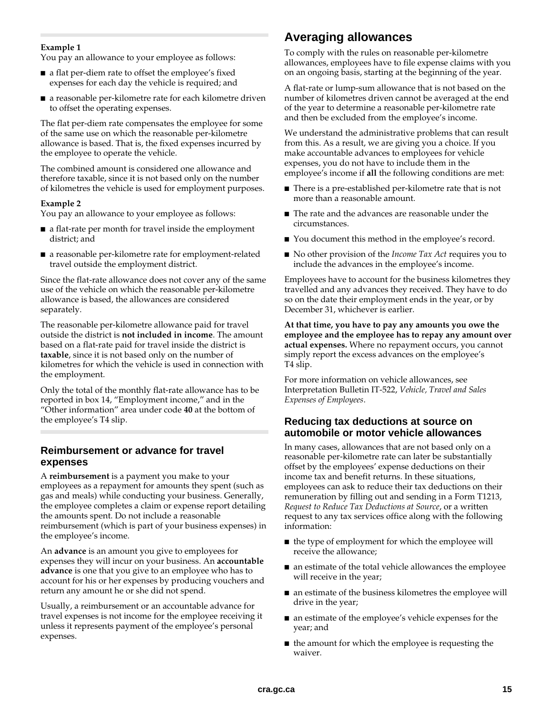### **Example 1**

You pay an allowance to your employee as follows:

- a flat per-diem rate to offset the employee's fixed expenses for each day the vehicle is required; and
- a reasonable per-kilometre rate for each kilometre driven to offset the operating expenses.

The flat per-diem rate compensates the employee for some of the same use on which the reasonable per-kilometre allowance is based. That is, the fixed expenses incurred by the employee to operate the vehicle.

The combined amount is considered one allowance and therefore taxable, since it is not based only on the number of kilometres the vehicle is used for employment purposes.

#### **Example 2**

You pay an allowance to your employee as follows:

- a flat-rate per month for travel inside the employment district; and
- a reasonable per-kilometre rate for employment-related travel outside the employment district.

Since the flat-rate allowance does not cover any of the same use of the vehicle on which the reasonable per-kilometre allowance is based, the allowances are considered separately.

The reasonable per-kilometre allowance paid for travel outside the district is **not included in income**. The amount based on a flat-rate paid for travel inside the district is **taxable**, since it is not based only on the number of kilometres for which the vehicle is used in connection with the employment.

Only the total of the monthly flat-rate allowance has to be reported in box 14, "Employment income," and in the "Other information" area under code **40** at the bottom of the employee's T4 slip.

### **Reimbursement or advance for travel expenses**

A **reimbursement** is a payment you make to your employees as a repayment for amounts they spent (such as gas and meals) while conducting your business. Generally, the employee completes a claim or expense report detailing the amounts spent. Do not include a reasonable reimbursement (which is part of your business expenses) in the employee's income.

An **advance** is an amount you give to employees for expenses they will incur on your business. An **accountable advance** is one that you give to an employee who has to account for his or her expenses by producing vouchers and return any amount he or she did not spend.

Usually, a reimbursement or an accountable advance for travel expenses is not income for the employee receiving it unless it represents payment of the employee's personal expenses.

## **Averaging allowances**

To comply with the rules on reasonable per-kilometre allowances, employees have to file expense claims with you on an ongoing basis, starting at the beginning of the year.

A flat-rate or lump-sum allowance that is not based on the number of kilometres driven cannot be averaged at the end of the year to determine a reasonable per-kilometre rate and then be excluded from the employee's income.

We understand the administrative problems that can result from this. As a result, we are giving you a choice. If you make accountable advances to employees for vehicle expenses, you do not have to include them in the employee's income if **all** the following conditions are met:

- There is a pre-established per-kilometre rate that is not more than a reasonable amount.
- The rate and the advances are reasonable under the circumstances.
- You document this method in the employee's record.
- No other provision of the *Income Tax Act* requires you to include the advances in the employee's income.

Employees have to account for the business kilometres they travelled and any advances they received. They have to do so on the date their employment ends in the year, or by December 31, whichever is earlier.

**At that time, you have to pay any amounts you owe the employee and the employee has to repay any amount over actual expenses.** Where no repayment occurs, you cannot simply report the excess advances on the employee's T4 slip.

For more information on vehicle allowances, see Interpretation Bulletin IT-522, *Vehicle, Travel and Sales Expenses of Employees*.

### **Reducing tax deductions at source on automobile or motor vehicle allowances**

In many cases, allowances that are not based only on a reasonable per-kilometre rate can later be substantially offset by the employees' expense deductions on their income tax and benefit returns. In these situations, employees can ask to reduce their tax deductions on their remuneration by filling out and sending in a Form T1213, *Request to Reduce Tax Deductions at Source*, or a written request to any tax services office along with the following information:

- the type of employment for which the employee will receive the allowance;
- an estimate of the total vehicle allowances the employee will receive in the year;
- an estimate of the business kilometres the employee will drive in the year;
- an estimate of the employee's vehicle expenses for the year; and
- the amount for which the employee is requesting the waiver.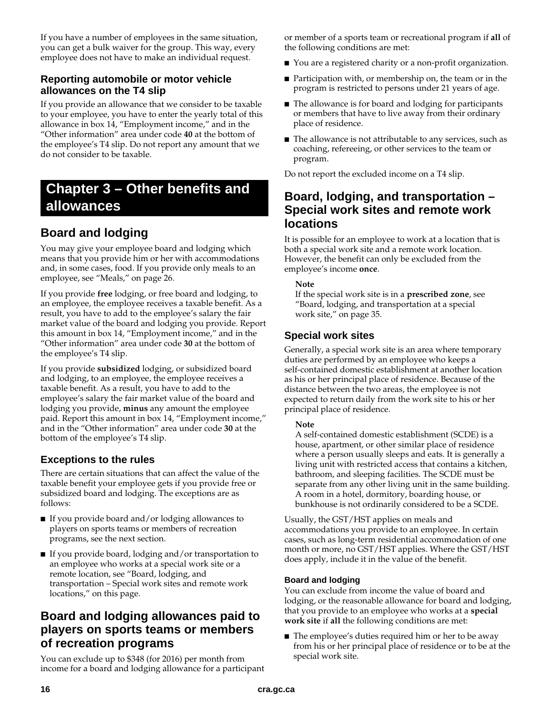If you have a number of employees in the same situation, you can get a bulk waiver for the group. This way, every employee does not have to make an individual request.

### **Reporting automobile or motor vehicle allowances on the T4 slip**

If you provide an allowance that we consider to be taxable to your employee, you have to enter the yearly total of this allowance in box 14, "Employment income," and in the "Other information" area under code **40** at the bottom of the employee's T4 slip. Do not report any amount that we do not consider to be taxable.

## **Chapter 3 – Other benefits and allowances**

## **Board and lodging**

You may give your employee board and lodging which means that you provide him or her with accommodations and, in some cases, food. If you provide only meals to an employee, see "Meals," on page 26.

If you provide **free** lodging, or free board and lodging, to an employee, the employee receives a taxable benefit. As a result, you have to add to the employee's salary the fair market value of the board and lodging you provide. Report this amount in box 14, "Employment income," and in the "Other information" area under code **30** at the bottom of the employee's T4 slip.

If you provide **subsidized** lodging, or subsidized board and lodging, to an employee, the employee receives a taxable benefit. As a result, you have to add to the employee's salary the fair market value of the board and lodging you provide, **minus** any amount the employee paid. Report this amount in box 14, "Employment income," and in the "Other information" area under code **30** at the bottom of the employee's T4 slip.

### **Exceptions to the rules**

There are certain situations that can affect the value of the taxable benefit your employee gets if you provide free or subsidized board and lodging. The exceptions are as follows:

- If you provide board and/or lodging allowances to players on sports teams or members of recreation programs, see the next section.
- If you provide board, lodging and/or transportation to an employee who works at a special work site or a remote location, see "Board, lodging, and transportation – Special work sites and remote work locations," on this page.

## **Board and lodging allowances paid to players on sports teams or members of recreation programs**

You can exclude up to \$348 (for 2016) per month from income for a board and lodging allowance for a participant or member of a sports team or recreational program if **all** of the following conditions are met:

- You are a registered charity or a non-profit organization.
- Participation with, or membership on, the team or in the program is restricted to persons under 21 years of age.
- The allowance is for board and lodging for participants or members that have to live away from their ordinary place of residence.
- The allowance is not attributable to any services, such as coaching, refereeing, or other services to the team or program.

Do not report the excluded income on a T4 slip.

## **Board, lodging, and transportation – Special work sites and remote work locations**

It is possible for an employee to work at a location that is both a special work site and a remote work location. However, the benefit can only be excluded from the employee's income **once**.

### **Note**

If the special work site is in a **prescribed zone**, see "Board, lodging, and transportation at a special work site," on page 35.

### **Special work sites**

Generally, a special work site is an area where temporary duties are performed by an employee who keeps a self-contained domestic establishment at another location as his or her principal place of residence. Because of the distance between the two areas, the employee is not expected to return daily from the work site to his or her principal place of residence.

### **Note**

A self-contained domestic establishment (SCDE) is a house, apartment, or other similar place of residence where a person usually sleeps and eats. It is generally a living unit with restricted access that contains a kitchen, bathroom, and sleeping facilities. The SCDE must be separate from any other living unit in the same building. A room in a hotel, dormitory, boarding house, or bunkhouse is not ordinarily considered to be a SCDE.

Usually, the GST/HST applies on meals and accommodations you provide to an employee. In certain cases, such as long-term residential accommodation of one month or more, no GST/HST applies. Where the GST/HST does apply, include it in the value of the benefit.

### **Board and lodging**

You can exclude from income the value of board and lodging, or the reasonable allowance for board and lodging, that you provide to an employee who works at a **special work site** if **all** the following conditions are met:

■ The employee's duties required him or her to be away from his or her principal place of residence or to be at the special work site.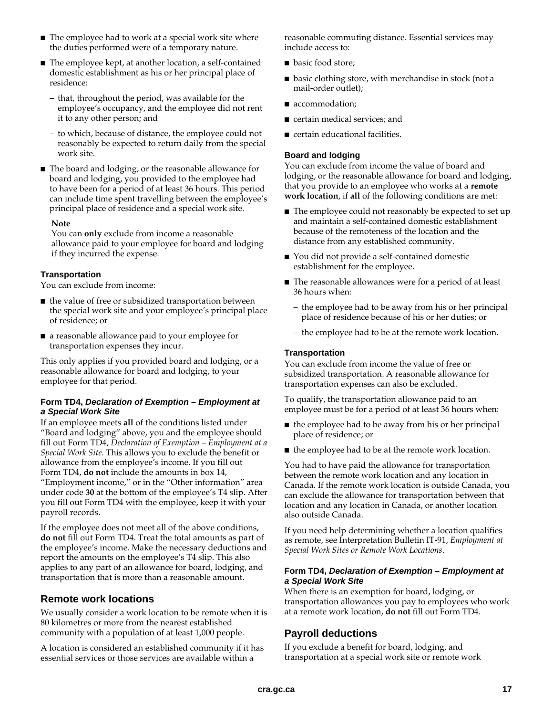- $\blacksquare$  The employee had to work at a special work site where the duties performed were of a temporary nature.
- The employee kept, at another location, a self-contained domestic establishment as his or her principal place of residence:
	- that, throughout the period, was available for the employee's occupancy, and the employee did not rent it to any other person; and
	- to which, because of distance, the employee could not reasonably be expected to return daily from the special work site.
- The board and lodging, or the reasonable allowance for board and lodging, you provided to the employee had to have been for a period of at least 36 hours. This period can include time spent travelling between the employee's principal place of residence and a special work site.

#### **Note**

You can **only** exclude from income a reasonable allowance paid to your employee for board and lodging if they incurred the expense.

### **Transportation**

You can exclude from income:

- the value of free or subsidized transportation between the special work site and your employee's principal place of residence; or
- a reasonable allowance paid to your employee for transportation expenses they incur.

This only applies if you provided board and lodging, or a reasonable allowance for board and lodging, to your employee for that period.

#### **Form TD4,** *Declaration of Exemption – Employment at a Special Work Site*

If an employee meets **all** of the conditions listed under "Board and lodging" above, you and the employee should fill out Form TD4, *Declaration of Exemption – Employment at a Special Work Site*. This allows you to exclude the benefit or allowance from the employee's income. If you fill out Form TD4, **do not** include the amounts in box 14, "Employment income," or in the "Other information" area under code **30** at the bottom of the employee's T4 slip. After you fill out Form TD4 with the employee, keep it with your payroll records.

If the employee does not meet all of the above conditions, **do not** fill out Form TD4. Treat the total amounts as part of the employee's income. Make the necessary deductions and report the amounts on the employee's T4 slip. This also applies to any part of an allowance for board, lodging, and transportation that is more than a reasonable amount.

### **Remote work locations**

We usually consider a work location to be remote when it is 80 kilometres or more from the nearest established community with a population of at least 1,000 people.

A location is considered an established community if it has essential services or those services are available within a

reasonable commuting distance. Essential services may include access to:

- basic food store;
- basic clothing store, with merchandise in stock (not a mail-order outlet);
- accommodation;
- certain medical services; and
- certain educational facilities.

### **Board and lodging**

You can exclude from income the value of board and lodging, or the reasonable allowance for board and lodging, that you provide to an employee who works at a **remote work location**, if **all** of the following conditions are met:

- The employee could not reasonably be expected to set up and maintain a self-contained domestic establishment because of the remoteness of the location and the distance from any established community.
- You did not provide a self-contained domestic establishment for the employee.
- The reasonable allowances were for a period of at least 36 hours when:
	- the employee had to be away from his or her principal place of residence because of his or her duties; or
	- the employee had to be at the remote work location.

### **Transportation**

You can exclude from income the value of free or subsidized transportation. A reasonable allowance for transportation expenses can also be excluded.

To qualify, the transportation allowance paid to an employee must be for a period of at least 36 hours when:

- $\blacksquare$  the employee had to be away from his or her principal place of residence; or
- the employee had to be at the remote work location.

You had to have paid the allowance for transportation between the remote work location and any location in Canada. If the remote work location is outside Canada, you can exclude the allowance for transportation between that location and any location in Canada, or another location also outside Canada.

If you need help determining whether a location qualifies as remote, see Interpretation Bulletin IT-91, *Employment at Special Work Sites or Remote Work Locations*.

#### **Form TD4,** *Declaration of Exemption – Employment at a Special Work Site*

When there is an exemption for board, lodging, or transportation allowances you pay to employees who work at a remote work location, **do not** fill out Form TD4.

### **Payroll deductions**

If you exclude a benefit for board, lodging, and transportation at a special work site or remote work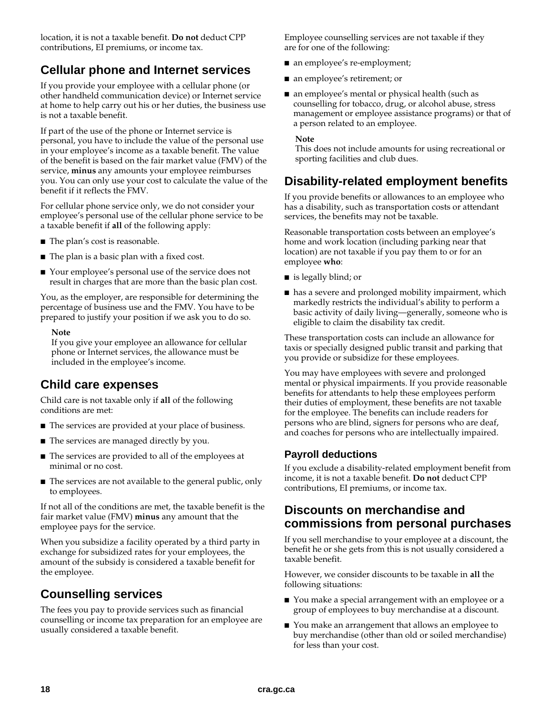location, it is not a taxable benefit. **Do not** deduct CPP contributions, EI premiums, or income tax.

## **Cellular phone and Internet services**

If you provide your employee with a cellular phone (or other handheld communication device) or Internet service at home to help carry out his or her duties, the business use is not a taxable benefit.

If part of the use of the phone or Internet service is personal, you have to include the value of the personal use in your employee's income as a taxable benefit. The value of the benefit is based on the fair market value (FMV) of the service, **minus** any amounts your employee reimburses you. You can only use your cost to calculate the value of the benefit if it reflects the FMV.

For cellular phone service only, we do not consider your employee's personal use of the cellular phone service to be a taxable benefit if **all** of the following apply:

- The plan's cost is reasonable.
- The plan is a basic plan with a fixed cost.
- Your employee's personal use of the service does not result in charges that are more than the basic plan cost.

You, as the employer, are responsible for determining the percentage of business use and the FMV. You have to be prepared to justify your position if we ask you to do so.

#### **Note**

If you give your employee an allowance for cellular phone or Internet services, the allowance must be included in the employee's income.

## **Child care expenses**

Child care is not taxable only if **all** of the following conditions are met:

- The services are provided at your place of business.
- The services are managed directly by you.
- The services are provided to all of the employees at minimal or no cost.
- The services are not available to the general public, only to employees.

If not all of the conditions are met, the taxable benefit is the fair market value (FMV) **minus** any amount that the employee pays for the service.

When you subsidize a facility operated by a third party in exchange for subsidized rates for your employees, the amount of the subsidy is considered a taxable benefit for the employee.

## **Counselling services**

The fees you pay to provide services such as financial counselling or income tax preparation for an employee are usually considered a taxable benefit.

Employee counselling services are not taxable if they are for one of the following:

- an employee's re-employment;
- an employee's retirement; or
- an employee's mental or physical health (such as counselling for tobacco, drug, or alcohol abuse, stress management or employee assistance programs) or that of a person related to an employee.

#### **Note**

This does not include amounts for using recreational or sporting facilities and club dues.

## **Disability-related employment benefits**

If you provide benefits or allowances to an employee who has a disability, such as transportation costs or attendant services, the benefits may not be taxable.

Reasonable transportation costs between an employee's home and work location (including parking near that location) are not taxable if you pay them to or for an employee **who**:

- is legally blind; or
- has a severe and prolonged mobility impairment, which markedly restricts the individual's ability to perform a basic activity of daily living—generally, someone who is eligible to claim the disability tax credit.

These transportation costs can include an allowance for taxis or specially designed public transit and parking that you provide or subsidize for these employees.

You may have employees with severe and prolonged mental or physical impairments. If you provide reasonable benefits for attendants to help these employees perform their duties of employment, these benefits are not taxable for the employee. The benefits can include readers for persons who are blind, signers for persons who are deaf, and coaches for persons who are intellectually impaired.

### **Payroll deductions**

If you exclude a disability-related employment benefit from income, it is not a taxable benefit. **Do not** deduct CPP contributions, EI premiums, or income tax.

### **Discounts on merchandise and commissions from personal purchases**

If you sell merchandise to your employee at a discount, the benefit he or she gets from this is not usually considered a taxable benefit.

However, we consider discounts to be taxable in **all** the following situations:

- You make a special arrangement with an employee or a group of employees to buy merchandise at a discount.
- You make an arrangement that allows an employee to buy merchandise (other than old or soiled merchandise) for less than your cost.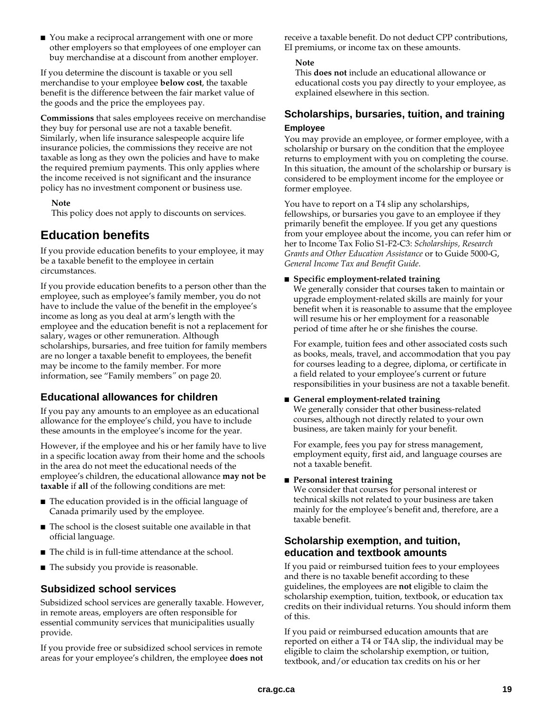■ You make a reciprocal arrangement with one or more other employers so that employees of one employer can buy merchandise at a discount from another employer.

If you determine the discount is taxable or you sell merchandise to your employee **below cost**, the taxable benefit is the difference between the fair market value of the goods and the price the employees pay.

**Commissions** that sales employees receive on merchandise they buy for personal use are not a taxable benefit. Similarly, when life insurance salespeople acquire life insurance policies, the commissions they receive are not taxable as long as they own the policies and have to make the required premium payments. This only applies where the income received is not significant and the insurance policy has no investment component or business use.

#### **Note**

This policy does not apply to discounts on services.

## **Education benefits**

If you provide education benefits to your employee, it may be a taxable benefit to the employee in certain circumstances.

If you provide education benefits to a person other than the employee, such as employee's family member, you do not have to include the value of the benefit in the employee's income as long as you deal at arm's length with the employee and the education benefit is not a replacement for salary, wages or other remuneration. Although scholarships, bursaries, and free tuition for family members are no longer a taxable benefit to employees, the benefit may be income to the family member. For more information, see "Family members*"* on page 20.

### **Educational allowances for children**

If you pay any amounts to an employee as an educational allowance for the employee's child, you have to include these amounts in the employee's income for the year.

However, if the employee and his or her family have to live in a specific location away from their home and the schools in the area do not meet the educational needs of the employee's children, the educational allowance **may not be taxable** if **all** of the following conditions are met:

- The education provided is in the official language of Canada primarily used by the employee.
- The school is the closest suitable one available in that official language.
- The child is in full-time attendance at the school.
- The subsidy you provide is reasonable.

### **Subsidized school services**

Subsidized school services are generally taxable. However, in remote areas, employers are often responsible for essential community services that municipalities usually provide.

If you provide free or subsidized school services in remote areas for your employee's children, the employee **does not** receive a taxable benefit. Do not deduct CPP contributions, EI premiums, or income tax on these amounts.

### **Note**

This **does not** include an educational allowance or educational costs you pay directly to your employee, as explained elsewhere in this section.

### **Scholarships, bursaries, tuition, and training Employee**

You may provide an employee, or former employee, with a scholarship or bursary on the condition that the employee returns to employment with you on completing the course. In this situation, the amount of the scholarship or bursary is considered to be employment income for the employee or former employee.

You have to report on a T4 slip any scholarships, fellowships, or bursaries you gave to an employee if they primarily benefit the employee. If you get any questions from your employee about the income, you can refer him or her to Income Tax Folio S1-F2-C3: *Scholarships, Research Grants and Other Education Assistance* or to Guide 5000-G, *General Income Tax and Benefit Guide*.

#### ■ **Specific employment-related training**

We generally consider that courses taken to maintain or upgrade employment-related skills are mainly for your benefit when it is reasonable to assume that the employee will resume his or her employment for a reasonable period of time after he or she finishes the course.

For example, tuition fees and other associated costs such as books, meals, travel, and accommodation that you pay for courses leading to a degree, diploma, or certificate in a field related to your employee's current or future responsibilities in your business are not a taxable benefit.

### ■ General employment-related training

We generally consider that other business-related courses, although not directly related to your own business, are taken mainly for your benefit.

For example, fees you pay for stress management, employment equity, first aid, and language courses are not a taxable benefit.

#### ■ **Personal interest training**

We consider that courses for personal interest or technical skills not related to your business are taken mainly for the employee's benefit and, therefore, are a taxable benefit.

### **Scholarship exemption, and tuition, education and textbook amounts**

If you paid or reimbursed tuition fees to your employees and there is no taxable benefit according to these guidelines, the employees are **not** eligible to claim the scholarship exemption, tuition, textbook, or education tax credits on their individual returns. You should inform them of this.

If you paid or reimbursed education amounts that are reported on either a T4 or T4A slip, the individual may be eligible to claim the scholarship exemption, or tuition, textbook, and/or education tax credits on his or her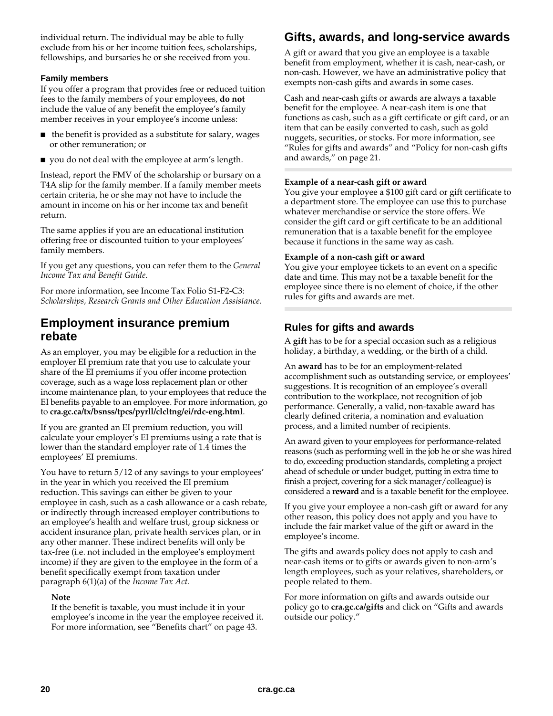individual return. The individual may be able to fully exclude from his or her income tuition fees, scholarships, fellowships, and bursaries he or she received from you.

### **Family members**

If you offer a program that provides free or reduced tuition fees to the family members of your employees, **do not** include the value of any benefit the employee's family member receives in your employee's income unless:

- the benefit is provided as a substitute for salary, wages or other remuneration; or
- you do not deal with the employee at arm's length.

Instead, report the FMV of the scholarship or bursary on a T4A slip for the family member. If a family member meets certain criteria, he or she may not have to include the amount in income on his or her income tax and benefit return.

The same applies if you are an educational institution offering free or discounted tuition to your employees' family members.

If you get any questions, you can refer them to the *General Income Tax and Benefit Guide*.

For more information, see Income Tax Folio S1-F2-C3: *Scholarships, Research Grants and Other Education Assistance*.

### **Employment insurance premium rebate**

As an employer, you may be eligible for a reduction in the employer EI premium rate that you use to calculate your share of the EI premiums if you offer income protection coverage, such as a wage loss replacement plan or other income maintenance plan, to your employees that reduce the EI benefits payable to an employee. For more information, go to **cra.gc.ca/tx/bsnss/tpcs/pyrll/clcltng/ei/rdc-eng.html**.

If you are granted an EI premium reduction, you will calculate your employer's EI premiums using a rate that is lower than the standard employer rate of 1.4 times the employees' EI premiums.

You have to return 5/12 of any savings to your employees' in the year in which you received the EI premium reduction. This savings can either be given to your employee in cash, such as a cash allowance or a cash rebate, or indirectly through increased employer contributions to an employee's health and welfare trust, group sickness or accident insurance plan, private health services plan, or in any other manner. These indirect benefits will only be tax-free (i.e. not included in the employee's employment income) if they are given to the employee in the form of a benefit specifically exempt from taxation under paragraph 6(1)(a) of the *Income Tax Act*.

#### **Note**

If the benefit is taxable, you must include it in your employee's income in the year the employee received it. For more information, see "Benefits chart" on page 43.

## **Gifts, awards, and long-service awards**

A gift or award that you give an employee is a taxable benefit from employment, whether it is cash, near-cash, or non-cash. However, we have an administrative policy that exempts non-cash gifts and awards in some cases.

Cash and near-cash gifts or awards are always a taxable benefit for the employee. A near-cash item is one that functions as cash, such as a gift certificate or gift card, or an item that can be easily converted to cash, such as gold nuggets, securities, or stocks. For more information, see "Rules for gifts and awards" and "Policy for non-cash gifts and awards," on page 21.

#### **Example of a near-cash gift or award**

You give your employee a \$100 gift card or gift certificate to a department store. The employee can use this to purchase whatever merchandise or service the store offers. We consider the gift card or gift certificate to be an additional remuneration that is a taxable benefit for the employee because it functions in the same way as cash.

#### **Example of a non-cash gift or award**

You give your employee tickets to an event on a specific date and time. This may not be a taxable benefit for the employee since there is no element of choice, if the other rules for gifts and awards are met.

### **Rules for gifts and awards**

A **gift** has to be for a special occasion such as a religious holiday, a birthday, a wedding, or the birth of a child.

An **award** has to be for an employment-related accomplishment such as outstanding service, or employees' suggestions. It is recognition of an employee's overall contribution to the workplace, not recognition of job performance. Generally, a valid, non-taxable award has clearly defined criteria, a nomination and evaluation process, and a limited number of recipients.

An award given to your employees for performance-related reasons (such as performing well in the job he or she was hired to do, exceeding production standards, completing a project ahead of schedule or under budget, putting in extra time to finish a project, covering for a sick manager/colleague) is considered a **reward** and is a taxable benefit for the employee.

If you give your employee a non-cash gift or award for any other reason, this policy does not apply and you have to include the fair market value of the gift or award in the employee's income.

The gifts and awards policy does not apply to cash and near-cash items or to gifts or awards given to non-arm's length employees, such as your relatives, shareholders, or people related to them.

For more information on gifts and awards outside our policy go to **cra.gc.ca/gifts** and click on "Gifts and awards outside our policy."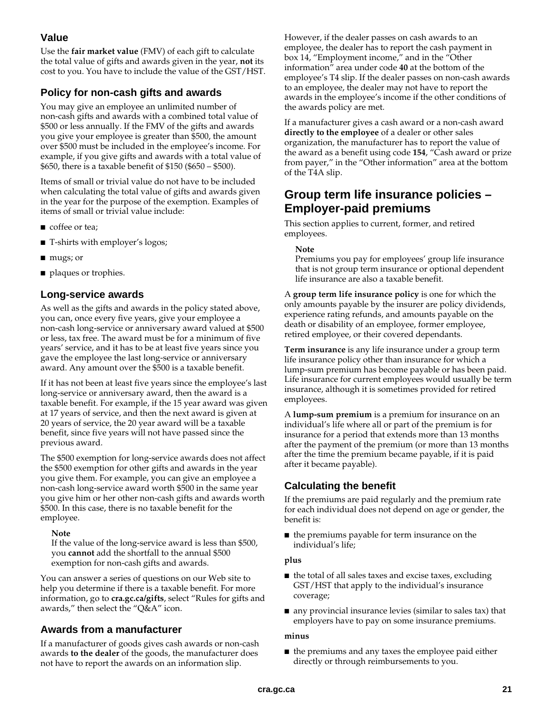### **Value**

Use the **fair market value** (FMV) of each gift to calculate the total value of gifts and awards given in the year, **not** its cost to you. You have to include the value of the GST/HST.

### **Policy for non-cash gifts and awards**

You may give an employee an unlimited number of non-cash gifts and awards with a combined total value of \$500 or less annually. If the FMV of the gifts and awards you give your employee is greater than \$500, the amount over \$500 must be included in the employee's income. For example, if you give gifts and awards with a total value of \$650, there is a taxable benefit of \$150 (\$650 – \$500).

Items of small or trivial value do not have to be included when calculating the total value of gifts and awards given in the year for the purpose of the exemption. Examples of items of small or trivial value include:

- coffee or tea;
- T-shirts with employer's logos;
- mugs; or
- plaques or trophies.

### **Long-service awards**

As well as the gifts and awards in the policy stated above, you can, once every five years, give your employee a non-cash long-service or anniversary award valued at \$500 or less, tax free. The award must be for a minimum of five years' service, and it has to be at least five years since you gave the employee the last long-service or anniversary award. Any amount over the \$500 is a taxable benefit.

If it has not been at least five years since the employee's last long-service or anniversary award, then the award is a taxable benefit. For example, if the 15 year award was given at 17 years of service, and then the next award is given at 20 years of service, the 20 year award will be a taxable benefit, since five years will not have passed since the previous award.

The \$500 exemption for long-service awards does not affect the \$500 exemption for other gifts and awards in the year you give them. For example, you can give an employee a non-cash long-service award worth \$500 in the same year you give him or her other non-cash gifts and awards worth \$500. In this case, there is no taxable benefit for the employee.

### **Note**

If the value of the long-service award is less than \$500, you **cannot** add the shortfall to the annual \$500 exemption for non-cash gifts and awards.

You can answer a series of questions on our Web site to help you determine if there is a taxable benefit. For more information, go to **cra.gc.ca/gifts**, select "Rules for gifts and awards," then select the "Q&A" icon.

### **Awards from a manufacturer**

If a manufacturer of goods gives cash awards or non-cash awards **to the dealer** of the goods, the manufacturer does not have to report the awards on an information slip.

However, if the dealer passes on cash awards to an employee, the dealer has to report the cash payment in box 14, "Employment income," and in the "Other information" area under code **40** at the bottom of the employee's T4 slip. If the dealer passes on non-cash awards to an employee, the dealer may not have to report the awards in the employee's income if the other conditions of the awards policy are met.

If a manufacturer gives a cash award or a non-cash award **directly to the employee** of a dealer or other sales organization, the manufacturer has to report the value of the award as a benefit using code **154**, "Cash award or prize from payer," in the "Other information" area at the bottom of the T4A slip.

### **Group term life insurance policies – Employer-paid premiums**

This section applies to current, former, and retired employees.

### **Note**

Premiums you pay for employees' group life insurance that is not group term insurance or optional dependent life insurance are also a taxable benefit.

A **group term life insurance policy** is one for which the only amounts payable by the insurer are policy dividends, experience rating refunds, and amounts payable on the death or disability of an employee, former employee, retired employee, or their covered dependants.

**Term insurance** is any life insurance under a group term life insurance policy other than insurance for which a lump-sum premium has become payable or has been paid. Life insurance for current employees would usually be term insurance, although it is sometimes provided for retired employees.

A **lump-sum premium** is a premium for insurance on an individual's life where all or part of the premium is for insurance for a period that extends more than 13 months after the payment of the premium (or more than 13 months after the time the premium became payable, if it is paid after it became payable).

### **Calculating the benefit**

If the premiums are paid regularly and the premium rate for each individual does not depend on age or gender, the benefit is:

■ the premiums payable for term insurance on the individual's life;

### **plus**

- the total of all sales taxes and excise taxes, excluding GST/HST that apply to the individual's insurance coverage;
- any provincial insurance levies (similar to sales tax) that employers have to pay on some insurance premiums.

#### **minus**

■ the premiums and any taxes the employee paid either directly or through reimbursements to you.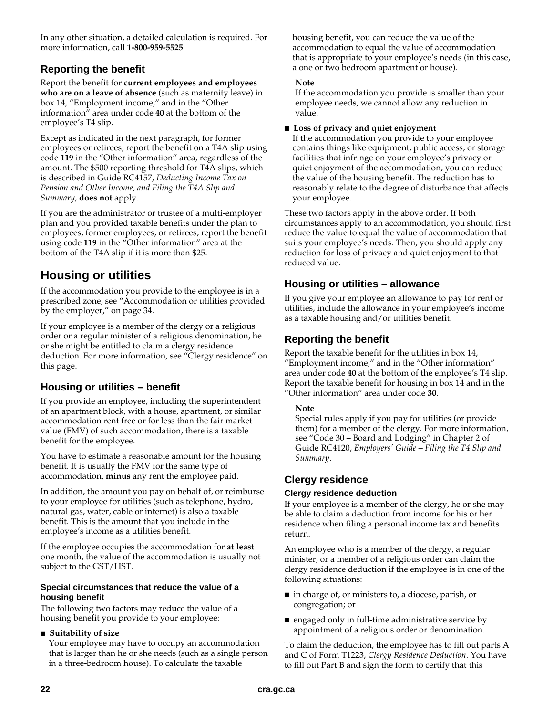In any other situation, a detailed calculation is required. For more information, call **1-800-959-5525**.

### **Reporting the benefit**

Report the benefit for **current employees and employees who are on a leave of absence** (such as maternity leave) in box 14, "Employment income," and in the "Other information" area under code **40** at the bottom of the employee's T4 slip.

Except as indicated in the next paragraph, for former employees or retirees, report the benefit on a T4A slip using code **119** in the "Other information" area, regardless of the amount. The \$500 reporting threshold for T4A slips, which is described in Guide RC4157, *Deducting Income Tax on Pension and Other Income, and Filing the T4A Slip and Summary*, **does not** apply.

If you are the administrator or trustee of a multi-employer plan and you provided taxable benefits under the plan to employees, former employees, or retirees, report the benefit using code **119** in the "Other information" area at the bottom of the T4A slip if it is more than \$25.

## **Housing or utilities**

If the accommodation you provide to the employee is in a prescribed zone, see "Accommodation or utilities provided by the employer," on page 34.

If your employee is a member of the clergy or a religious order or a regular minister of a religious denomination, he or she might be entitled to claim a clergy residence deduction. For more information, see "Clergy residence" on this page.

### **Housing or utilities – benefit**

If you provide an employee, including the superintendent of an apartment block, with a house, apartment, or similar accommodation rent free or for less than the fair market value (FMV) of such accommodation, there is a taxable benefit for the employee.

You have to estimate a reasonable amount for the housing benefit. It is usually the FMV for the same type of accommodation, **minus** any rent the employee paid.

In addition, the amount you pay on behalf of, or reimburse to your employee for utilities (such as telephone, hydro, natural gas, water, cable or internet) is also a taxable benefit. This is the amount that you include in the employee's income as a utilities benefit.

If the employee occupies the accommodation for **at least** one month, the value of the accommodation is usually not subject to the GST/HST.

### **Special circumstances that reduce the value of a housing benefit**

The following two factors may reduce the value of a housing benefit you provide to your employee:

### ■ Suitability of size

Your employee may have to occupy an accommodation that is larger than he or she needs (such as a single person in a three-bedroom house). To calculate the taxable

housing benefit, you can reduce the value of the accommodation to equal the value of accommodation that is appropriate to your employee's needs (in this case, a one or two bedroom apartment or house).

### **Note**

If the accommodation you provide is smaller than your employee needs, we cannot allow any reduction in value.

### ■ **Loss of privacy and quiet enjoyment**

If the accommodation you provide to your employee contains things like equipment, public access, or storage facilities that infringe on your employee's privacy or quiet enjoyment of the accommodation, you can reduce the value of the housing benefit. The reduction has to reasonably relate to the degree of disturbance that affects your employee.

These two factors apply in the above order. If both circumstances apply to an accommodation, you should first reduce the value to equal the value of accommodation that suits your employee's needs. Then, you should apply any reduction for loss of privacy and quiet enjoyment to that reduced value.

### **Housing or utilities – allowance**

If you give your employee an allowance to pay for rent or utilities, include the allowance in your employee's income as a taxable housing and/or utilities benefit.

### **Reporting the benefit**

Report the taxable benefit for the utilities in box 14, "Employment income," and in the "Other information" area under code **40** at the bottom of the employee's T4 slip. Report the taxable benefit for housing in box 14 and in the "Other information" area under code **30**.

### **Note**

Special rules apply if you pay for utilities (or provide them) for a member of the clergy. For more information, see "Code 30 – Board and Lodging" in Chapter 2 of Guide RC4120, *Employers' Guide – Filing the T4 Slip and Summary*.

### **Clergy residence**

### **Clergy residence deduction**

If your employee is a member of the clergy, he or she may be able to claim a deduction from income for his or her residence when filing a personal income tax and benefits return.

An employee who is a member of the clergy, a regular minister, or a member of a religious order can claim the clergy residence deduction if the employee is in one of the following situations:

- in charge of, or ministers to, a diocese, parish, or congregation; or
- engaged only in full-time administrative service by appointment of a religious order or denomination.

To claim the deduction, the employee has to fill out parts A and C of Form T1223, *Clergy Residence Deduction*. You have to fill out Part B and sign the form to certify that this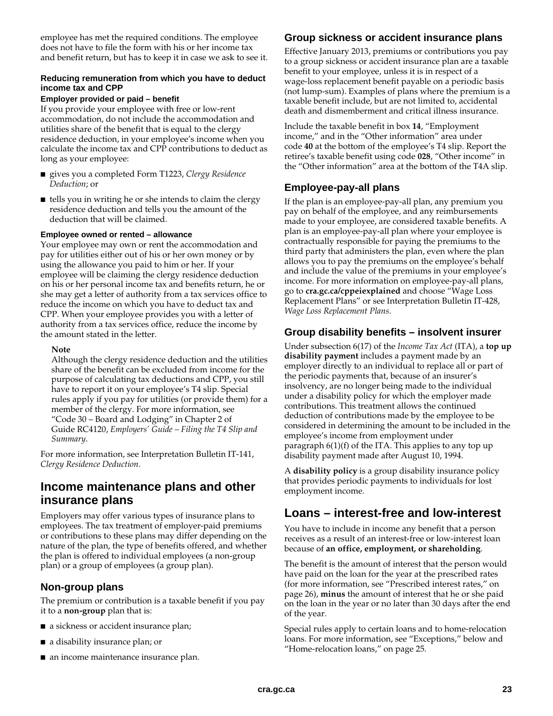employee has met the required conditions. The employee does not have to file the form with his or her income tax and benefit return, but has to keep it in case we ask to see it.

#### **Reducing remuneration from which you have to deduct income tax and CPP**

### **Employer provided or paid – benefit**

If you provide your employee with free or low-rent accommodation, do not include the accommodation and utilities share of the benefit that is equal to the clergy residence deduction, in your employee's income when you calculate the income tax and CPP contributions to deduct as long as your employee:

- gives you a completed Form T1223, *Clergy Residence Deduction*; or
- tells you in writing he or she intends to claim the clergy residence deduction and tells you the amount of the deduction that will be claimed.

### **Employee owned or rented – allowance**

Your employee may own or rent the accommodation and pay for utilities either out of his or her own money or by using the allowance you paid to him or her. If your employee will be claiming the clergy residence deduction on his or her personal income tax and benefits return, he or she may get a letter of authority from a tax services office to reduce the income on which you have to deduct tax and CPP. When your employee provides you with a letter of authority from a tax services office, reduce the income by the amount stated in the letter.

### **Note**

Although the clergy residence deduction and the utilities share of the benefit can be excluded from income for the purpose of calculating tax deductions and CPP, you still have to report it on your employee's T4 slip. Special rules apply if you pay for utilities (or provide them) for a member of the clergy. For more information, see "Code 30 – Board and Lodging" in Chapter 2 of Guide RC4120, *Employers' Guide – Filing the T4 Slip and Summary*.

For more information, see Interpretation Bulletin IT-141, *Clergy Residence Deduction*.

## **Income maintenance plans and other insurance plans**

Employers may offer various types of insurance plans to employees. The tax treatment of employer-paid premiums or contributions to these plans may differ depending on the nature of the plan, the type of benefits offered, and whether the plan is offered to individual employees (a non-group plan) or a group of employees (a group plan).

### **Non-group plans**

The premium or contribution is a taxable benefit if you pay it to a **non-group** plan that is:

- a sickness or accident insurance plan;
- a disability insurance plan; or
- an income maintenance insurance plan.

### **Group sickness or accident insurance plans**

Effective January 2013, premiums or contributions you pay to a group sickness or accident insurance plan are a taxable benefit to your employee, unless it is in respect of a wage-loss replacement benefit payable on a periodic basis (not lump-sum). Examples of plans where the premium is a taxable benefit include, but are not limited to, accidental death and dismemberment and critical illness insurance.

Include the taxable benefit in box **14**, "Employment income," and in the "Other information" area under code **40** at the bottom of the employee's T4 slip. Report the retiree's taxable benefit using code **028**, "Other income" in the "Other information" area at the bottom of the T4A slip.

### **Employee-pay-all plans**

If the plan is an employee-pay-all plan, any premium you pay on behalf of the employee, and any reimbursements made to your employee, are considered taxable benefits. A plan is an employee-pay-all plan where your employee is contractually responsible for paying the premiums to the third party that administers the plan, even where the plan allows you to pay the premiums on the employee's behalf and include the value of the premiums in your employee's income. For more information on employee-pay-all plans, go to **cra.gc.ca/cppeiexplained** and choose "Wage Loss Replacement Plans" or see Interpretation Bulletin IT-428, *Wage Loss Replacement Plans*.

### **Group disability benefits – insolvent insurer**

Under subsection 6(17) of the *Income Tax Act* (ITA), a **top up disability payment** includes a payment made by an employer directly to an individual to replace all or part of the periodic payments that, because of an insurer's insolvency, are no longer being made to the individual under a disability policy for which the employer made contributions. This treatment allows the continued deduction of contributions made by the employee to be considered in determining the amount to be included in the employee's income from employment under paragraph 6(1)(f) of the ITA. This applies to any top up disability payment made after August 10, 1994.

A **disability policy** is a group disability insurance policy that provides periodic payments to individuals for lost employment income.

## **Loans – interest-free and low-interest**

You have to include in income any benefit that a person receives as a result of an interest-free or low-interest loan because of **an office, employment, or shareholding**.

The benefit is the amount of interest that the person would have paid on the loan for the year at the prescribed rates (for more information, see "Prescribed interest rates," on page 26), **minus** the amount of interest that he or she paid on the loan in the year or no later than 30 days after the end of the year.

Special rules apply to certain loans and to home-relocation loans. For more information, see "Exceptions," below and "Home-relocation loans," on page 25.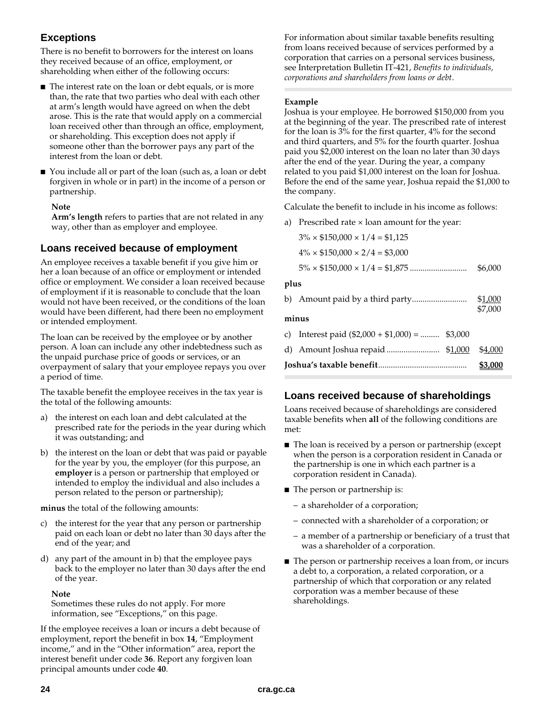### **Exceptions**

There is no benefit to borrowers for the interest on loans they received because of an office, employment, or shareholding when either of the following occurs:

- The interest rate on the loan or debt equals, or is more than, the rate that two parties who deal with each other at arm's length would have agreed on when the debt arose. This is the rate that would apply on a commercial loan received other than through an office, employment, or shareholding. This exception does not apply if someone other than the borrower pays any part of the interest from the loan or debt.
- You include all or part of the loan (such as, a loan or debt forgiven in whole or in part) in the income of a person or partnership.

### **Note**

**Arm's length** refers to parties that are not related in any way, other than as employer and employee.

### **Loans received because of employment**

An employee receives a taxable benefit if you give him or her a loan because of an office or employment or intended office or employment. We consider a loan received because of employment if it is reasonable to conclude that the loan would not have been received, or the conditions of the loan would have been different, had there been no employment or intended employment.

The loan can be received by the employee or by another person. A loan can include any other indebtedness such as the unpaid purchase price of goods or services, or an overpayment of salary that your employee repays you over a period of time.

The taxable benefit the employee receives in the tax year is the total of the following amounts:

- a) the interest on each loan and debt calculated at the prescribed rate for the periods in the year during which it was outstanding; and
- b) the interest on the loan or debt that was paid or payable for the year by you, the employer (for this purpose, an **employer** is a person or partnership that employed or intended to employ the individual and also includes a person related to the person or partnership);

**minus** the total of the following amounts:

- c) the interest for the year that any person or partnership paid on each loan or debt no later than 30 days after the end of the year; and
- d) any part of the amount in b) that the employee pays back to the employer no later than 30 days after the end of the year.

#### **Note**

Sometimes these rules do not apply. For more information, see "Exceptions," on this page.

If the employee receives a loan or incurs a debt because of employment, report the benefit in box **14**, "Employment income," and in the "Other information" area, report the interest benefit under code **36**. Report any forgiven loan principal amounts under code **40**.

For information about similar taxable benefits resulting from loans received because of services performed by a corporation that carries on a personal services business, see Interpretation Bulletin IT-421, *Benefits to individuals, corporations and shareholders from loans or debt*.

### **Example**

Joshua is your employee. He borrowed \$150,000 from you at the beginning of the year. The prescribed rate of interest for the loan is 3% for the first quarter, 4% for the second and third quarters, and 5% for the fourth quarter. Joshua paid you \$2,000 interest on the loan no later than 30 days after the end of the year. During the year, a company related to you paid \$1,000 interest on the loan for Joshua. Before the end of the same year, Joshua repaid the \$1,000 to the company.

Calculate the benefit to include in his income as follows:

a) Prescribed rate × loan amount for the year:

 $3\% \times $150,000 \times 1/4 = $1,125$  $4\% \times \$150,000 \times 2/4 = \$3,000$ 5% × \$150,000 × 1/4 = \$1,875 ........................... \$6,000

#### **plus**

| minus | \$7.000 |
|-------|---------|

|  |                                                  |  | \$3.000 |
|--|--------------------------------------------------|--|---------|
|  |                                                  |  |         |
|  | c) Interest paid $(\$2,000 + \$1,000) =$ \$3,000 |  |         |

### **Loans received because of shareholdings**

Loans received because of shareholdings are considered taxable benefits when **all** of the following conditions are met:

- The loan is received by a person or partnership (except when the person is a corporation resident in Canada or the partnership is one in which each partner is a corporation resident in Canada).
- The person or partnership is:
	- a shareholder of a corporation;
	- connected with a shareholder of a corporation; or
	- a member of a partnership or beneficiary of a trust that was a shareholder of a corporation.
- The person or partnership receives a loan from, or incurs a debt to, a corporation, a related corporation, or a partnership of which that corporation or any related corporation was a member because of these shareholdings.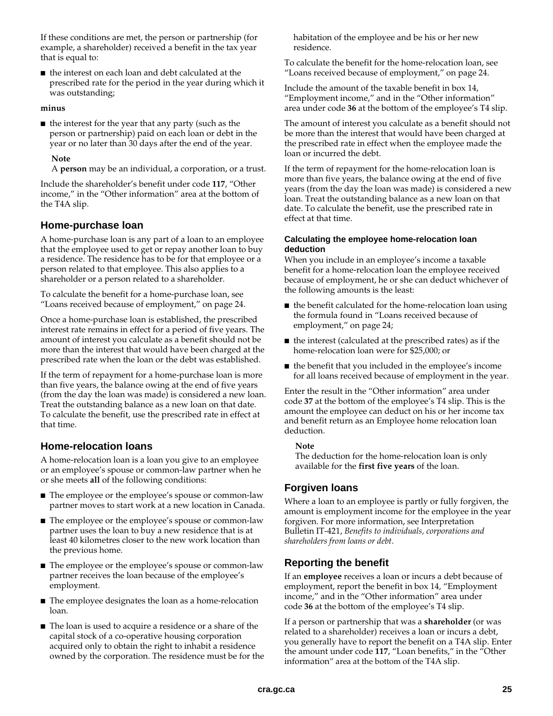If these conditions are met, the person or partnership (for example, a shareholder) received a benefit in the tax year that is equal to:

■ the interest on each loan and debt calculated at the prescribed rate for the period in the year during which it was outstanding;

#### **minus**

■ the interest for the year that any party (such as the person or partnership) paid on each loan or debt in the year or no later than 30 days after the end of the year.

#### **Note**

A **person** may be an individual, a corporation, or a trust.

Include the shareholder's benefit under code **117**, "Other income," in the "Other information" area at the bottom of the T4A slip.

### **Home-purchase loan**

A home-purchase loan is any part of a loan to an employee that the employee used to get or repay another loan to buy a residence. The residence has to be for that employee or a person related to that employee. This also applies to a shareholder or a person related to a shareholder.

To calculate the benefit for a home-purchase loan, see "Loans received because of employment," on page 24.

Once a home-purchase loan is established, the prescribed interest rate remains in effect for a period of five years. The amount of interest you calculate as a benefit should not be more than the interest that would have been charged at the prescribed rate when the loan or the debt was established.

If the term of repayment for a home-purchase loan is more than five years, the balance owing at the end of five years (from the day the loan was made) is considered a new loan. Treat the outstanding balance as a new loan on that date. To calculate the benefit, use the prescribed rate in effect at that time.

### **Home-relocation loans**

A home-relocation loan is a loan you give to an employee or an employee's spouse or common-law partner when he or she meets **all** of the following conditions:

- The employee or the employee's spouse or common-law partner moves to start work at a new location in Canada.
- The employee or the employee's spouse or common-law partner uses the loan to buy a new residence that is at least 40 kilometres closer to the new work location than the previous home.
- The employee or the employee's spouse or common-law partner receives the loan because of the employee's employment.
- The employee designates the loan as a home-relocation loan.
- The loan is used to acquire a residence or a share of the capital stock of a co-operative housing corporation acquired only to obtain the right to inhabit a residence owned by the corporation. The residence must be for the

habitation of the employee and be his or her new residence.

To calculate the benefit for the home-relocation loan, see "Loans received because of employment," on page 24.

Include the amount of the taxable benefit in box 14, "Employment income," and in the "Other information" area under code **36** at the bottom of the employee's T4 slip.

The amount of interest you calculate as a benefit should not be more than the interest that would have been charged at the prescribed rate in effect when the employee made the loan or incurred the debt.

If the term of repayment for the home-relocation loan is more than five years, the balance owing at the end of five years (from the day the loan was made) is considered a new loan. Treat the outstanding balance as a new loan on that date. To calculate the benefit, use the prescribed rate in effect at that time.

#### **Calculating the employee home-relocation loan deduction**

When you include in an employee's income a taxable benefit for a home-relocation loan the employee received because of employment, he or she can deduct whichever of the following amounts is the least:

- $\blacksquare$  the benefit calculated for the home-relocation loan using the formula found in "Loans received because of employment," on page 24;
- the interest (calculated at the prescribed rates) as if the home-relocation loan were for \$25,000; or
- the benefit that you included in the employee's income for all loans received because of employment in the year.

Enter the result in the "Other information" area under code **37** at the bottom of the employee's T4 slip. This is the amount the employee can deduct on his or her income tax and benefit return as an Employee home relocation loan deduction.

#### **Note**

The deduction for the home-relocation loan is only available for the **first five years** of the loan.

### **Forgiven loans**

Where a loan to an employee is partly or fully forgiven, the amount is employment income for the employee in the year forgiven. For more information, see Interpretation Bulletin IT-421, *Benefits to individuals, corporations and shareholders from loans or debt*.

### **Reporting the benefit**

If an **employee** receives a loan or incurs a debt because of employment, report the benefit in box 14, "Employment income," and in the "Other information" area under code **36** at the bottom of the employee's T4 slip.

If a person or partnership that was a **shareholder** (or was related to a shareholder) receives a loan or incurs a debt, you generally have to report the benefit on a T4A slip. Enter the amount under code **117**, "Loan benefits," in the "Other information" area at the bottom of the T4A slip.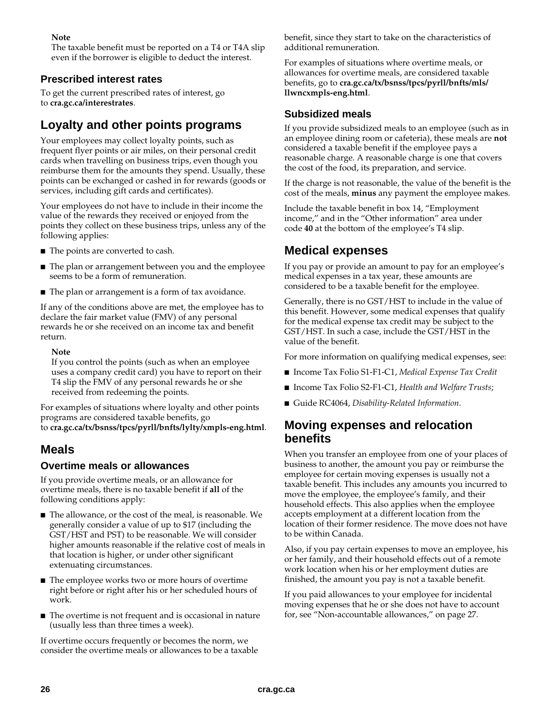### **Note**

The taxable benefit must be reported on a T4 or T4A slip even if the borrower is eligible to deduct the interest.

### **Prescribed interest rates**

To get the current prescribed rates of interest, go to **cra.gc.ca/interestrates**.

## **Loyalty and other points programs**

Your employees may collect loyalty points, such as frequent flyer points or air miles, on their personal credit cards when travelling on business trips, even though you reimburse them for the amounts they spend. Usually, these points can be exchanged or cashed in for rewards (goods or services, including gift cards and certificates).

Your employees do not have to include in their income the value of the rewards they received or enjoyed from the points they collect on these business trips, unless any of the following applies:

- The points are converted to cash.
- The plan or arrangement between you and the employee seems to be a form of remuneration.
- The plan or arrangement is a form of tax avoidance.

If any of the conditions above are met, the employee has to declare the fair market value (FMV) of any personal rewards he or she received on an income tax and benefit return.

### **Note**

If you control the points (such as when an employee uses a company credit card) you have to report on their T4 slip the FMV of any personal rewards he or she received from redeeming the points.

For examples of situations where loyalty and other points programs are considered taxable benefits, go to **cra.gc.ca/tx/bsnss/tpcs/pyrll/bnfts/lylty/xmpls-eng.html**.

## **Meals**

### **Overtime meals or allowances**

If you provide overtime meals, or an allowance for overtime meals, there is no taxable benefit if **all** of the following conditions apply:

- The allowance, or the cost of the meal, is reasonable. We generally consider a value of up to \$17 (including the GST/HST and PST) to be reasonable. We will consider higher amounts reasonable if the relative cost of meals in that location is higher, or under other significant extenuating circumstances.
- The employee works two or more hours of overtime right before or right after his or her scheduled hours of work.
- The overtime is not frequent and is occasional in nature (usually less than three times a week).

If overtime occurs frequently or becomes the norm, we consider the overtime meals or allowances to be a taxable benefit, since they start to take on the characteristics of additional remuneration.

For examples of situations where overtime meals, or allowances for overtime meals, are considered taxable benefits, go to **cra.gc.ca/tx/bsnss/tpcs/pyrll/bnfts/mls/ llwncxmpls-eng.html**.

### **Subsidized meals**

If you provide subsidized meals to an employee (such as in an employee dining room or cafeteria), these meals are **not** considered a taxable benefit if the employee pays a reasonable charge. A reasonable charge is one that covers the cost of the food, its preparation, and service.

If the charge is not reasonable, the value of the benefit is the cost of the meals, **minus** any payment the employee makes.

Include the taxable benefit in box 14, "Employment income," and in the "Other information" area under code **40** at the bottom of the employee's T4 slip.

## **Medical expenses**

If you pay or provide an amount to pay for an employee's medical expenses in a tax year, these amounts are considered to be a taxable benefit for the employee.

Generally, there is no GST/HST to include in the value of this benefit. However, some medical expenses that qualify for the medical expense tax credit may be subject to the GST/HST. In such a case, include the GST/HST in the value of the benefit.

For more information on qualifying medical expenses, see:

- Income Tax Folio S1-F1-C1, *Medical Expense Tax Credit*
- Income Tax Folio S2-F1-C1, *Health and Welfare Trusts*;
- Guide RC4064, *Disability-Related Information*.

## **Moving expenses and relocation benefits**

When you transfer an employee from one of your places of business to another, the amount you pay or reimburse the employee for certain moving expenses is usually not a taxable benefit. This includes any amounts you incurred to move the employee, the employee's family, and their household effects. This also applies when the employee accepts employment at a different location from the location of their former residence. The move does not have to be within Canada.

Also, if you pay certain expenses to move an employee, his or her family, and their household effects out of a remote work location when his or her employment duties are finished, the amount you pay is not a taxable benefit.

If you paid allowances to your employee for incidental moving expenses that he or she does not have to account for, see "Non-accountable allowances," on page 27.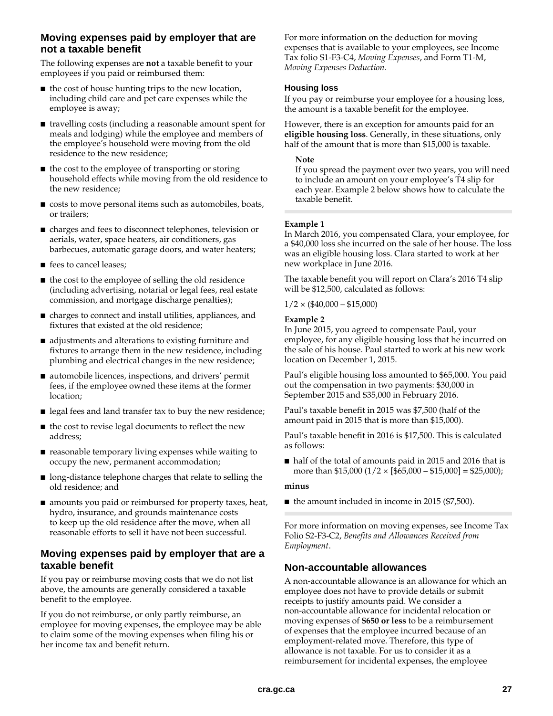### **Moving expenses paid by employer that are not a taxable benefit**

The following expenses are **not** a taxable benefit to your employees if you paid or reimbursed them:

- the cost of house hunting trips to the new location, including child care and pet care expenses while the employee is away;
- travelling costs (including a reasonable amount spent for meals and lodging) while the employee and members of the employee's household were moving from the old residence to the new residence;
- the cost to the employee of transporting or storing household effects while moving from the old residence to the new residence;
- costs to move personal items such as automobiles, boats, or trailers;
- charges and fees to disconnect telephones, television or aerials, water, space heaters, air conditioners, gas barbecues, automatic garage doors, and water heaters;
- fees to cancel leases;
- the cost to the employee of selling the old residence (including advertising, notarial or legal fees, real estate commission, and mortgage discharge penalties);
- charges to connect and install utilities, appliances, and fixtures that existed at the old residence;
- adjustments and alterations to existing furniture and fixtures to arrange them in the new residence, including plumbing and electrical changes in the new residence;
- automobile licences, inspections, and drivers' permit fees, if the employee owned these items at the former location;
- legal fees and land transfer tax to buy the new residence;
- the cost to revise legal documents to reflect the new address;
- reasonable temporary living expenses while waiting to occupy the new, permanent accommodation;
- long-distance telephone charges that relate to selling the old residence; and
- amounts you paid or reimbursed for property taxes, heat, hydro, insurance, and grounds maintenance costs to keep up the old residence after the move, when all reasonable efforts to sell it have not been successful.

### **Moving expenses paid by employer that are a taxable benefit**

If you pay or reimburse moving costs that we do not list above, the amounts are generally considered a taxable benefit to the employee.

If you do not reimburse, or only partly reimburse, an employee for moving expenses, the employee may be able to claim some of the moving expenses when filing his or her income tax and benefit return.

For more information on the deduction for moving expenses that is available to your employees, see Income Tax folio S1-F3-C4, *Moving Expenses*, and Form T1-M, *Moving Expenses Deduction*.

### **Housing loss**

If you pay or reimburse your employee for a housing loss, the amount is a taxable benefit for the employee.

However, there is an exception for amounts paid for an **eligible housing loss**. Generally, in these situations, only half of the amount that is more than \$15,000 is taxable.

### **Note**

If you spread the payment over two years, you will need to include an amount on your employee's T4 slip for each year. Example 2 below shows how to calculate the taxable benefit.

### **Example 1**

In March 2016, you compensated Clara, your employee, for a \$40,000 loss she incurred on the sale of her house. The loss was an eligible housing loss. Clara started to work at her new workplace in June 2016.

The taxable benefit you will report on Clara's 2016 T4 slip will be \$12,500, calculated as follows:

 $1/2 \times (\$40,000 - \$15,000)$ 

### **Example 2**

In June 2015, you agreed to compensate Paul, your employee, for any eligible housing loss that he incurred on the sale of his house. Paul started to work at his new work location on December 1, 2015.

Paul's eligible housing loss amounted to \$65,000. You paid out the compensation in two payments: \$30,000 in September 2015 and \$35,000 in February 2016.

Paul's taxable benefit in 2015 was \$7,500 (half of the amount paid in 2015 that is more than \$15,000).

Paul's taxable benefit in 2016 is \$17,500. This is calculated as follows:

■ half of the total of amounts paid in 2015 and 2016 that is more than  $$15,000 (1/2 \times [$65,000 - $15,000] = $25,000);$ 

### **minus**

■ the amount included in income in 2015 (\$7,500).

For more information on moving expenses, see Income Tax Folio S2-F3-C2, *Benefits and Allowances Received from Employment*.

### **Non-accountable allowances**

A non-accountable allowance is an allowance for which an employee does not have to provide details or submit receipts to justify amounts paid. We consider a non-accountable allowance for incidental relocation or moving expenses of **\$650 or less** to be a reimbursement of expenses that the employee incurred because of an employment-related move. Therefore, this type of allowance is not taxable. For us to consider it as a reimbursement for incidental expenses, the employee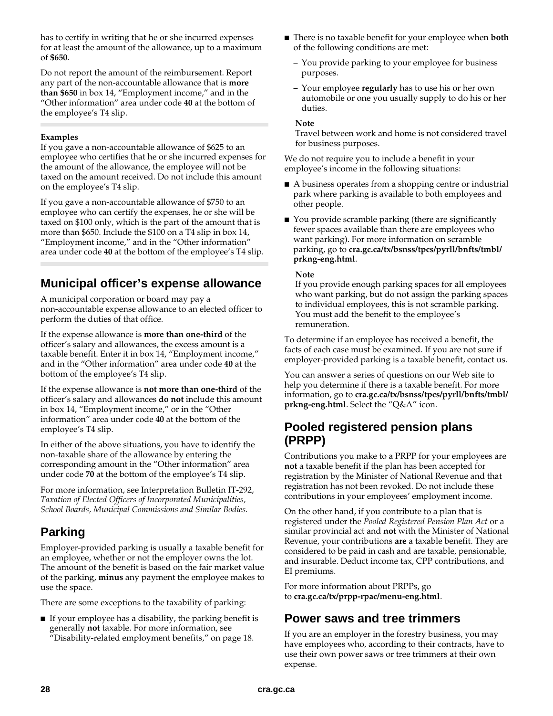has to certify in writing that he or she incurred expenses for at least the amount of the allowance, up to a maximum of **\$650**.

Do not report the amount of the reimbursement. Report any part of the non-accountable allowance that is **more than \$650** in box 14, "Employment income," and in the "Other information" area under code **40** at the bottom of the employee's T4 slip.

### **Examples**

If you gave a non-accountable allowance of \$625 to an employee who certifies that he or she incurred expenses for the amount of the allowance, the employee will not be taxed on the amount received. Do not include this amount on the employee's T4 slip.

If you gave a non-accountable allowance of \$750 to an employee who can certify the expenses, he or she will be taxed on \$100 only, which is the part of the amount that is more than \$650. Include the \$100 on a T4 slip in box 14, "Employment income," and in the "Other information" area under code **40** at the bottom of the employee's T4 slip.

## **Municipal officer's expense allowance**

A municipal corporation or board may pay a non-accountable expense allowance to an elected officer to perform the duties of that office.

If the expense allowance is **more than one-third** of the officer's salary and allowances, the excess amount is a taxable benefit. Enter it in box 14, "Employment income," and in the "Other information" area under code **40** at the bottom of the employee's T4 slip.

If the expense allowance is **not more than one-third** of the officer's salary and allowances **do not** include this amount in box 14, "Employment income," or in the "Other information" area under code **40** at the bottom of the employee's T4 slip.

In either of the above situations, you have to identify the non-taxable share of the allowance by entering the corresponding amount in the "Other information" area under code **70** at the bottom of the employee's T4 slip.

For more information, see Interpretation Bulletin IT-292, *Taxation of Elected Officers of Incorporated Municipalities, School Boards, Municipal Commissions and Similar Bodies*.

## **Parking**

Employer-provided parking is usually a taxable benefit for an employee, whether or not the employer owns the lot. The amount of the benefit is based on the fair market value of the parking, **minus** any payment the employee makes to use the space.

There are some exceptions to the taxability of parking:

■ If your employee has a disability, the parking benefit is generally **not** taxable. For more information, see "Disability-related employment benefits," on page 18.

- There is no taxable benefit for your employee when **both** of the following conditions are met:
	- You provide parking to your employee for business purposes.
	- Your employee **regularly** has to use his or her own automobile or one you usually supply to do his or her duties.

### **Note**

Travel between work and home is not considered travel for business purposes.

We do not require you to include a benefit in your employee's income in the following situations:

- A business operates from a shopping centre or industrial park where parking is available to both employees and other people.
- You provide scramble parking (there are significantly fewer spaces available than there are employees who want parking). For more information on scramble parking, go to **cra.gc.ca/tx/bsnss/tpcs/pyrll/bnfts/tmbl/ prkng-eng.html**.

### **Note**

If you provide enough parking spaces for all employees who want parking, but do not assign the parking spaces to individual employees, this is not scramble parking. You must add the benefit to the employee's remuneration.

To determine if an employee has received a benefit, the facts of each case must be examined. If you are not sure if employer-provided parking is a taxable benefit, contact us.

You can answer a series of questions on our Web site to help you determine if there is a taxable benefit. For more information, go to **cra.gc.ca/tx/bsnss/tpcs/pyrll/bnfts/tmbl/ prkng-eng.html**. Select the "Q&A" icon.

## **Pooled registered pension plans (PRPP)**

Contributions you make to a PRPP for your employees are **not** a taxable benefit if the plan has been accepted for registration by the Minister of National Revenue and that registration has not been revoked. Do not include these contributions in your employees' employment income.

On the other hand, if you contribute to a plan that is registered under the *Pooled Registered Pension Plan Act* or a similar provincial act and **not** with the Minister of National Revenue, your contributions **are** a taxable benefit. They are considered to be paid in cash and are taxable, pensionable, and insurable. Deduct income tax, CPP contributions, and EI premiums.

For more information about PRPPs, go to **cra.gc.ca/tx/prpp-rpac/menu-eng.html**.

### **Power saws and tree trimmers**

If you are an employer in the forestry business, you may have employees who, according to their contracts, have to use their own power saws or tree trimmers at their own expense.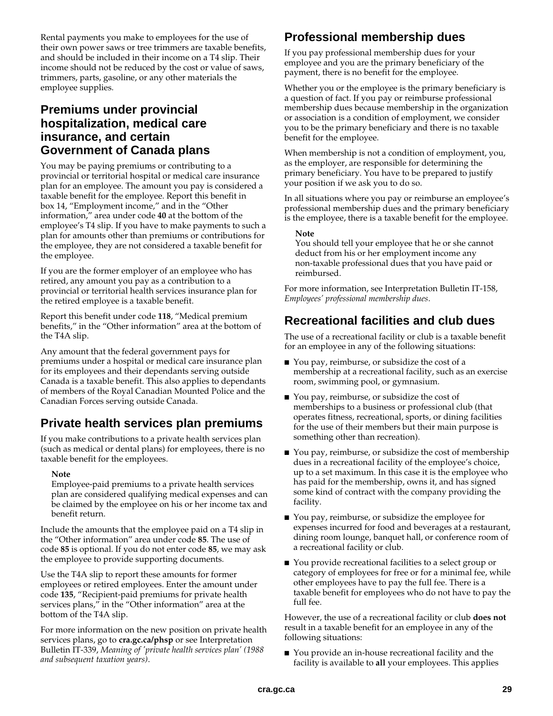Rental payments you make to employees for the use of their own power saws or tree trimmers are taxable benefits, and should be included in their income on a T4 slip. Their income should not be reduced by the cost or value of saws, trimmers, parts, gasoline, or any other materials the employee supplies.

## **Premiums under provincial hospitalization, medical care insurance, and certain Government of Canada plans**

You may be paying premiums or contributing to a provincial or territorial hospital or medical care insurance plan for an employee. The amount you pay is considered a taxable benefit for the employee. Report this benefit in box 14, "Employment income," and in the "Other information," area under code **40** at the bottom of the employee's T4 slip. If you have to make payments to such a plan for amounts other than premiums or contributions for the employee, they are not considered a taxable benefit for the employee.

If you are the former employer of an employee who has retired, any amount you pay as a contribution to a provincial or territorial health services insurance plan for the retired employee is a taxable benefit.

Report this benefit under code **118**, "Medical premium benefits," in the "Other information" area at the bottom of the T4A slip.

Any amount that the federal government pays for premiums under a hospital or medical care insurance plan for its employees and their dependants serving outside Canada is a taxable benefit. This also applies to dependants of members of the Royal Canadian Mounted Police and the Canadian Forces serving outside Canada.

## **Private health services plan premiums**

If you make contributions to a private health services plan (such as medical or dental plans) for employees, there is no taxable benefit for the employees.

### **Note**

Employee-paid premiums to a private health services plan are considered qualifying medical expenses and can be claimed by the employee on his or her income tax and benefit return.

Include the amounts that the employee paid on a T4 slip in the "Other information" area under code **85**. The use of code **85** is optional. If you do not enter code **85**, we may ask the employee to provide supporting documents.

Use the T4A slip to report these amounts for former employees or retired employees. Enter the amount under code **135**, "Recipient-paid premiums for private health services plans," in the "Other information" area at the bottom of the T4A slip.

For more information on the new position on private health services plans, go to **cra.gc.ca/phsp** or see Interpretation Bulletin IT-339, *Meaning of 'private health services plan' (1988 and subsequent taxation years)*.

## **Professional membership dues**

If you pay professional membership dues for your employee and you are the primary beneficiary of the payment, there is no benefit for the employee.

Whether you or the employee is the primary beneficiary is a question of fact. If you pay or reimburse professional membership dues because membership in the organization or association is a condition of employment, we consider you to be the primary beneficiary and there is no taxable benefit for the employee.

When membership is not a condition of employment, you, as the employer, are responsible for determining the primary beneficiary. You have to be prepared to justify your position if we ask you to do so.

In all situations where you pay or reimburse an employee's professional membership dues and the primary beneficiary is the employee, there is a taxable benefit for the employee.

#### **Note**

You should tell your employee that he or she cannot deduct from his or her employment income any non-taxable professional dues that you have paid or reimbursed.

For more information, see Interpretation Bulletin IT-158, *Employees' professional membership dues*.

## **Recreational facilities and club dues**

The use of a recreational facility or club is a taxable benefit for an employee in any of the following situations:

- You pay, reimburse, or subsidize the cost of a membership at a recreational facility, such as an exercise room, swimming pool, or gymnasium.
- You pay, reimburse, or subsidize the cost of memberships to a business or professional club (that operates fitness, recreational, sports, or dining facilities for the use of their members but their main purpose is something other than recreation).
- You pay, reimburse, or subsidize the cost of membership dues in a recreational facility of the employee's choice, up to a set maximum. In this case it is the employee who has paid for the membership, owns it, and has signed some kind of contract with the company providing the facility.
- You pay, reimburse, or subsidize the employee for expenses incurred for food and beverages at a restaurant, dining room lounge, banquet hall, or conference room of a recreational facility or club.
- You provide recreational facilities to a select group or category of employees for free or for a minimal fee, while other employees have to pay the full fee. There is a taxable benefit for employees who do not have to pay the full fee.

However, the use of a recreational facility or club **does not** result in a taxable benefit for an employee in any of the following situations:

■ You provide an in-house recreational facility and the facility is available to **all** your employees. This applies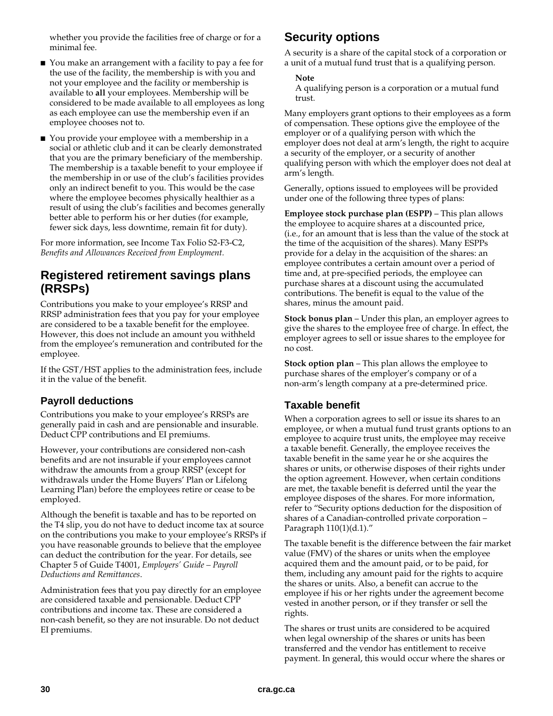whether you provide the facilities free of charge or for a minimal fee.

- You make an arrangement with a facility to pay a fee for the use of the facility, the membership is with you and not your employee and the facility or membership is available to **all** your employees. Membership will be considered to be made available to all employees as long as each employee can use the membership even if an employee chooses not to.
- You provide your employee with a membership in a social or athletic club and it can be clearly demonstrated that you are the primary beneficiary of the membership. The membership is a taxable benefit to your employee if the membership in or use of the club's facilities provides only an indirect benefit to you. This would be the case where the employee becomes physically healthier as a result of using the club's facilities and becomes generally better able to perform his or her duties (for example, fewer sick days, less downtime, remain fit for duty).

For more information, see Income Tax Folio S2-F3-C2, *Benefits and Allowances Received from Employment.*

## **Registered retirement savings plans (RRSPs)**

Contributions you make to your employee's RRSP and RRSP administration fees that you pay for your employee are considered to be a taxable benefit for the employee. However, this does not include an amount you withheld from the employee's remuneration and contributed for the employee.

If the GST/HST applies to the administration fees, include it in the value of the benefit.

### **Payroll deductions**

Contributions you make to your employee's RRSPs are generally paid in cash and are pensionable and insurable. Deduct CPP contributions and EI premiums.

However, your contributions are considered non-cash benefits and are not insurable if your employees cannot withdraw the amounts from a group RRSP (except for withdrawals under the Home Buyers' Plan or Lifelong Learning Plan) before the employees retire or cease to be employed.

Although the benefit is taxable and has to be reported on the T4 slip, you do not have to deduct income tax at source on the contributions you make to your employee's RRSPs if you have reasonable grounds to believe that the employee can deduct the contribution for the year. For details, see Chapter 5 of Guide T4001, *Employers' Guide – Payroll Deductions and Remittances*.

Administration fees that you pay directly for an employee are considered taxable and pensionable. Deduct CPP contributions and income tax. These are considered a non-cash benefit, so they are not insurable. Do not deduct EI premiums.

## **Security options**

A security is a share of the capital stock of a corporation or a unit of a mutual fund trust that is a qualifying person.

### **Note**

A qualifying person is a corporation or a mutual fund trust.

Many employers grant options to their employees as a form of compensation. These options give the employee of the employer or of a qualifying person with which the employer does not deal at arm's length, the right to acquire a security of the employer, or a security of another qualifying person with which the employer does not deal at arm's length.

Generally, options issued to employees will be provided under one of the following three types of plans:

**Employee stock purchase plan (ESPP)** – This plan allows the employee to acquire shares at a discounted price, (i.e., for an amount that is less than the value of the stock at the time of the acquisition of the shares). Many ESPPs provide for a delay in the acquisition of the shares: an employee contributes a certain amount over a period of time and, at pre-specified periods, the employee can purchase shares at a discount using the accumulated contributions. The benefit is equal to the value of the shares, minus the amount paid.

**Stock bonus plan** – Under this plan, an employer agrees to give the shares to the employee free of charge. In effect, the employer agrees to sell or issue shares to the employee for no cost.

**Stock option plan** – This plan allows the employee to purchase shares of the employer's company or of a non-arm's length company at a pre-determined price.

### **Taxable benefit**

When a corporation agrees to sell or issue its shares to an employee, or when a mutual fund trust grants options to an employee to acquire trust units, the employee may receive a taxable benefit. Generally, the employee receives the taxable benefit in the same year he or she acquires the shares or units, or otherwise disposes of their rights under the option agreement. However, when certain conditions are met, the taxable benefit is deferred until the year the employee disposes of the shares. For more information, refer to "Security options deduction for the disposition of shares of a Canadian-controlled private corporation – Paragraph 110(1)(d.1)."

The taxable benefit is the difference between the fair market value (FMV) of the shares or units when the employee acquired them and the amount paid, or to be paid, for them, including any amount paid for the rights to acquire the shares or units. Also, a benefit can accrue to the employee if his or her rights under the agreement become vested in another person, or if they transfer or sell the rights.

The shares or trust units are considered to be acquired when legal ownership of the shares or units has been transferred and the vendor has entitlement to receive payment. In general, this would occur where the shares or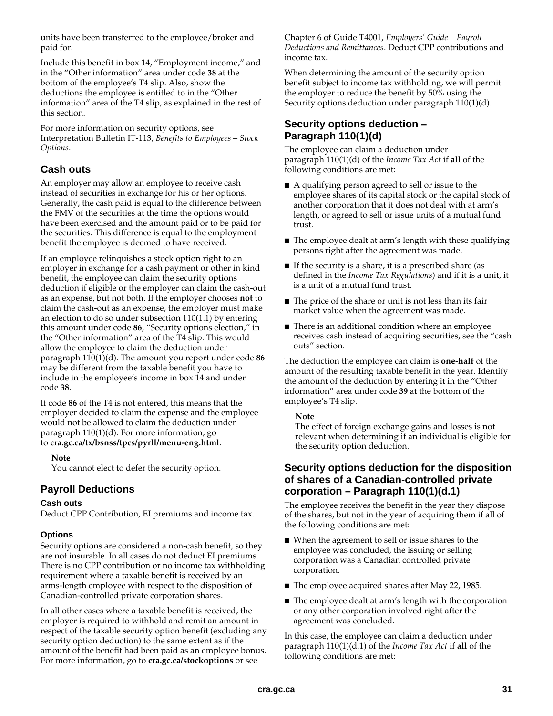units have been transferred to the employee/broker and paid for.

Include this benefit in box 14, "Employment income," and in the "Other information" area under code **38** at the bottom of the employee's T4 slip. Also, show the deductions the employee is entitled to in the "Other information" area of the T4 slip, as explained in the rest of this section.

For more information on security options, see Interpretation Bulletin IT-113, *Benefits to Employees – Stock Options*.

### **Cash outs**

An employer may allow an employee to receive cash instead of securities in exchange for his or her options. Generally, the cash paid is equal to the difference between the FMV of the securities at the time the options would have been exercised and the amount paid or to be paid for the securities. This difference is equal to the employment benefit the employee is deemed to have received.

If an employee relinquishes a stock option right to an employer in exchange for a cash payment or other in kind benefit, the employee can claim the security options deduction if eligible or the employer can claim the cash-out as an expense, but not both. If the employer chooses **not** to claim the cash-out as an expense, the employer must make an election to do so under subsection 110(1.1) by entering this amount under code **86**, "Security options election," in the "Other information" area of the T4 slip. This would allow the employee to claim the deduction under paragraph 110(1)(d). The amount you report under code **86** may be different from the taxable benefit you have to include in the employee's income in box 14 and under code **38**.

If code **86** of the T4 is not entered, this means that the employer decided to claim the expense and the employee would not be allowed to claim the deduction under paragraph 110(1)(d). For more information, go to **cra.gc.ca/tx/bsnss/tpcs/pyrll/menu-eng.html**.

### **Note**

You cannot elect to defer the security option.

### **Payroll Deductions**

### **Cash outs**

Deduct CPP Contribution, EI premiums and income tax.

### **Options**

Security options are considered a non-cash benefit, so they are not insurable. In all cases do not deduct EI premiums. There is no CPP contribution or no income tax withholding requirement where a taxable benefit is received by an arms-length employee with respect to the disposition of Canadian-controlled private corporation shares.

In all other cases where a taxable benefit is received, the employer is required to withhold and remit an amount in respect of the taxable security option benefit (excluding any security option deduction) to the same extent as if the amount of the benefit had been paid as an employee bonus. For more information, go to **cra.gc.ca/stockoptions** or see

Chapter 6 of Guide T4001, *Employers' Guide – Payroll Deductions and Remittances*. Deduct CPP contributions and income tax.

When determining the amount of the security option benefit subject to income tax withholding, we will permit the employer to reduce the benefit by 50% using the Security options deduction under paragraph 110(1)(d).

### **Security options deduction – Paragraph 110(1)(d)**

The employee can claim a deduction under paragraph 110(1)(d) of the *Income Tax Act* if **all** of the following conditions are met:

- A qualifying person agreed to sell or issue to the employee shares of its capital stock or the capital stock of another corporation that it does not deal with at arm's length, or agreed to sell or issue units of a mutual fund trust.
- The employee dealt at arm's length with these qualifying persons right after the agreement was made.
- $\blacksquare$  If the security is a share, it is a prescribed share (as defined in the *Income Tax Regulations*) and if it is a unit, it is a unit of a mutual fund trust.
- The price of the share or unit is not less than its fair market value when the agreement was made.
- There is an additional condition where an employee receives cash instead of acquiring securities, see the "cash outs" section.

The deduction the employee can claim is **one-half** of the amount of the resulting taxable benefit in the year. Identify the amount of the deduction by entering it in the "Other information" area under code **39** at the bottom of the employee's T4 slip.

### **Note**

The effect of foreign exchange gains and losses is not relevant when determining if an individual is eligible for the security option deduction.

### **Security options deduction for the disposition of shares of a Canadian-controlled private corporation – Paragraph 110(1)(d.1)**

The employee receives the benefit in the year they dispose of the shares, but not in the year of acquiring them if all of the following conditions are met:

- When the agreement to sell or issue shares to the employee was concluded, the issuing or selling corporation was a Canadian controlled private corporation.
- The employee acquired shares after May 22, 1985.
- The employee dealt at arm's length with the corporation or any other corporation involved right after the agreement was concluded.

In this case, the employee can claim a deduction under paragraph 110(1)(d.1) of the *Income Tax Act* if **all** of the following conditions are met: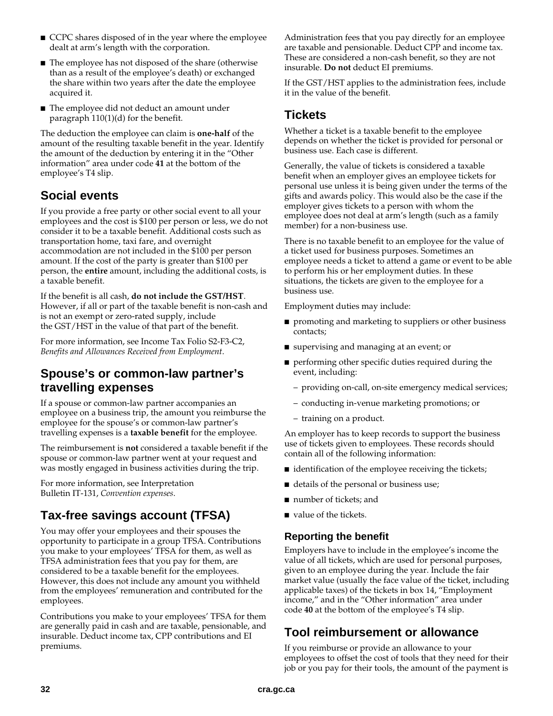- CCPC shares disposed of in the year where the employee dealt at arm's length with the corporation.
- The employee has not disposed of the share (otherwise than as a result of the employee's death) or exchanged the share within two years after the date the employee acquired it.
- The employee did not deduct an amount under paragraph 110(1)(d) for the benefit.

The deduction the employee can claim is **one-half** of the amount of the resulting taxable benefit in the year. Identify the amount of the deduction by entering it in the "Other information" area under code **41** at the bottom of the employee's T4 slip.

## **Social events**

If you provide a free party or other social event to all your employees and the cost is \$100 per person or less, we do not consider it to be a taxable benefit. Additional costs such as transportation home, taxi fare, and overnight accommodation are not included in the \$100 per person amount. If the cost of the party is greater than \$100 per person, the **entire** amount, including the additional costs, is a taxable benefit.

If the benefit is all cash, **do not include the GST/HST**. However, if all or part of the taxable benefit is non-cash and is not an exempt or zero-rated supply, include the GST/HST in the value of that part of the benefit.

For more information, see Income Tax Folio S2-F3-C2, *Benefits and Allowances Received from Employment*.

### **Spouse's or common-law partner's travelling expenses**

If a spouse or common-law partner accompanies an employee on a business trip, the amount you reimburse the employee for the spouse's or common-law partner's travelling expenses is a **taxable benefit** for the employee.

The reimbursement is **not** considered a taxable benefit if the spouse or common-law partner went at your request and was mostly engaged in business activities during the trip.

For more information, see Interpretation Bulletin IT-131, *Convention expenses*.

## **Tax-free savings account (TFSA)**

You may offer your employees and their spouses the opportunity to participate in a group TFSA. Contributions you make to your employees' TFSA for them, as well as TFSA administration fees that you pay for them, are considered to be a taxable benefit for the employees. However, this does not include any amount you withheld from the employees' remuneration and contributed for the employees.

Contributions you make to your employees' TFSA for them are generally paid in cash and are taxable, pensionable, and insurable. Deduct income tax, CPP contributions and EI premiums.

Administration fees that you pay directly for an employee are taxable and pensionable. Deduct CPP and income tax. These are considered a non-cash benefit, so they are not insurable. **Do not** deduct EI premiums.

If the GST/HST applies to the administration fees, include it in the value of the benefit.

## **Tickets**

Whether a ticket is a taxable benefit to the employee depends on whether the ticket is provided for personal or business use. Each case is different.

Generally, the value of tickets is considered a taxable benefit when an employer gives an employee tickets for personal use unless it is being given under the terms of the gifts and awards policy. This would also be the case if the employer gives tickets to a person with whom the employee does not deal at arm's length (such as a family member) for a non-business use.

There is no taxable benefit to an employee for the value of a ticket used for business purposes. Sometimes an employee needs a ticket to attend a game or event to be able to perform his or her employment duties. In these situations, the tickets are given to the employee for a business use.

Employment duties may include:

- promoting and marketing to suppliers or other business contacts;
- supervising and managing at an event; or
- performing other specific duties required during the event, including:
	- providing on-call, on-site emergency medical services;
	- conducting in-venue marketing promotions; or
	- training on a product.

An employer has to keep records to support the business use of tickets given to employees. These records should contain all of the following information:

- identification of the employee receiving the tickets;
- details of the personal or business use;
- number of tickets; and
- value of the tickets.

### **Reporting the benefit**

Employers have to include in the employee's income the value of all tickets, which are used for personal purposes, given to an employee during the year. Include the fair market value (usually the face value of the ticket, including applicable taxes) of the tickets in box 14, "Employment income," and in the "Other information" area under code **40** at the bottom of the employee's T4 slip.

## **Tool reimbursement or allowance**

If you reimburse or provide an allowance to your employees to offset the cost of tools that they need for their job or you pay for their tools, the amount of the payment is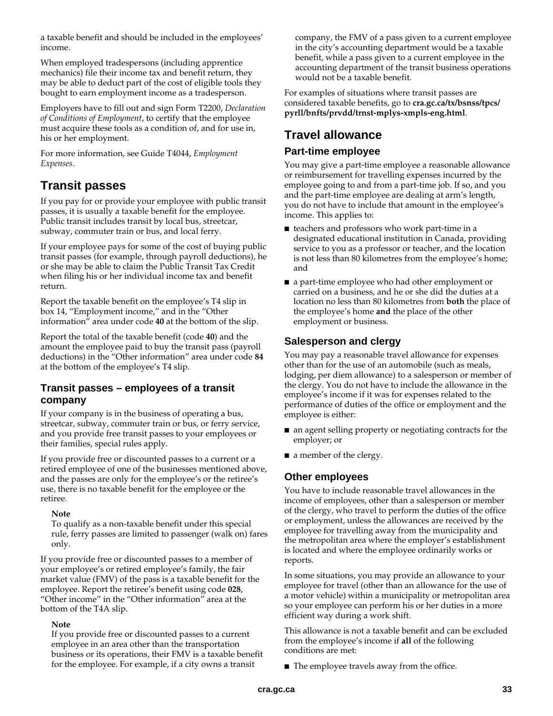a taxable benefit and should be included in the employees' income.

When employed tradespersons (including apprentice mechanics) file their income tax and benefit return, they may be able to deduct part of the cost of eligible tools they bought to earn employment income as a tradesperson.

Employers have to fill out and sign Form T2200, *Declaration of Conditions of Employment*, to certify that the employee must acquire these tools as a condition of, and for use in, his or her employment.

For more information, see Guide T4044, *Employment Expenses*.

## **Transit passes**

If you pay for or provide your employee with public transit passes, it is usually a taxable benefit for the employee. Public transit includes transit by local bus, streetcar, subway, commuter train or bus, and local ferry.

If your employee pays for some of the cost of buying public transit passes (for example, through payroll deductions), he or she may be able to claim the Public Transit Tax Credit when filing his or her individual income tax and benefit return.

Report the taxable benefit on the employee's T4 slip in box 14, "Employment income," and in the "Other information" area under code **40** at the bottom of the slip.

Report the total of the taxable benefit (code **40**) and the amount the employee paid to buy the transit pass (payroll deductions) in the "Other information" area under code **84** at the bottom of the employee's T4 slip.

### **Transit passes – employees of a transit company**

If your company is in the business of operating a bus, streetcar, subway, commuter train or bus, or ferry service, and you provide free transit passes to your employees or their families, special rules apply.

If you provide free or discounted passes to a current or a retired employee of one of the businesses mentioned above, and the passes are only for the employee's or the retiree's use, there is no taxable benefit for the employee or the retiree.

### **Note**

To qualify as a non-taxable benefit under this special rule, ferry passes are limited to passenger (walk on) fares only.

If you provide free or discounted passes to a member of your employee's or retired employee's family, the fair market value (FMV) of the pass is a taxable benefit for the employee. Report the retiree's benefit using code **028**, "Other income" in the "Other information" area at the bottom of the T4A slip.

### **Note**

If you provide free or discounted passes to a current employee in an area other than the transportation business or its operations, their FMV is a taxable benefit for the employee. For example, if a city owns a transit

company, the FMV of a pass given to a current employee in the city's accounting department would be a taxable benefit, while a pass given to a current employee in the accounting department of the transit business operations would not be a taxable benefit.

For examples of situations where transit passes are considered taxable benefits, go to **cra.gc.ca/tx/bsnss/tpcs/ pyrll/bnfts/prvdd/trnst-mplys-xmpls-eng.html**.

## **Travel allowance**

### **Part-time employee**

You may give a part-time employee a reasonable allowance or reimbursement for travelling expenses incurred by the employee going to and from a part-time job. If so, and you and the part-time employee are dealing at arm's length, you do not have to include that amount in the employee's income. This applies to:

- teachers and professors who work part-time in a designated educational institution in Canada, providing service to you as a professor or teacher, and the location is not less than 80 kilometres from the employee's home; and
- a part-time employee who had other employment or carried on a business, and he or she did the duties at a location no less than 80 kilometres from **both** the place of the employee's home **and** the place of the other employment or business.

### **Salesperson and clergy**

You may pay a reasonable travel allowance for expenses other than for the use of an automobile (such as meals, lodging, per diem allowance) to a salesperson or member of the clergy. You do not have to include the allowance in the employee's income if it was for expenses related to the performance of duties of the office or employment and the employee is either:

- an agent selling property or negotiating contracts for the employer; or
- a member of the clergy.

### **Other employees**

You have to include reasonable travel allowances in the income of employees, other than a salesperson or member of the clergy, who travel to perform the duties of the office or employment, unless the allowances are received by the employee for travelling away from the municipality and the metropolitan area where the employer's establishment is located and where the employee ordinarily works or reports.

In some situations, you may provide an allowance to your employee for travel (other than an allowance for the use of a motor vehicle) within a municipality or metropolitan area so your employee can perform his or her duties in a more efficient way during a work shift.

This allowance is not a taxable benefit and can be excluded from the employee's income if **all** of the following conditions are met:

■ The employee travels away from the office.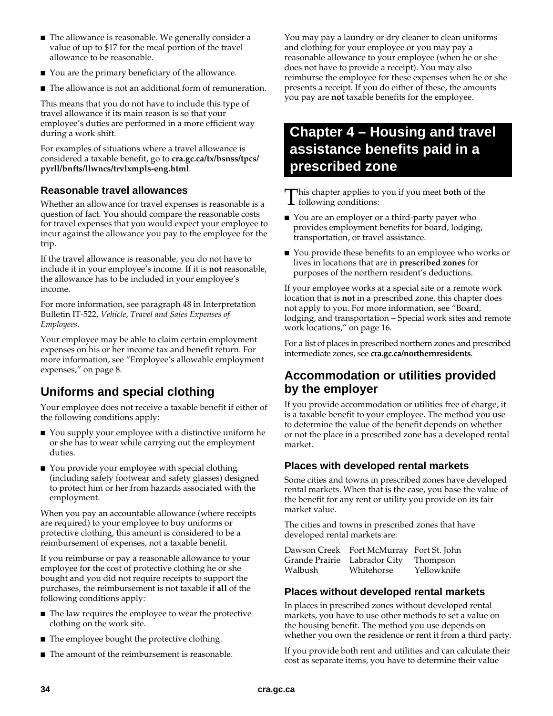- The allowance is reasonable. We generally consider a value of up to \$17 for the meal portion of the travel allowance to be reasonable.
- You are the primary beneficiary of the allowance.
- The allowance is not an additional form of remuneration.

This means that you do not have to include this type of travel allowance if its main reason is so that your employee's duties are performed in a more efficient way during a work shift.

For examples of situations where a travel allowance is considered a taxable benefit, go to **cra.gc.ca/tx/bsnss/tpcs/ pyrll/bnfts/llwncs/trvlxmpls-eng.html**.

### **Reasonable travel allowances**

Whether an allowance for travel expenses is reasonable is a question of fact. You should compare the reasonable costs for travel expenses that you would expect your employee to incur against the allowance you pay to the employee for the trip.

If the travel allowance is reasonable, you do not have to include it in your employee's income. If it is **not** reasonable, the allowance has to be included in your employee's income.

For more information, see paragraph 48 in Interpretation Bulletin IT-522, *Vehicle, Travel and Sales Expenses of Employees*.

Your employee may be able to claim certain employment expenses on his or her income tax and benefit return. For more information, see "Employee's allowable employment expenses," on page 8.

## **Uniforms and special clothing**

Your employee does not receive a taxable benefit if either of the following conditions apply:

- You supply your employee with a distinctive uniform he or she has to wear while carrying out the employment duties.
- You provide your employee with special clothing (including safety footwear and safety glasses) designed to protect him or her from hazards associated with the employment.

When you pay an accountable allowance (where receipts are required) to your employee to buy uniforms or protective clothing, this amount is considered to be a reimbursement of expenses, not a taxable benefit.

If you reimburse or pay a reasonable allowance to your employee for the cost of protective clothing he or she bought and you did not require receipts to support the purchases, the reimbursement is not taxable if **all** of the following conditions apply:

- The law requires the employee to wear the protective clothing on the work site.
- The employee bought the protective clothing.
- The amount of the reimbursement is reasonable.

You may pay a laundry or dry cleaner to clean uniforms and clothing for your employee or you may pay a reasonable allowance to your employee (when he or she does not have to provide a receipt). You may also reimburse the employee for these expenses when he or she presents a receipt. If you do either of these, the amounts you pay are **not** taxable benefits for the employee.

## **Chapter 4 – Housing and travel assistance benefits paid in a prescribed zone**

his chapter applies to you if you meet **both** of the This chapter applies to<br>following conditions:

- You are an employer or a third-party payer who provides employment benefits for board, lodging, transportation, or travel assistance.
- You provide these benefits to an employee who works or lives in locations that are in **prescribed zones** for purposes of the northern resident's deductions.

If your employee works at a special site or a remote work location that is **not** in a prescribed zone, this chapter does not apply to you. For more information, see "Board, lodging, and transportation – Special work sites and remote work locations," on page 16.

For a list of places in prescribed northern zones and prescribed intermediate zones, see **cra.gc.ca/northernresidents**.

## **Accommodation or utilities provided by the employer**

If you provide accommodation or utilities free of charge, it is a taxable benefit to your employee. The method you use to determine the value of the benefit depends on whether or not the place in a prescribed zone has a developed rental market.

### **Places with developed rental markets**

Some cities and towns in prescribed zones have developed rental markets. When that is the case, you base the value of the benefit for any rent or utility you provide on its fair market value.

The cities and towns in prescribed zones that have developed rental markets are:

| Dawson Creek                 | Fort McMurray Fort St. John |             |
|------------------------------|-----------------------------|-------------|
| Grande Prairie Labrador City |                             | Thompson    |
| Walbush                      | Whitehorse                  | Yellowknife |

### **Places without developed rental markets**

In places in prescribed zones without developed rental markets, you have to use other methods to set a value on the housing benefit. The method you use depends on whether you own the residence or rent it from a third party.

If you provide both rent and utilities and can calculate their cost as separate items, you have to determine their value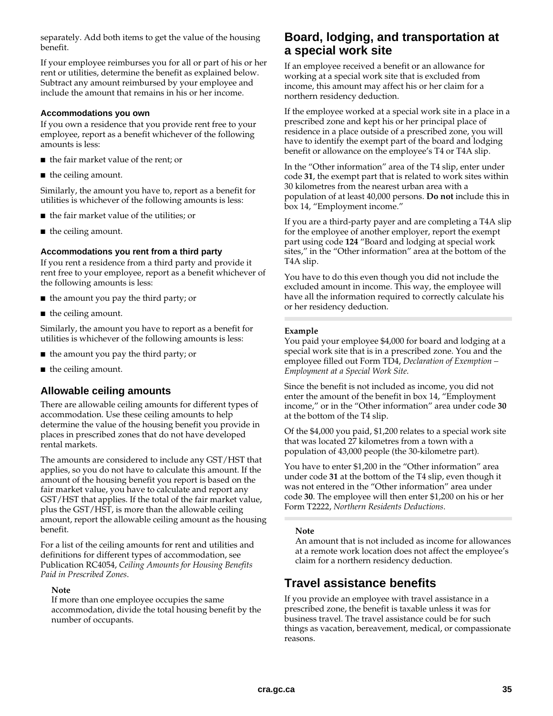separately. Add both items to get the value of the housing benefit.

If your employee reimburses you for all or part of his or her rent or utilities, determine the benefit as explained below. Subtract any amount reimbursed by your employee and include the amount that remains in his or her income.

#### **Accommodations you own**

If you own a residence that you provide rent free to your employee, report as a benefit whichever of the following amounts is less:

- the fair market value of the rent; or
- the ceiling amount.

Similarly, the amount you have to, report as a benefit for utilities is whichever of the following amounts is less:

- the fair market value of the utilities; or
- the ceiling amount.

### **Accommodations you rent from a third party**

If you rent a residence from a third party and provide it rent free to your employee, report as a benefit whichever of the following amounts is less:

- the amount you pay the third party; or
- the ceiling amount.

Similarly, the amount you have to report as a benefit for utilities is whichever of the following amounts is less:

- the amount you pay the third party; or
- the ceiling amount.

### **Allowable ceiling amounts**

There are allowable ceiling amounts for different types of accommodation. Use these ceiling amounts to help determine the value of the housing benefit you provide in places in prescribed zones that do not have developed rental markets.

The amounts are considered to include any GST/HST that applies, so you do not have to calculate this amount. If the amount of the housing benefit you report is based on the fair market value, you have to calculate and report any GST/HST that applies. If the total of the fair market value, plus the GST/HST, is more than the allowable ceiling amount, report the allowable ceiling amount as the housing benefit.

For a list of the ceiling amounts for rent and utilities and definitions for different types of accommodation, see Publication RC4054, *Ceiling Amounts for Housing Benefits Paid in Prescribed Zones*.

#### **Note**

If more than one employee occupies the same accommodation, divide the total housing benefit by the number of occupants.

## **Board, lodging, and transportation at a special work site**

If an employee received a benefit or an allowance for working at a special work site that is excluded from income, this amount may affect his or her claim for a northern residency deduction.

If the employee worked at a special work site in a place in a prescribed zone and kept his or her principal place of residence in a place outside of a prescribed zone, you will have to identify the exempt part of the board and lodging benefit or allowance on the employee's T4 or T4A slip.

In the "Other information" area of the T4 slip, enter under code **31**, the exempt part that is related to work sites within 30 kilometres from the nearest urban area with a population of at least 40,000 persons. **Do not** include this in box 14, "Employment income."

If you are a third-party payer and are completing a T4A slip for the employee of another employer, report the exempt part using code **124** "Board and lodging at special work sites," in the "Other information" area at the bottom of the T4A slip.

You have to do this even though you did not include the excluded amount in income. This way, the employee will have all the information required to correctly calculate his or her residency deduction.

### **Example**

You paid your employee \$4,000 for board and lodging at a special work site that is in a prescribed zone. You and the employee filled out Form TD4, *Declaration of Exemption – Employment at a Special Work Site*.

Since the benefit is not included as income, you did not enter the amount of the benefit in box 14, "Employment income," or in the "Other information" area under code **30** at the bottom of the T4 slip.

Of the \$4,000 you paid, \$1,200 relates to a special work site that was located 27 kilometres from a town with a population of 43,000 people (the 30-kilometre part).

You have to enter \$1,200 in the "Other information" area under code **31** at the bottom of the T4 slip, even though it was not entered in the "Other information" area under code **30**. The employee will then enter \$1,200 on his or her Form T2222, *Northern Residents Deductions*.

### **Note**

An amount that is not included as income for allowances at a remote work location does not affect the employee's claim for a northern residency deduction.

## **Travel assistance benefits**

If you provide an employee with travel assistance in a prescribed zone, the benefit is taxable unless it was for business travel. The travel assistance could be for such things as vacation, bereavement, medical, or compassionate reasons.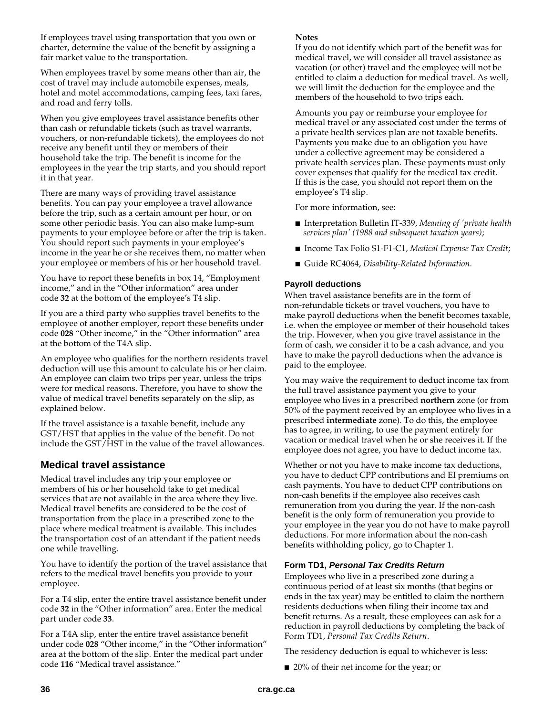If employees travel using transportation that you own or charter, determine the value of the benefit by assigning a fair market value to the transportation.

When employees travel by some means other than air, the cost of travel may include automobile expenses, meals, hotel and motel accommodations, camping fees, taxi fares, and road and ferry tolls.

When you give employees travel assistance benefits other than cash or refundable tickets (such as travel warrants, vouchers, or non-refundable tickets), the employees do not receive any benefit until they or members of their household take the trip. The benefit is income for the employees in the year the trip starts, and you should report it in that year.

There are many ways of providing travel assistance benefits. You can pay your employee a travel allowance before the trip, such as a certain amount per hour, or on some other periodic basis. You can also make lump-sum payments to your employee before or after the trip is taken. You should report such payments in your employee's income in the year he or she receives them, no matter when your employee or members of his or her household travel.

You have to report these benefits in box 14, "Employment income," and in the "Other information" area under code **32** at the bottom of the employee's T4 slip.

If you are a third party who supplies travel benefits to the employee of another employer, report these benefits under code **028** "Other income," in the "Other information" area at the bottom of the T4A slip.

An employee who qualifies for the northern residents travel deduction will use this amount to calculate his or her claim. An employee can claim two trips per year, unless the trips were for medical reasons. Therefore, you have to show the value of medical travel benefits separately on the slip, as explained below.

If the travel assistance is a taxable benefit, include any GST/HST that applies in the value of the benefit. Do not include the GST/HST in the value of the travel allowances.

### **Medical travel assistance**

Medical travel includes any trip your employee or members of his or her household take to get medical services that are not available in the area where they live. Medical travel benefits are considered to be the cost of transportation from the place in a prescribed zone to the place where medical treatment is available. This includes the transportation cost of an attendant if the patient needs one while travelling.

You have to identify the portion of the travel assistance that refers to the medical travel benefits you provide to your employee.

For a T4 slip, enter the entire travel assistance benefit under code **32** in the "Other information" area. Enter the medical part under code **33**.

For a T4A slip, enter the entire travel assistance benefit under code **028** "Other income," in the "Other information" area at the bottom of the slip. Enter the medical part under code **116** "Medical travel assistance."

#### **Notes**

If you do not identify which part of the benefit was for medical travel, we will consider all travel assistance as vacation (or other) travel and the employee will not be entitled to claim a deduction for medical travel. As well, we will limit the deduction for the employee and the members of the household to two trips each.

Amounts you pay or reimburse your employee for medical travel or any associated cost under the terms of a private health services plan are not taxable benefits. Payments you make due to an obligation you have under a collective agreement may be considered a private health services plan. These payments must only cover expenses that qualify for the medical tax credit. If this is the case, you should not report them on the employee's T4 slip.

For more information, see:

- Interpretation Bulletin IT-339, *Meaning of 'private health services plan' (1988 and subsequent taxation years)*;
- Income Tax Folio S1-F1-C1, Medical Expense Tax Credit;
- Guide RC4064, *Disability-Related Information*.

### **Payroll deductions**

When travel assistance benefits are in the form of non-refundable tickets or travel vouchers, you have to make payroll deductions when the benefit becomes taxable, i.e. when the employee or member of their household takes the trip. However, when you give travel assistance in the form of cash, we consider it to be a cash advance, and you have to make the payroll deductions when the advance is paid to the employee.

You may waive the requirement to deduct income tax from the full travel assistance payment you give to your employee who lives in a prescribed **northern** zone (or from 50% of the payment received by an employee who lives in a prescribed **intermediate** zone). To do this, the employee has to agree, in writing, to use the payment entirely for vacation or medical travel when he or she receives it. If the employee does not agree, you have to deduct income tax.

Whether or not you have to make income tax deductions, you have to deduct CPP contributions and EI premiums on cash payments. You have to deduct CPP contributions on non-cash benefits if the employee also receives cash remuneration from you during the year. If the non-cash benefit is the only form of remuneration you provide to your employee in the year you do not have to make payroll deductions. For more information about the non-cash benefits withholding policy, go to Chapter 1.

### **Form TD1,** *Personal Tax Credits Return*

Employees who live in a prescribed zone during a continuous period of at least six months (that begins or ends in the tax year) may be entitled to claim the northern residents deductions when filing their income tax and benefit returns. As a result, these employees can ask for a reduction in payroll deductions by completing the back of Form TD1, *Personal Tax Credits Return*.

The residency deduction is equal to whichever is less:

■ 20% of their net income for the year; or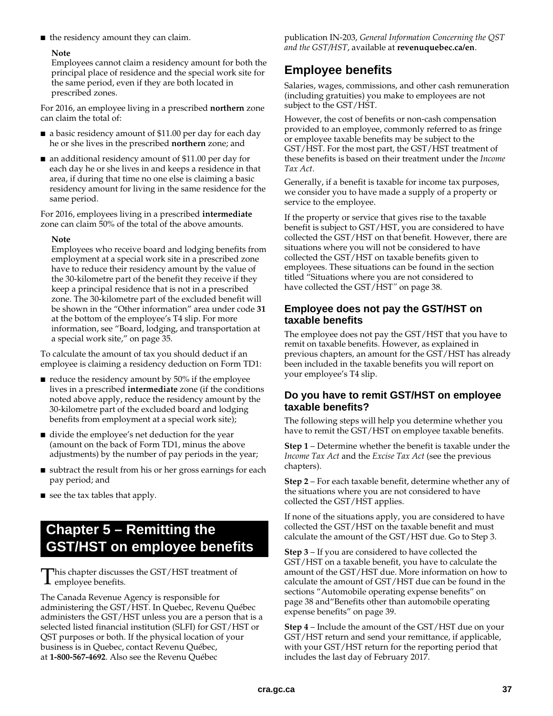■ the residency amount they can claim.

#### **Note**

Employees cannot claim a residency amount for both the principal place of residence and the special work site for the same period, even if they are both located in prescribed zones.

For 2016, an employee living in a prescribed **northern** zone can claim the total of:

- a basic residency amount of \$11.00 per day for each day he or she lives in the prescribed **northern** zone; and
- an additional residency amount of \$11.00 per day for each day he or she lives in and keeps a residence in that area, if during that time no one else is claiming a basic residency amount for living in the same residence for the same period.

For 2016, employees living in a prescribed **intermediate** zone can claim 50% of the total of the above amounts.

### **Note**

Employees who receive board and lodging benefits from employment at a special work site in a prescribed zone have to reduce their residency amount by the value of the 30-kilometre part of the benefit they receive if they keep a principal residence that is not in a prescribed zone. The 30-kilometre part of the excluded benefit will be shown in the "Other information" area under code **31** at the bottom of the employee's T4 slip. For more information, see "Board, lodging, and transportation at a special work site," on page 35.

To calculate the amount of tax you should deduct if an employee is claiming a residency deduction on Form TD1:

- $\blacksquare$  reduce the residency amount by 50% if the employee lives in a prescribed **intermediate** zone (if the conditions noted above apply, reduce the residency amount by the 30-kilometre part of the excluded board and lodging benefits from employment at a special work site);
- divide the employee's net deduction for the year (amount on the back of Form TD1, minus the above adjustments) by the number of pay periods in the year;
- subtract the result from his or her gross earnings for each pay period; and
- $\blacksquare$  see the tax tables that apply.

## **Chapter 5 – Remitting the GST/HST on employee benefits**

his chapter discusses the GST/HST treatment of This chapter discusse<br>
employee benefits.

The Canada Revenue Agency is responsible for administering the GST/HST. In Quebec, Revenu Québec administers the GST/HST unless you are a person that is a selected listed financial institution (SLFI) for GST/HST or QST purposes or both. If the physical location of your business is in Quebec, contact Revenu Québec, at **1-800-567-4692**. Also see the Revenu Québec

publication IN-203, *General Information Concerning the QST and the GST/HST*, available at **revenuquebec.ca/en**.

## **Employee benefits**

Salaries, wages, commissions, and other cash remuneration (including gratuities) you make to employees are not subject to the GST/HST.

However, the cost of benefits or non-cash compensation provided to an employee, commonly referred to as fringe or employee taxable benefits may be subject to the GST/HST. For the most part, the GST/HST treatment of these benefits is based on their treatment under the *Income Tax Act*.

Generally, if a benefit is taxable for income tax purposes, we consider you to have made a supply of a property or service to the employee.

If the property or service that gives rise to the taxable benefit is subject to GST/HST, you are considered to have collected the GST/HST on that benefit. However, there are situations where you will not be considered to have collected the GST/HST on taxable benefits given to employees. These situations can be found in the section titled "Situations where you are not considered to have collected the GST/HST*"* on page 38*.*

### **Employee does not pay the GST/HST on taxable benefits**

The employee does not pay the GST/HST that you have to remit on taxable benefits. However, as explained in previous chapters, an amount for the GST/HST has already been included in the taxable benefits you will report on your employee's T4 slip.

### **Do you have to remit GST/HST on employee taxable benefits?**

The following steps will help you determine whether you have to remit the GST/HST on employee taxable benefits.

**Step 1** – Determine whether the benefit is taxable under the *Income Tax Act* and the *Excise Tax Act* (see the previous chapters).

**Step 2** – For each taxable benefit, determine whether any of the situations where you are not considered to have collected the GST/HST applies.

If none of the situations apply, you are considered to have collected the GST/HST on the taxable benefit and must calculate the amount of the GST/HST due. Go to Step 3.

**Step 3** – If you are considered to have collected the GST/HST on a taxable benefit, you have to calculate the amount of the GST/HST due. More information on how to calculate the amount of GST/HST due can be found in the sections "Automobile operating expense benefits" on page 38 and"Benefits other than automobile operating expense benefits" on page 39.

**Step 4** – Include the amount of the GST/HST due on your GST/HST return and send your remittance, if applicable, with your GST/HST return for the reporting period that includes the last day of February 2017.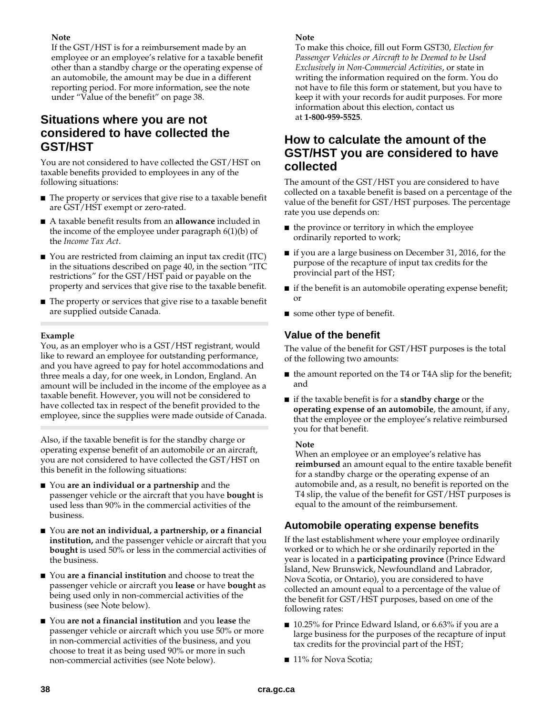### **Note**

If the GST/HST is for a reimbursement made by an employee or an employee's relative for a taxable benefit other than a standby charge or the operating expense of an automobile, the amount may be due in a different reporting period. For more information, see the note under "Value of the benefit" on page 38.

## **Situations where you are not considered to have collected the GST/HST**

You are not considered to have collected the GST/HST on taxable benefits provided to employees in any of the following situations:

- The property or services that give rise to a taxable benefit are GST/HST exempt or zero-rated.
- A taxable benefit results from an **allowance** included in the income of the employee under paragraph 6(1)(b) of the *Income Tax Act*.
- You are restricted from claiming an input tax credit (ITC) in the situations described on page 40, in the section "ITC restrictions" for the GST/HST paid or payable on the property and services that give rise to the taxable benefit.
- The property or services that give rise to a taxable benefit are supplied outside Canada.

### **Example**

You, as an employer who is a GST/HST registrant, would like to reward an employee for outstanding performance, and you have agreed to pay for hotel accommodations and three meals a day, for one week, in London, England. An amount will be included in the income of the employee as a taxable benefit. However, you will not be considered to have collected tax in respect of the benefit provided to the employee, since the supplies were made outside of Canada.

Also, if the taxable benefit is for the standby charge or operating expense benefit of an automobile or an aircraft, you are not considered to have collected the GST/HST on this benefit in the following situations:

- You are an individual or a partnership and the passenger vehicle or the aircraft that you have **bought** is used less than 90% in the commercial activities of the business.
- You are not an individual, a partnership, or a financial **institution,** and the passenger vehicle or aircraft that you **bought** is used 50% or less in the commercial activities of the business.
- You **are a financial institution** and choose to treat the passenger vehicle or aircraft you **lease** or have **bought** as being used only in non-commercial activities of the business (see Note below).
- You are not a financial institution and you lease the passenger vehicle or aircraft which you use 50% or more in non-commercial activities of the business, and you choose to treat it as being used 90% or more in such non-commercial activities (see Note below).

### **Note**

To make this choice, fill out Form GST30, *Election for Passenger Vehicles or Aircraft to be Deemed to be Used Exclusively in Non-Commercial Activities*, or state in writing the information required on the form. You do not have to file this form or statement, but you have to keep it with your records for audit purposes. For more information about this election, contact us at **1-800-959-5525**.

### **How to calculate the amount of the GST/HST you are considered to have collected**

The amount of the GST/HST you are considered to have collected on a taxable benefit is based on a percentage of the value of the benefit for GST/HST purposes. The percentage rate you use depends on:

- the province or territory in which the employee ordinarily reported to work;
- if you are a large business on December 31, 2016, for the purpose of the recapture of input tax credits for the provincial part of the HST;
- if the benefit is an automobile operating expense benefit; or
- some other type of benefit.

### **Value of the benefit**

The value of the benefit for GST/HST purposes is the total of the following two amounts:

- the amount reported on the T4 or T4A slip for the benefit; and
- if the taxable benefit is for a **standby charge** or the **operating expense of an automobile**, the amount, if any, that the employee or the employee's relative reimbursed you for that benefit.

### **Note**

When an employee or an employee's relative has **reimbursed** an amount equal to the entire taxable benefit for a standby charge or the operating expense of an automobile and, as a result, no benefit is reported on the T4 slip, the value of the benefit for GST/HST purposes is equal to the amount of the reimbursement.

### **Automobile operating expense benefits**

If the last establishment where your employee ordinarily worked or to which he or she ordinarily reported in the year is located in a **participating province** (Prince Edward Island, New Brunswick, Newfoundland and Labrador, Nova Scotia, or Ontario), you are considered to have collected an amount equal to a percentage of the value of the benefit for GST/HST purposes, based on one of the following rates:

- 10.25% for Prince Edward Island, or 6.63% if you are a large business for the purposes of the recapture of input tax credits for the provincial part of the HST;
- 11% for Nova Scotia;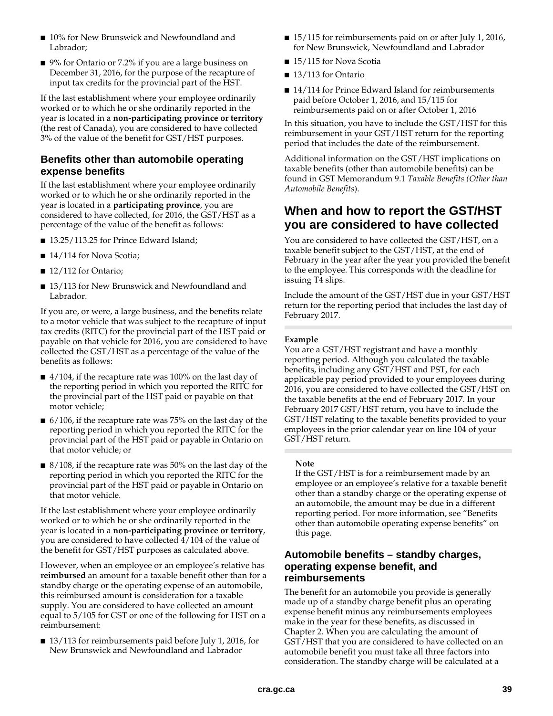- 10% for New Brunswick and Newfoundland and Labrador;
- 9% for Ontario or 7.2% if you are a large business on December 31, 2016, for the purpose of the recapture of input tax credits for the provincial part of the HST.

If the last establishment where your employee ordinarily worked or to which he or she ordinarily reported in the year is located in a **non-participating province or territory** (the rest of Canada), you are considered to have collected 3% of the value of the benefit for GST/HST purposes.

### **Benefits other than automobile operating expense benefits**

If the last establishment where your employee ordinarily worked or to which he or she ordinarily reported in the year is located in a **participating province**, you are considered to have collected, for 2016, the GST/HST as a percentage of the value of the benefit as follows:

- 13.25/113.25 for Prince Edward Island;
- 14/114 for Nova Scotia;
- 12/112 for Ontario;
- 13/113 for New Brunswick and Newfoundland and Labrador.

If you are, or were, a large business, and the benefits relate to a motor vehicle that was subject to the recapture of input tax credits (RITC) for the provincial part of the HST paid or payable on that vehicle for 2016, you are considered to have collected the GST/HST as a percentage of the value of the benefits as follows:

- $\blacksquare$  4/104, if the recapture rate was 100% on the last day of the reporting period in which you reported the RITC for the provincial part of the HST paid or payable on that motor vehicle;
- $\blacksquare$  6/106, if the recapture rate was 75% on the last day of the reporting period in which you reported the RITC for the provincial part of the HST paid or payable in Ontario on that motor vehicle; or
- $\blacksquare$  8/108, if the recapture rate was 50% on the last day of the reporting period in which you reported the RITC for the provincial part of the HST paid or payable in Ontario on that motor vehicle.

If the last establishment where your employee ordinarily worked or to which he or she ordinarily reported in the year is located in a **non-participating province or territory**, you are considered to have collected 4/104 of the value of the benefit for GST/HST purposes as calculated above.

However, when an employee or an employee's relative has **reimbursed** an amount for a taxable benefit other than for a standby charge or the operating expense of an automobile, this reimbursed amount is consideration for a taxable supply. You are considered to have collected an amount equal to 5/105 for GST or one of the following for HST on a reimbursement:

■ 13/113 for reimbursements paid before July 1, 2016, for New Brunswick and Newfoundland and Labrador

- 15/115 for reimbursements paid on or after July 1, 2016, for New Brunswick, Newfoundland and Labrador
- 15/115 for Nova Scotia
- 13/113 for Ontario
- 14/114 for Prince Edward Island for reimbursements paid before October 1, 2016, and 15/115 for reimbursements paid on or after October 1, 2016

In this situation, you have to include the GST/HST for this reimbursement in your GST/HST return for the reporting period that includes the date of the reimbursement.

Additional information on the GST/HST implications on taxable benefits (other than automobile benefits) can be found in GST Memorandum 9.1 *Taxable Benefits (Other than Automobile Benefits*).

## **When and how to report the GST/HST you are considered to have collected**

You are considered to have collected the GST/HST, on a taxable benefit subject to the GST/HST, at the end of February in the year after the year you provided the benefit to the employee. This corresponds with the deadline for issuing T4 slips.

Include the amount of the GST/HST due in your GST/HST return for the reporting period that includes the last day of February 2017.

### **Example**

You are a GST/HST registrant and have a monthly reporting period. Although you calculated the taxable benefits, including any GST/HST and PST, for each applicable pay period provided to your employees during 2016, you are considered to have collected the GST/HST on the taxable benefits at the end of February 2017. In your February 2017 GST/HST return, you have to include the GST/HST relating to the taxable benefits provided to your employees in the prior calendar year on line 104 of your GST/HST return.

#### **Note**

If the GST/HST is for a reimbursement made by an employee or an employee's relative for a taxable benefit other than a standby charge or the operating expense of an automobile, the amount may be due in a different reporting period. For more information, see "Benefits other than automobile operating expense benefits" on this page.

### **Automobile benefits – standby charges, operating expense benefit, and reimbursements**

The benefit for an automobile you provide is generally made up of a standby charge benefit plus an operating expense benefit minus any reimbursements employees make in the year for these benefits, as discussed in Chapter 2. When you are calculating the amount of GST/HST that you are considered to have collected on an automobile benefit you must take all three factors into consideration. The standby charge will be calculated at a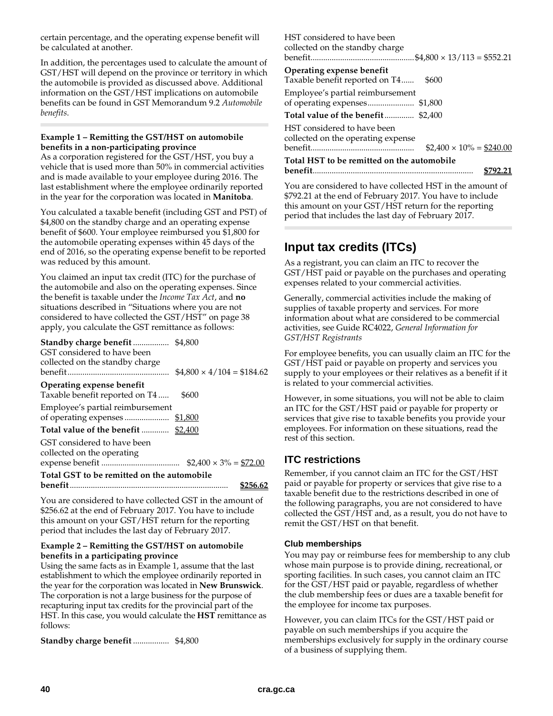certain percentage, and the operating expense benefit will be calculated at another.

In addition, the percentages used to calculate the amount of GST/HST will depend on the province or territory in which the automobile is provided as discussed above. Additional information on the GST/HST implications on automobile benefits can be found in GST Memorandum 9.2 *Automobile benefits*.

#### **Example 1 – Remitting the GST/HST on automobile benefits in a non-participating province**

As a corporation registered for the GST/HST, you buy a vehicle that is used more than 50% in commercial activities and is made available to your employee during 2016. The last establishment where the employee ordinarily reported in the year for the corporation was located in **Manitoba**.

You calculated a taxable benefit (including GST and PST) of \$4,800 on the standby charge and an operating expense benefit of \$600. Your employee reimbursed you \$1,800 for the automobile operating expenses within 45 days of the end of 2016, so the operating expense benefit to be reported was reduced by this amount.

You claimed an input tax credit (ITC) for the purchase of the automobile and also on the operating expenses. Since the benefit is taxable under the *Income Tax Act*, and **no** situations described in "Situations where you are not considered to have collected the GST/HST" on page 38 apply, you calculate the GST remittance as follows:

| Standby charge benefit<br>GST considered to have been<br>collected on the standby charge | \$4,800                         |
|------------------------------------------------------------------------------------------|---------------------------------|
|                                                                                          | $$4,800 \times 4/104 = $184.62$ |
| Operating expense benefit<br>Taxable benefit reported on T4                              | \$600                           |
| Employee's partial reimbursement                                                         | \$1,800                         |
| Total value of the benefit                                                               | \$2,400                         |
| GST considered to have been<br>collected on the operating                                | $$2,400 \times 3\% = $72.00$    |
| Total GST to be remitted on the automobile<br>benefit                                    |                                 |

You are considered to have collected GST in the amount of \$256.62 at the end of February 2017. You have to include this amount on your GST/HST return for the reporting period that includes the last day of February 2017.

#### **Example 2 – Remitting the GST/HST on automobile benefits in a participating province**

Using the same facts as in Example 1, assume that the last establishment to which the employee ordinarily reported in the year for the corporation was located in **New Brunswick**. The corporation is not a large business for the purpose of recapturing input tax credits for the provincial part of the HST. In this case, you would calculate the **HST** remittance as follows:

**Standby charge benefit** ................. \$4,800

You are considered to have collected HST in the amount of \$792.21 at the end of February 2017. You have to include this amount on your GST/HST return for the reporting period that includes the last day of February 2017.

## **Input tax credits (ITCs)**

As a registrant, you can claim an ITC to recover the GST/HST paid or payable on the purchases and operating expenses related to your commercial activities.

Generally, commercial activities include the making of supplies of taxable property and services. For more information about what are considered to be commercial activities, see Guide RC4022, *General Information for GST/HST Registrants*

For employee benefits, you can usually claim an ITC for the GST/HST paid or payable on property and services you supply to your employees or their relatives as a benefit if it is related to your commercial activities.

However, in some situations, you will not be able to claim an ITC for the GST/HST paid or payable for property or services that give rise to taxable benefits you provide your employees. For information on these situations, read the rest of this section.

### **ITC restrictions**

Remember, if you cannot claim an ITC for the GST/HST paid or payable for property or services that give rise to a taxable benefit due to the restrictions described in one of the following paragraphs, you are not considered to have collected the GST/HST and, as a result, you do not have to remit the GST/HST on that benefit.

### **Club memberships**

You may pay or reimburse fees for membership to any club whose main purpose is to provide dining, recreational, or sporting facilities. In such cases, you cannot claim an ITC for the GST/HST paid or payable, regardless of whether the club membership fees or dues are a taxable benefit for the employee for income tax purposes.

However, you can claim ITCs for the GST/HST paid or payable on such memberships if you acquire the memberships exclusively for supply in the ordinary course of a business of supplying them.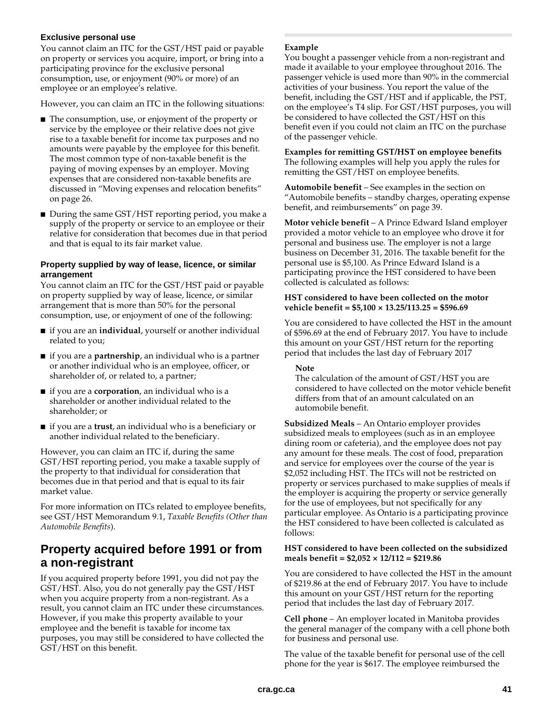#### **Exclusive personal use**

You cannot claim an ITC for the GST/HST paid or payable on property or services you acquire, import, or bring into a participating province for the exclusive personal consumption, use, or enjoyment (90% or more) of an employee or an employee's relative.

However, you can claim an ITC in the following situations:

- The consumption, use, or enjoyment of the property or service by the employee or their relative does not give rise to a taxable benefit for income tax purposes and no amounts were payable by the employee for this benefit. The most common type of non-taxable benefit is the paying of moving expenses by an employer. Moving expenses that are considered non-taxable benefits are discussed in "Moving expenses and relocation benefits" on page 26.
- During the same GST/HST reporting period, you make a supply of the property or service to an employee or their relative for consideration that becomes due in that period and that is equal to its fair market value.

#### **Property supplied by way of lease, licence, or similar arrangement**

You cannot claim an ITC for the GST/HST paid or payable on property supplied by way of lease, licence, or similar arrangement that is more than 50% for the personal consumption, use, or enjoyment of one of the following:

- if you are an **individual**, yourself or another individual related to you;
- if you are a **partnership**, an individual who is a partner or another individual who is an employee, officer, or shareholder of, or related to, a partner;
- if you are a **corporation**, an individual who is a shareholder or another individual related to the shareholder; or
- if you are a **trust**, an individual who is a beneficiary or another individual related to the beneficiary.

However, you can claim an ITC if, during the same GST/HST reporting period, you make a taxable supply of the property to that individual for consideration that becomes due in that period and that is equal to its fair market value.

For more information on ITCs related to employee benefits, see GST/HST Memorandum 9.1, *Taxable Benefits (Other than Automobile Benefits*).

## **Property acquired before 1991 or from a non-registrant**

If you acquired property before 1991, you did not pay the GST/HST. Also, you do not generally pay the GST/HST when you acquire property from a non-registrant. As a result, you cannot claim an ITC under these circumstances. However, if you make this property available to your employee and the benefit is taxable for income tax purposes, you may still be considered to have collected the GST/HST on this benefit.

### **Example**

You bought a passenger vehicle from a non-registrant and made it available to your employee throughout 2016. The passenger vehicle is used more than 90% in the commercial activities of your business. You report the value of the benefit, including the GST/HST and if applicable, the PST, on the employee's T4 slip. For GST/HST purposes, you will be considered to have collected the GST/HST on this benefit even if you could not claim an ITC on the purchase of the passenger vehicle.

**Examples for remitting GST/HST on employee benefits**  The following examples will help you apply the rules for remitting the GST/HST on employee benefits.

**Automobile benefit** – See examples in the section on "Automobile benefits – standby charges, operating expense benefit, and reimbursements" on page 39.

**Motor vehicle benefit** – A Prince Edward Island employer provided a motor vehicle to an employee who drove it for personal and business use. The employer is not a large business on December 31, 2016. The taxable benefit for the personal use is \$5,100. As Prince Edward Island is a participating province the HST considered to have been collected is calculated as follows:

#### **HST considered to have been collected on the motor vehicle benefit = \$5,100 × 13.25/113.25 = \$596.69**

You are considered to have collected the HST in the amount of \$596.69 at the end of February 2017. You have to include this amount on your GST/HST return for the reporting period that includes the last day of February 2017

### **Note**

The calculation of the amount of GST/HST you are considered to have collected on the motor vehicle benefit differs from that of an amount calculated on an automobile benefit.

**Subsidized Meals** – An Ontario employer provides subsidized meals to employees (such as in an employee dining room or cafeteria), and the employee does not pay any amount for these meals. The cost of food, preparation and service for employees over the course of the year is \$2,052 including HST. The ITCs will not be restricted on property or services purchased to make supplies of meals if the employer is acquiring the property or service generally for the use of employees, but not specifically for any particular employee. As Ontario is a participating province the HST considered to have been collected is calculated as follows:

#### **HST considered to have been collected on the subsidized meals benefit = \$2,052 × 12/112 = \$219.86**

You are considered to have collected the HST in the amount of \$219.86 at the end of February 2017. You have to include this amount on your GST/HST return for the reporting period that includes the last day of February 2017.

**Cell phone** – An employer located in Manitoba provides the general manager of the company with a cell phone both for business and personal use.

The value of the taxable benefit for personal use of the cell phone for the year is \$617. The employee reimbursed the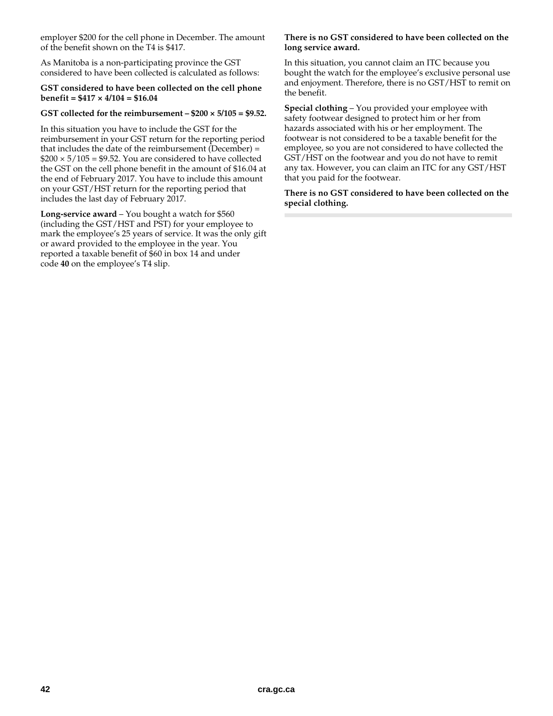employer \$200 for the cell phone in December. The amount of the benefit shown on the T4 is \$417.

As Manitoba is a non-participating province the GST considered to have been collected is calculated as follows:

#### **GST considered to have been collected on the cell phone benefit = \$417 × 4/104 = \$16.04**

### **GST collected for the reimbursement – \$200 × 5/105 = \$9.52.**

In this situation you have to include the GST for the reimbursement in your GST return for the reporting period that includes the date of the reimbursement (December) =  $$200 \times 5/105 = $9.52$ . You are considered to have collected the GST on the cell phone benefit in the amount of \$16.04 at the end of February 2017. You have to include this amount on your GST/HST return for the reporting period that includes the last day of February 2017.

**Long-service award** – You bought a watch for \$560 (including the GST/HST and PST) for your employee to mark the employee's 25 years of service. It was the only gift or award provided to the employee in the year. You reported a taxable benefit of \$60 in box 14 and under code **40** on the employee's T4 slip.

#### **There is no GST considered to have been collected on the long service award.**

In this situation, you cannot claim an ITC because you bought the watch for the employee's exclusive personal use and enjoyment. Therefore, there is no GST/HST to remit on the benefit.

**Special clothing** – You provided your employee with safety footwear designed to protect him or her from hazards associated with his or her employment. The footwear is not considered to be a taxable benefit for the employee, so you are not considered to have collected the GST/HST on the footwear and you do not have to remit any tax. However, you can claim an ITC for any GST/HST that you paid for the footwear.

#### **There is no GST considered to have been collected on the special clothing.**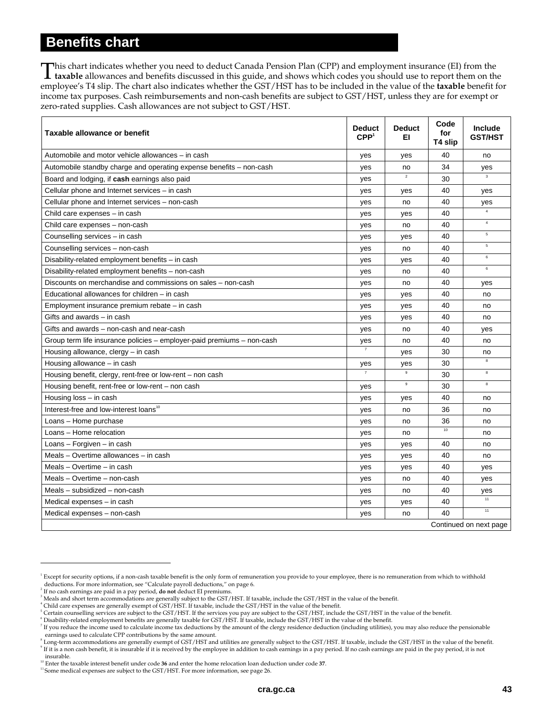## **Benefits chart**

his chart indicates whether you need to deduct Canada Pension Plan (CPP) and employment insurance (EI) from the **taxable** allowances and benefits discussed in this guide, and shows which codes you should use to report them on the This chart indicates whether you need to deduct Canada Pension Plan (CPP) and employment insurance (EI) from the<br> **The chart also indicates whether the GST/HST** has to be included in the value of the **taxable** benefit for<br> income tax purposes. Cash reimbursements and non-cash benefits are subject to GST/HST, unless they are for exempt or zero-rated supplies. Cash allowances are not subject to GST/HST.

| Taxable allowance or benefit                                           | <b>Deduct</b><br>$\mathbf{CPP}^1$ | <b>Deduct</b><br>ΕI | Code<br>for<br>T4 slip | <b>Include</b><br><b>GST/HST</b> |
|------------------------------------------------------------------------|-----------------------------------|---------------------|------------------------|----------------------------------|
| Automobile and motor vehicle allowances – in cash                      | yes                               | yes                 | 40                     | no                               |
| Automobile standby charge and operating expense benefits – non-cash    | yes                               | no                  | 34                     | yes                              |
| Board and lodging, if cash earnings also paid                          | yes                               |                     | 30                     |                                  |
| Cellular phone and Internet services - in cash                         | yes                               | yes                 | 40                     | yes                              |
| Cellular phone and Internet services - non-cash                        | yes                               | no                  | 40                     | yes                              |
| Child care expenses - in cash                                          | yes                               | yes                 | 40                     | $\overline{4}$                   |
| Child care expenses – non-cash                                         | yes                               | no                  | 40                     | $\bf{4}$                         |
| Counselling services - in cash                                         | yes                               | yes                 | 40                     | $\mathbf 5$                      |
| Counselling services - non-cash                                        | yes                               | no                  | 40                     | $\mathbf 5$                      |
| Disability-related employment benefits - in cash                       | yes                               | yes                 | 40                     | 6                                |
| Disability-related employment benefits - non-cash                      | yes                               | no                  | 40                     | $6\phantom{a}$                   |
| Discounts on merchandise and commissions on sales – non-cash           | yes                               | no                  | 40                     | yes                              |
| Educational allowances for children - in cash                          | yes                               | yes                 | 40                     | no                               |
| Employment insurance premium rebate - in cash                          | yes                               | yes                 | 40                     | no                               |
| Gifts and awards – in cash                                             | yes                               | yes                 | 40                     | no                               |
| Gifts and awards - non-cash and near-cash                              | yes                               | no                  | 40                     | yes                              |
| Group term life insurance policies - employer-paid premiums - non-cash | yes                               | no                  | 40                     | no                               |
| Housing allowance, clergy - in cash                                    | $\bar{7}$                         | yes                 | 30                     | no                               |
| Housing allowance – in cash                                            | yes                               | yes                 | 30                     | $\bf8$                           |
| Housing benefit, clergy, rent-free or low-rent - non cash              | $\bar{7}$                         | $\mathsf g$         | 30                     | $\bf8$                           |
| Housing benefit, rent-free or low-rent – non cash                      | yes                               | $\mathsf g$         | 30                     | 8                                |
| Housing loss - in cash                                                 | yes                               | yes                 | 40                     | no                               |
| Interest-free and low-interest loans <sup>10</sup>                     | yes                               | no                  | 36                     | no                               |
| Loans - Home purchase                                                  | yes                               | no                  | 36                     | no                               |
| Loans - Home relocation                                                | yes                               | no                  | 10 <sub>10</sub>       | no                               |
| Loans - Forgiven - in cash                                             | yes                               | yes                 | 40                     | no                               |
| Meals – Overtime allowances – in cash                                  | yes                               | yes                 | 40                     | no                               |
| Meals - Overtime - in cash                                             | yes                               | yes                 | 40                     | yes                              |
| Meals - Overtime - non-cash                                            | yes                               | no                  | 40                     | yes                              |
| Meals - subsidized - non-cash                                          | yes                               | no                  | 40                     | yes                              |
| Medical expenses - in cash                                             | yes                               | yes                 | 40                     | 11                               |
| Medical expenses - non-cash                                            | yes                               | no                  | 40                     | 11                               |
|                                                                        |                                   |                     |                        | Continued on next page           |

l

<sup>&</sup>lt;sup>1</sup> Except for security options, if a non-cash taxable benefit is the only form of remuneration you provide to your employee, there is no remuneration from which to withhold deductions. For more information, see "Calculate payroll deductions," on page 6. 2

<sup>&</sup>lt;sup>2</sup> If no cash earnings are paid in a pay period, **do not** deduct EI premiums.

 $<sup>3</sup>$  Meals and short term accommodations are generally subject to the GST/HST. If taxable, include the GST/HST in the value of the benefit.</sup>

Child care expenses are generally exempt of GST/HST. If taxable, include the GST/HST in the value of the benefit.

 $^5$  Certain counselling services are subject to the GST/HST. If the services you pay are subject to the GST/HST, include the GST/HST in the value of the benefit.<br> $^6$  Disclifity what demonstration of the graduation of th

 $^6$  Disability-related employment benefits are generally taxable for GST/HST. If taxable, include the GST/HST in the value of the benefit.

 $^7$  If you reduce the income used to calculate income tax deductions by the amount of the clergy residence deduction (including utilities), you may also reduce the pensionable earnings used to calculate CPP contributions by the same amount.

<sup>&</sup>lt;sup>8</sup> Long-term accommodations are generally exempt of GST/HST and utilities are generally subject to the GST/HST. If taxable, include the GST/HST in the value of the benefit. If it is a non cash benefit, it is insurable if it is received by the employee in addition to cash earnings in a pay period. If no cash earnings are paid in the pay period, it is not insurable.

 $\frac{10}{10}$  Enter the taxable interest benefit under code **36** and enter the home relocation loan deduction under code **37**. In Some medical expenses are subject to the GST/HST. For more information, see page 26.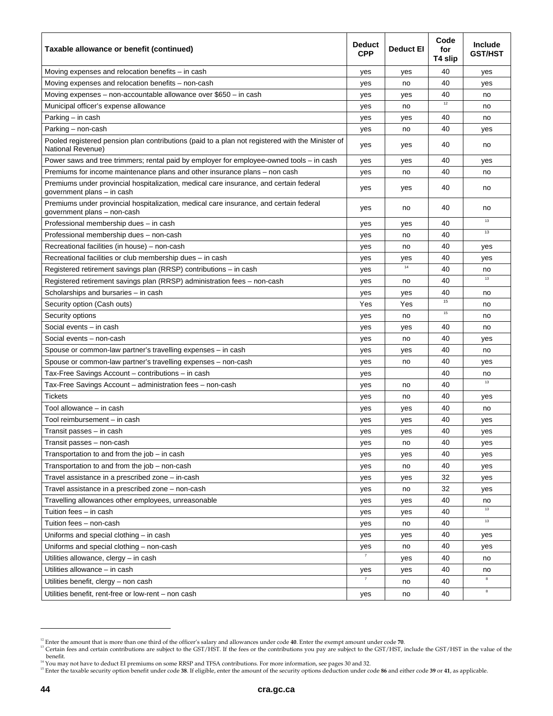| Taxable allowance or benefit (continued)                                                                              | <b>Deduct</b><br><b>CPP</b> | Deduct El | Code<br>for<br>T4 slip | <b>Include</b><br><b>GST/HST</b> |
|-----------------------------------------------------------------------------------------------------------------------|-----------------------------|-----------|------------------------|----------------------------------|
| Moving expenses and relocation benefits – in cash                                                                     | yes                         | yes       | 40                     | yes                              |
| Moving expenses and relocation benefits - non-cash                                                                    | yes                         | no        | 40                     | yes                              |
| Moving expenses - non-accountable allowance over \$650 - in cash                                                      | yes                         | yes       | 40                     | no                               |
| Municipal officer's expense allowance                                                                                 | yes                         | no        | 12                     | no                               |
| Parking – in cash                                                                                                     | yes                         | yes       | 40                     | no                               |
| Parking - non-cash                                                                                                    | yes                         | no        | 40                     | yes                              |
| Pooled registered pension plan contributions (paid to a plan not registered with the Minister of<br>National Revenue) | yes                         | yes       | 40                     | no                               |
| Power saws and tree trimmers; rental paid by employer for employee-owned tools - in cash                              | yes                         | yes       | 40                     | yes                              |
| Premiums for income maintenance plans and other insurance plans – non cash                                            | yes                         | no        | 40                     | no                               |
| Premiums under provincial hospitalization, medical care insurance, and certain federal<br>government plans – in cash  | yes                         | yes       | 40                     | no                               |
| Premiums under provincial hospitalization, medical care insurance, and certain federal<br>government plans - non-cash | yes                         | no        | 40                     | no                               |
| Professional membership dues - in cash                                                                                | yes                         | yes       | 40                     | 13                               |
| Professional membership dues - non-cash                                                                               | yes                         | no        | 40                     | 13                               |
| Recreational facilities (in house) – non-cash                                                                         | yes                         | no        | 40                     | yes                              |
| Recreational facilities or club membership dues - in cash                                                             | yes                         | yes       | 40                     | yes                              |
| Registered retirement savings plan (RRSP) contributions - in cash                                                     | yes                         | 14        | 40                     | no                               |
| Registered retirement savings plan (RRSP) administration fees - non-cash                                              | yes                         | no        | 40                     | 13                               |
| Scholarships and bursaries – in cash                                                                                  | yes                         | yes       | 40                     | no                               |
| Security option (Cash outs)                                                                                           | Yes                         | Yes       | 15                     | no                               |
| Security options                                                                                                      | yes                         | no        | 15                     | no                               |
| Social events – in cash                                                                                               | yes                         | yes       | 40                     | no                               |
| Social events – non-cash                                                                                              | yes                         | no        | 40                     | yes                              |
| Spouse or common-law partner's travelling expenses - in cash                                                          | yes                         | yes       | 40                     | no                               |
| Spouse or common-law partner's travelling expenses – non-cash                                                         | yes                         | no        | 40                     | yes                              |
| Tax-Free Savings Account – contributions – in cash                                                                    | yes                         |           | 40                     | no                               |
| Tax-Free Savings Account - administration fees - non-cash                                                             | yes                         | no        | 40                     | 13                               |
| Tickets                                                                                                               | yes                         | no        | 40                     | yes                              |
| Tool allowance – in cash                                                                                              | yes                         | yes       | 40                     | no                               |
| Tool reimbursement – in cash                                                                                          | yes                         | yes       | 40                     | yes                              |
| Transit passes – in cash                                                                                              | yes                         | yes       | 40                     | yes                              |
| Transit passes - non-cash                                                                                             | yes                         | no        | 40                     | yes                              |
| Transportation to and from the job - in cash                                                                          | yes                         | yes       | 40                     | yes                              |
| Transportation to and from the job - non-cash                                                                         | yes                         | no        | 40                     | yes                              |
| Travel assistance in a prescribed zone - in-cash                                                                      | yes                         | yes       | 32                     | yes                              |
| Travel assistance in a prescribed zone - non-cash                                                                     | yes                         | no        | 32                     | yes                              |
| Travelling allowances other employees, unreasonable                                                                   | yes                         | yes       | 40                     | no                               |
| Tuition fees – in cash                                                                                                | yes                         | yes       | 40                     | 13                               |
| Tuition fees - non-cash                                                                                               | yes                         | no        | 40                     | 13                               |
| Uniforms and special clothing - in cash                                                                               | yes                         | yes       | 40                     | yes                              |
| Uniforms and special clothing - non-cash                                                                              | yes                         | no        | 40                     | yes                              |
| Utilities allowance, clergy - in cash                                                                                 | $\overline{\mathbf{7}}$     | yes       | 40                     | no                               |
| Utilities allowance – in cash                                                                                         | yes                         | yes       | 40                     | no                               |
| Utilities benefit, clergy - non cash                                                                                  | $\scriptstyle{7}$           | no        | 40                     | 8                                |
| Utilities benefit, rent-free or low-rent - non cash                                                                   | yes                         | no        | 40                     | $^{\rm 8}$                       |

l

 $\frac{12}{13}$  Enter the amount that is more than one third of the officer's salary and allowances under code 40. Enter the exempt amount under code 70.<br>
<sup>13</sup> Certain fees and certain contributions are subject to the GST/HST

<sup>&</sup>lt;sup>14</sup> You may not have to deduct EI premiums on some RRSP and TFSA contributions. For more information, see pages 30 and 32.<br><sup>15</sup> Enter the taxable security option benefit under code 38. If eligible, enter the amount of the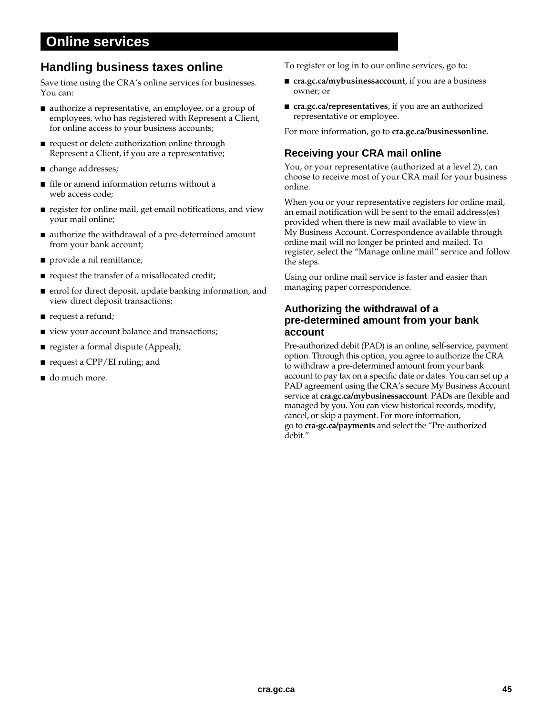## **Online services**

## **Handling business taxes online**

Save time using the CRA's online services for businesses. You can:

- authorize a representative, an employee, or a group of employees, who has registered with Represent a Client, for online access to your business accounts;
- request or delete authorization online through Represent a Client, if you are a representative;
- change addresses;
- file or amend information returns without a web access code;
- register for online mail, get email notifications, and view your mail online;
- authorize the withdrawal of a pre-determined amount from your bank account;
- provide a nil remittance;
- request the transfer of a misallocated credit;
- enrol for direct deposit, update banking information, and view direct deposit transactions;
- request a refund;
- view your account balance and transactions;
- register a formal dispute (Appeal);
- request a CPP/EI ruling; and
- do much more.

To register or log in to our online services, go to:

- **cra.gc.ca/mybusinessaccount**, if you are a business owner; or
- **cra.gc.ca/representatives**, if you are an authorized representative or employee.

For more information, go to **cra.gc.ca/businessonline**.

### **Receiving your CRA mail online**

You, or your representative (authorized at a level 2), can choose to receive most of your CRA mail for your business online.

When you or your representative registers for online mail, an email notification will be sent to the email address(es) provided when there is new mail available to view in My Business Account. Correspondence available through online mail will no longer be printed and mailed. To register, select the "Manage online mail" service and follow the steps.

Using our online mail service is faster and easier than managing paper correspondence.

### **Authorizing the withdrawal of a pre-determined amount from your bank account**

Pre-authorized debit (PAD) is an online, self-service, payment option. Through this option, you agree to authorize the CRA to withdraw a pre-determined amount from your bank account to pay tax on a specific date or dates. You can set up a PAD agreement using the CRA's secure My Business Account service at **cra.gc.ca/mybusinessaccount**. PADs are flexible and managed by you. You can view historical records, modify, cancel, or skip a payment. For more information, go to **cra-gc.ca/payments** and select the "Pre-authorized debit."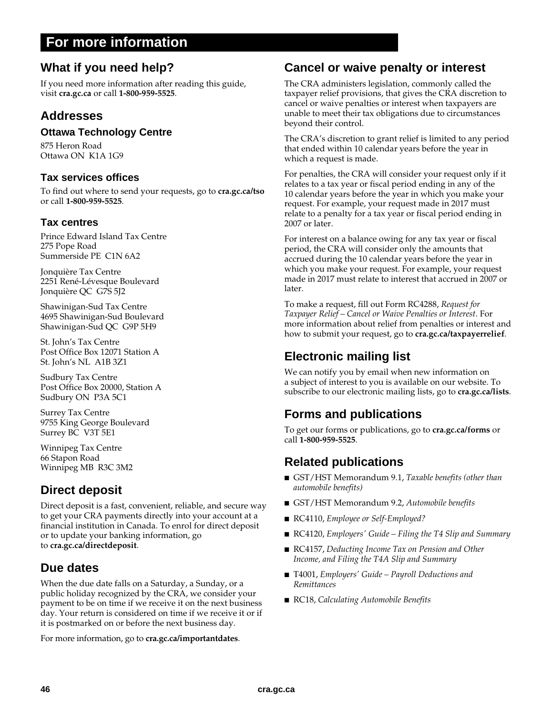## **For more information**

## **What if you need help?**

If you need more information after reading this guide, visit **cra.gc.ca** or call **1-800-959-5525**.

## **Addresses**

### **Ottawa Technology Centre**

875 Heron Road Ottawa ON K1A 1G9

### **Tax services offices**

To find out where to send your requests, go to **cra.gc.ca/tso** or call **1-800-959-5525**.

### **Tax centres**

Prince Edward Island Tax Centre 275 Pope Road Summerside PE C1N 6A2

Jonquière Tax Centre 2251 René-Lévesque Boulevard Jonquière QC G7S 5J2

Shawinigan-Sud Tax Centre 4695 Shawinigan-Sud Boulevard Shawinigan-Sud QC G9P 5H9

St. John's Tax Centre Post Office Box 12071 Station A St. John's NL A1B 3Z1

Sudbury Tax Centre Post Office Box 20000, Station A Sudbury ON P3A 5C1

Surrey Tax Centre 9755 King George Boulevard Surrey BC V3T 5E1

Winnipeg Tax Centre 66 Stapon Road Winnipeg MB R3C 3M2

## **Direct deposit**

Direct deposit is a fast, convenient, reliable, and secure way to get your CRA payments directly into your account at a financial institution in Canada. To enrol for direct deposit or to update your banking information, go to **cra.gc.ca/directdeposit**.

## **Due dates**

When the due date falls on a Saturday, a Sunday, or a public holiday recognized by the CRA, we consider your payment to be on time if we receive it on the next business day. Your return is considered on time if we receive it or if it is postmarked on or before the next business day.

For more information, go to **cra.gc.ca/importantdates**.

## **Cancel or waive penalty or interest**

The CRA administers legislation, commonly called the taxpayer relief provisions, that gives the CRA discretion to cancel or waive penalties or interest when taxpayers are unable to meet their tax obligations due to circumstances beyond their control.

The CRA's discretion to grant relief is limited to any period that ended within 10 calendar years before the year in which a request is made.

For penalties, the CRA will consider your request only if it relates to a tax year or fiscal period ending in any of the 10 calendar years before the year in which you make your request. For example, your request made in 2017 must relate to a penalty for a tax year or fiscal period ending in 2007 or later.

For interest on a balance owing for any tax year or fiscal period, the CRA will consider only the amounts that accrued during the 10 calendar years before the year in which you make your request. For example, your request made in 2017 must relate to interest that accrued in 2007 or later.

To make a request, fill out Form RC4288, *Request for Taxpayer Relief – Cancel or Waive Penalties or Interest*. For more information about relief from penalties or interest and how to submit your request, go to **cra.gc.ca/taxpayerrelief**.

## **Electronic mailing list**

We can notify you by email when new information on a subject of interest to you is available on our website. To subscribe to our electronic mailing lists, go to **cra.gc.ca/lists**.

## **Forms and publications**

To get our forms or publications, go to **cra.gc.ca/forms** or call **1-800-959-5525**.

## **Related publications**

- GST/HST Memorandum 9.1, *Taxable benefits (other than automobile benefits)*
- GST/HST Memorandum 9.2, *Automobile benefits*
- RC4110, *Employee or Self-Employed*?
- RC4120, *Employers' Guide Filing the T4 Slip and Summary*
- RC4157, *Deducting Income Tax on Pension and Other Income, and Filing the T4A Slip and Summary*
- T4001, *Employers' Guide Payroll Deductions and Remittances*
- RC18, *Calculating Automobile Benefits*